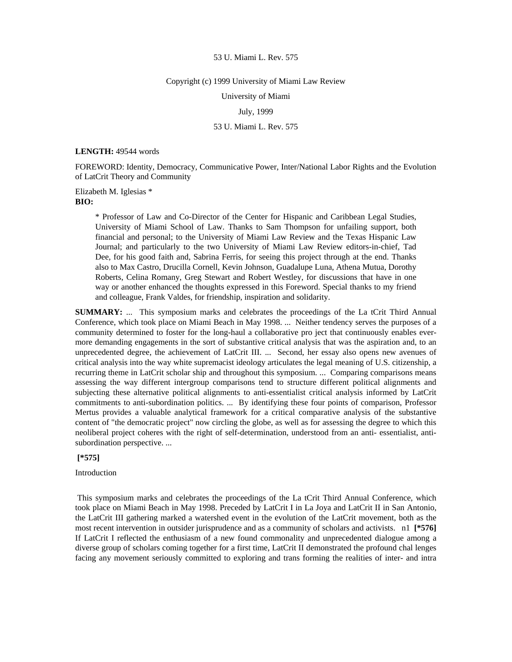#### Copyright (c) 1999 University of Miami Law Review

University of Miami

## July, 1999

## 53 U. Miami L. Rev. 575

#### **LENGTH:** 49544 words

FOREWORD: Identity, Democracy, Communicative Power, Inter/National Labor Rights and the Evolution of LatCrit Theory and Community

Elizabeth M. Iglesias \* **BIO:** 

> \* Professor of Law and Co-Director of the Center for Hispanic and Caribbean Legal Studies, University of Miami School of Law. Thanks to Sam Thompson for unfailing support, both financial and personal; to the University of Miami Law Review and the Texas Hispanic Law Journal; and particularly to the two University of Miami Law Review editors-in-chief, Tad Dee, for his good faith and, Sabrina Ferris, for seeing this project through at the end. Thanks also to Max Castro, Drucilla Cornell, Kevin Johnson, Guadalupe Luna, Athena Mutua, Dorothy Roberts, Celina Romany, Greg Stewart and Robert Westley, for discussions that have in one way or another enhanced the thoughts expressed in this Foreword. Special thanks to my friend and colleague, Frank Valdes, for friendship, inspiration and solidarity.

**SUMMARY:** ... This symposium marks and celebrates the proceedings of the La tCrit Third Annual Conference, which took place on Miami Beach in May 1998. ... Neither tendency serves the purposes of a community determined to foster for the long-haul a collaborative pro ject that continuously enables evermore demanding engagements in the sort of substantive critical analysis that was the aspiration and, to an unprecedented degree, the achievement of LatCrit III. ... Second, her essay also opens new avenues of critical analysis into the way white supremacist ideology articulates the legal meaning of U.S. citizenship, a recurring theme in LatCrit scholar ship and throughout this symposium. ... Comparing comparisons means assessing the way different intergroup comparisons tend to structure different political alignments and subjecting these alternative political alignments to anti-essentialist critical analysis informed by LatCrit commitments to anti-subordination politics. ... By identifying these four points of comparison, Professor Mertus provides a valuable analytical framework for a critical comparative analysis of the substantive content of "the democratic project" now circling the globe, as well as for assessing the degree to which this neoliberal project coheres with the right of self-determination, understood from an anti- essentialist, antisubordination perspective. ...

 **[\*575]** 

Introduction

 This symposium marks and celebrates the proceedings of the La tCrit Third Annual Conference, which took place on Miami Beach in May 1998. Preceded by LatCrit I in La Joya and LatCrit II in San Antonio, the LatCrit III gathering marked a watershed event in the evolution of the LatCrit movement, both as the most recent intervention in outsider jurisprudence and as a community of scholars and activists. n1 **[\*576]**  If LatCrit I reflected the enthusiasm of a new found commonality and unprecedented dialogue among a diverse group of scholars coming together for a first time, LatCrit II demonstrated the profound chal lenges facing any movement seriously committed to exploring and trans forming the realities of inter- and intra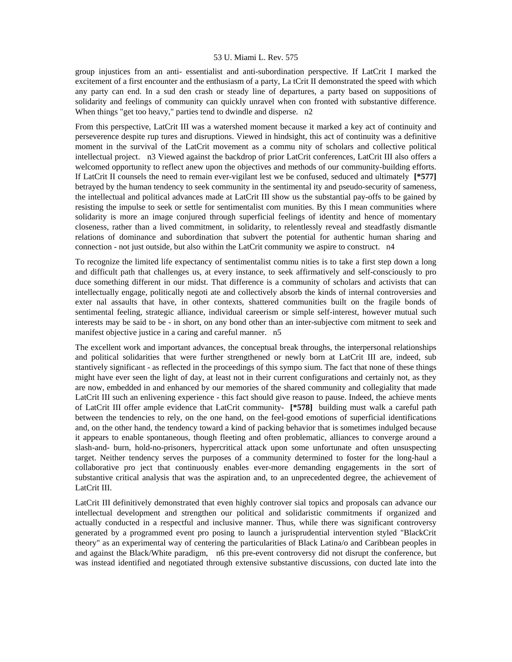group injustices from an anti- essentialist and anti-subordination perspective. If LatCrit I marked the excitement of a first encounter and the enthusiasm of a party, La tCrit II demonstrated the speed with which any party can end. In a sud den crash or steady line of departures, a party based on suppositions of solidarity and feelings of community can quickly unravel when con fronted with substantive difference. When things "get too heavy," parties tend to dwindle and disperse. n2

From this perspective, LatCrit III was a watershed moment because it marked a key act of continuity and perseverence despite rup tures and disruptions. Viewed in hindsight, this act of continuity was a definitive moment in the survival of the LatCrit movement as a commu nity of scholars and collective political intellectual project. n3 Viewed against the backdrop of prior LatCrit conferences, LatCrit III also offers a welcomed opportunity to reflect anew upon the objectives and methods of our community-building efforts. If LatCrit II counsels the need to remain ever-vigilant lest we be confused, seduced and ultimately **[\*577]**  betrayed by the human tendency to seek community in the sentimental ity and pseudo-security of sameness, the intellectual and political advances made at LatCrit III show us the substantial pay-offs to be gained by resisting the impulse to seek or settle for sentimentalist com munities. By this I mean communities where solidarity is more an image conjured through superficial feelings of identity and hence of momentary closeness, rather than a lived commitment, in solidarity, to relentlessly reveal and steadfastly dismantle relations of dominance and subordination that subvert the potential for authentic human sharing and connection - not just outside, but also within the LatCrit community we aspire to construct. n4

To recognize the limited life expectancy of sentimentalist commu nities is to take a first step down a long and difficult path that challenges us, at every instance, to seek affirmatively and self-consciously to pro duce something different in our midst. That difference is a community of scholars and activists that can intellectually engage, politically negoti ate and collectively absorb the kinds of internal controversies and exter nal assaults that have, in other contexts, shattered communities built on the fragile bonds of sentimental feeling, strategic alliance, individual careerism or simple self-interest, however mutual such interests may be said to be - in short, on any bond other than an inter-subjective com mitment to seek and manifest objective justice in a caring and careful manner. n5

The excellent work and important advances, the conceptual break throughs, the interpersonal relationships and political solidarities that were further strengthened or newly born at LatCrit III are, indeed, sub stantively significant - as reflected in the proceedings of this sympo sium. The fact that none of these things might have ever seen the light of day, at least not in their current configurations and certainly not, as they are now, embedded in and enhanced by our memories of the shared community and collegiality that made LatCrit III such an enlivening experience - this fact should give reason to pause. Indeed, the achieve ments of LatCrit III offer ample evidence that LatCrit community- **[\*578]** building must walk a careful path between the tendencies to rely, on the one hand, on the feel-good emotions of superficial identifications and, on the other hand, the tendency toward a kind of packing behavior that is sometimes indulged because it appears to enable spontaneous, though fleeting and often problematic, alliances to converge around a slash-and- burn, hold-no-prisoners, hypercritical attack upon some unfortunate and often unsuspecting target. Neither tendency serves the purposes of a community determined to foster for the long-haul a collaborative pro ject that continuously enables ever-more demanding engagements in the sort of substantive critical analysis that was the aspiration and, to an unprecedented degree, the achievement of LatCrit III.

LatCrit III definitively demonstrated that even highly controver sial topics and proposals can advance our intellectual development and strengthen our political and solidaristic commitments if organized and actually conducted in a respectful and inclusive manner. Thus, while there was significant controversy generated by a programmed event pro posing to launch a jurisprudential intervention styled "BlackCrit theory" as an experimental way of centering the particularities of Black Latina/o and Caribbean peoples in and against the Black/White paradigm, n6 this pre-event controversy did not disrupt the conference, but was instead identified and negotiated through extensive substantive discussions, con ducted late into the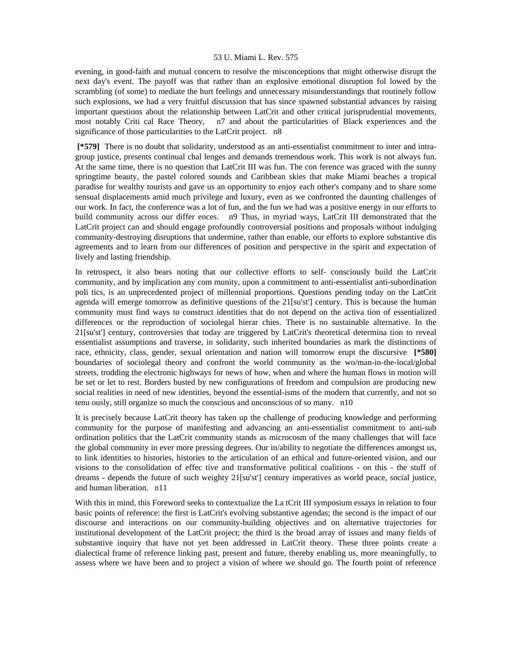evening, in good-faith and mutual concern to resolve the misconceptions that might otherwise disrupt the next day's event. The payoff was that rather than an explosive emotional disruption fol lowed by the scrambling (of some) to mediate the hurt feelings and unnecessary misunderstandings that routinely follow such explosions, we had a very fruitful discussion that has since spawned substantial advances by raising important questions about the relationship between LatCrit and other critical jurisprudential movements, most notably Criti cal Race Theory, n7 and about the particularities of Black experiences and the significance of those particularities to the LatCrit project. n8

 **[\*579]** There is no doubt that solidarity, understood as an anti-essentialist commitment to inter and intragroup justice, presents continual chal lenges and demands tremendous work. This work is not always fun. At the same time, there is no question that LatCrit III was fun. The con ference was graced with the sunny springtime beauty, the pastel colored sounds and Caribbean skies that make Miami beaches a tropical paradise for wealthy tourists and gave us an opportunity to enjoy each other's company and to share some sensual displacements amid much privilege and luxury, even as we confronted the daunting challenges of our work. In fact, the conference was a lot of fun, and the fun we had was a positive energy in our efforts to build community across our differ ences. n9 Thus, in myriad ways, LatCrit III demonstrated that the LatCrit project can and should engage profoundly controversial positions and proposals without indulging community-destroying disruptions that undermine, rather than enable, our efforts to explore substantive dis agreements and to learn from our differences of position and perspective in the spirit and expectation of lively and lasting friendship.

In retrospect, it also bears noting that our collective efforts to self- consciously build the LatCrit community, and by implication any com munity, upon a commitment to anti-essentialist anti-subordination poli tics, is an unprecedented project of millennial proportions. Questions pending today on the LatCrit agenda will emerge tomorrow as definitive questions of the 21[su'st'] century. This is because the human community must find ways to construct identities that do not depend on the activa tion of essentialized differences or the reproduction of sociolegal hierar chies. There is no sustainable alternative. In the 21[su'st'] century, controversies that today are triggered by LatCrit's theoretical determina tion to reveal essentialist assumptions and traverse, in solidarity, such inherited boundaries as mark the distinctions of race, ethnicity, class, gender, sexual orientation and nation will tomorrow erupt the discursive **[\*580]**  boundaries of sociolegal theory and confront the world community as the wo/man-in-the-local/global streets, trodding the electronic highways for news of how, when and where the human flows in motion will be set or let to rest. Borders busted by new configurations of freedom and compulsion are producing new social realities in need of new identities, beyond the essential-isms of the modern that currently, and not so tenu ously, still organize so much the conscious and unconscious of so many. n10

It is precisely because LatCrit theory has taken up the challenge of producing knowledge and performing community for the purpose of manifesting and advancing an anti-essentialist commitment to anti-sub ordination politics that the LatCrit community stands as microcosm of the many challenges that will face the global community in ever more pressing degrees. Our in/ability to negotiate the differences amongst us, to link identities to histories, histories to the articulation of an ethical and future-oriented vision, and our visions to the consolidation of effec tive and transformative political coalitions - on this - the stuff of dreams - depends the future of such weighty 21[su'st'] century imperatives as world peace, social justice, and human liberation. n11

With this in mind, this Foreword seeks to contextualize the La tCrit III symposium essays in relation to four basic points of reference: the first is LatCrit's evolving substantive agendas; the second is the impact of our discourse and interactions on our community-building objectives and on alternative trajectories for institutional development of the LatCrit project; the third is the broad array of issues and many fields of substantive inquiry that have not yet been addressed in LatCrit theory. These three points create a dialectical frame of reference linking past, present and future, thereby enabling us, more meaningfully, to assess where we have been and to project a vision of where we should go. The fourth point of reference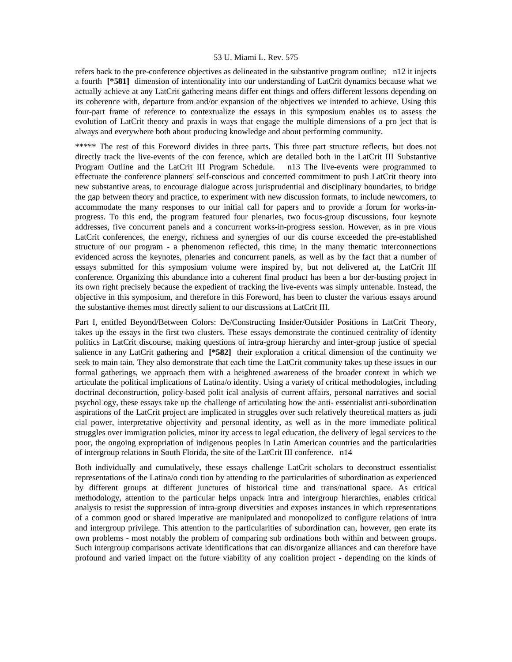refers back to the pre-conference objectives as delineated in the substantive program outline; n12 it injects a fourth **[\*581]** dimension of intentionality into our understanding of LatCrit dynamics because what we actually achieve at any LatCrit gathering means differ ent things and offers different lessons depending on its coherence with, departure from and/or expansion of the objectives we intended to achieve. Using this four-part frame of reference to contextualize the essays in this symposium enables us to assess the evolution of LatCrit theory and praxis in ways that engage the multiple dimensions of a pro ject that is always and everywhere both about producing knowledge and about performing community.

\*\*\*\*\* The rest of this Foreword divides in three parts. This three part structure reflects, but does not directly track the live-events of the con ference, which are detailed both in the LatCrit III Substantive Program Outline and the LatCrit III Program Schedule. n13 The live-events were programmed to effectuate the conference planners' self-conscious and concerted commitment to push LatCrit theory into new substantive areas, to encourage dialogue across jurisprudential and disciplinary boundaries, to bridge the gap between theory and practice, to experiment with new discussion formats, to include newcomers, to accommodate the many responses to our initial call for papers and to provide a forum for works-inprogress. To this end, the program featured four plenaries, two focus-group discussions, four keynote addresses, five concurrent panels and a concurrent works-in-progress session. However, as in pre vious LatCrit conferences, the energy, richness and synergies of our dis course exceeded the pre-established structure of our program - a phenomenon reflected, this time, in the many thematic interconnections evidenced across the keynotes, plenaries and concurrent panels, as well as by the fact that a number of essays submitted for this symposium volume were inspired by, but not delivered at, the LatCrit III conference. Organizing this abundance into a coherent final product has been a bor der-busting project in its own right precisely because the expedient of tracking the live-events was simply untenable. Instead, the objective in this symposium, and therefore in this Foreword, has been to cluster the various essays around the substantive themes most directly salient to our discussions at LatCrit III.

Part I, entitled Beyond/Between Colors: De/Constructing Insider/Outsider Positions in LatCrit Theory, takes up the essays in the first two clusters. These essays demonstrate the continued centrality of identity politics in LatCrit discourse, making questions of intra-group hierarchy and inter-group justice of special salience in any LatCrit gathering and **[\*582]** their exploration a critical dimension of the continuity we seek to main tain. They also demonstrate that each time the LatCrit community takes up these issues in our formal gatherings, we approach them with a heightened awareness of the broader context in which we articulate the political implications of Latina/o identity. Using a variety of critical methodologies, including doctrinal deconstruction, policy-based polit ical analysis of current affairs, personal narratives and social psychol ogy, these essays take up the challenge of articulating how the anti- essentialist anti-subordination aspirations of the LatCrit project are implicated in struggles over such relatively theoretical matters as judi cial power, interpretative objectivity and personal identity, as well as in the more immediate political struggles over immigration policies, minor ity access to legal education, the delivery of legal services to the poor, the ongoing expropriation of indigenous peoples in Latin American countries and the particularities of intergroup relations in South Florida, the site of the LatCrit III conference. n14

Both individually and cumulatively, these essays challenge LatCrit scholars to deconstruct essentialist representations of the Latina/o condi tion by attending to the particularities of subordination as experienced by different groups at different junctures of historical time and trans/national space. As critical methodology, attention to the particular helps unpack intra and intergroup hierarchies, enables critical analysis to resist the suppression of intra-group diversities and exposes instances in which representations of a common good or shared imperative are manipulated and monopolized to configure relations of intra and intergroup privilege. This attention to the particularities of subordination can, however, gen erate its own problems - most notably the problem of comparing sub ordinations both within and between groups. Such intergroup comparisons activate identifications that can dis/organize alliances and can therefore have profound and varied impact on the future viability of any coalition project - depending on the kinds of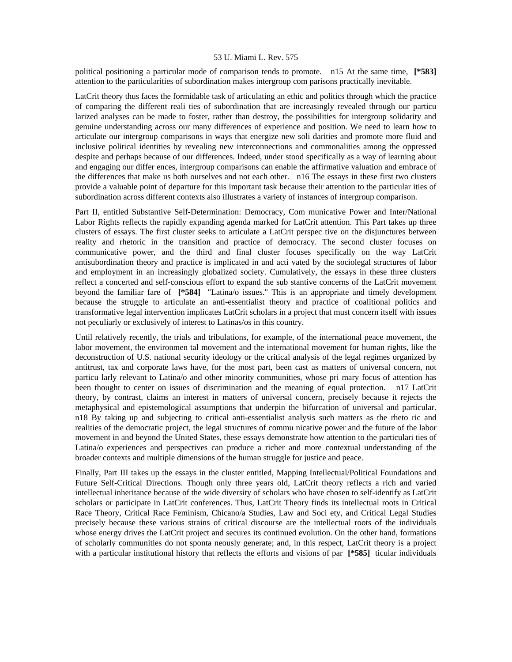political positioning a particular mode of comparison tends to promote. n15 At the same time, **[\*583]**  attention to the particularities of subordination makes intergroup com parisons practically inevitable.

LatCrit theory thus faces the formidable task of articulating an ethic and politics through which the practice of comparing the different reali ties of subordination that are increasingly revealed through our particu larized analyses can be made to foster, rather than destroy, the possibilities for intergroup solidarity and genuine understanding across our many differences of experience and position. We need to learn how to articulate our intergroup comparisons in ways that energize new soli darities and promote more fluid and inclusive political identities by revealing new interconnections and commonalities among the oppressed despite and perhaps because of our differences. Indeed, under stood specifically as a way of learning about and engaging our differ ences, intergroup comparisons can enable the affirmative valuation and embrace of the differences that make us both ourselves and not each other. n16 The essays in these first two clusters provide a valuable point of departure for this important task because their attention to the particular ities of subordination across different contexts also illustrates a variety of instances of intergroup comparison.

Part II, entitled Substantive Self-Determination: Democracy, Com municative Power and Inter/National Labor Rights reflects the rapidly expanding agenda marked for LatCrit attention. This Part takes up three clusters of essays. The first cluster seeks to articulate a LatCrit perspec tive on the disjunctures between reality and rhetoric in the transition and practice of democracy. The second cluster focuses on communicative power, and the third and final cluster focuses specifically on the way LatCrit antisubordination theory and practice is implicated in and acti vated by the sociolegal structures of labor and employment in an increasingly globalized society. Cumulatively, the essays in these three clusters reflect a concerted and self-conscious effort to expand the sub stantive concerns of the LatCrit movement beyond the familiar fare of **[\*584]** "Latina/o issues." This is an appropriate and timely development because the struggle to articulate an anti-essentialist theory and practice of coalitional politics and transformative legal intervention implicates LatCrit scholars in a project that must concern itself with issues not peculiarly or exclusively of interest to Latinas/os in this country.

Until relatively recently, the trials and tribulations, for example, of the international peace movement, the labor movement, the environmen tal movement and the international movement for human rights, like the deconstruction of U.S. national security ideology or the critical analysis of the legal regimes organized by antitrust, tax and corporate laws have, for the most part, been cast as matters of universal concern, not particu larly relevant to Latina/o and other minority communities, whose pri mary focus of attention has been thought to center on issues of discrimination and the meaning of equal protection. n17 LatCrit theory, by contrast, claims an interest in matters of universal concern, precisely because it rejects the metaphysical and epistemological assumptions that underpin the bifurcation of universal and particular. n18 By taking up and subjecting to critical anti-essentialist analysis such matters as the rheto ric and realities of the democratic project, the legal structures of commu nicative power and the future of the labor movement in and beyond the United States, these essays demonstrate how attention to the particulari ties of Latina/o experiences and perspectives can produce a richer and more contextual understanding of the broader contexts and multiple dimensions of the human struggle for justice and peace.

Finally, Part III takes up the essays in the cluster entitled, Mapping Intellectual/Political Foundations and Future Self-Critical Directions. Though only three years old, LatCrit theory reflects a rich and varied intellectual inheritance because of the wide diversity of scholars who have chosen to self-identify as LatCrit scholars or participate in LatCrit conferences. Thus, LatCrit Theory finds its intellectual roots in Critical Race Theory, Critical Race Feminism, Chicano/a Studies, Law and Soci ety, and Critical Legal Studies precisely because these various strains of critical discourse are the intellectual roots of the individuals whose energy drives the LatCrit project and secures its continued evolution. On the other hand, formations of scholarly communities do not sponta neously generate; and, in this respect, LatCrit theory is a project with a particular institutional history that reflects the efforts and visions of par **[\*585]** ticular individuals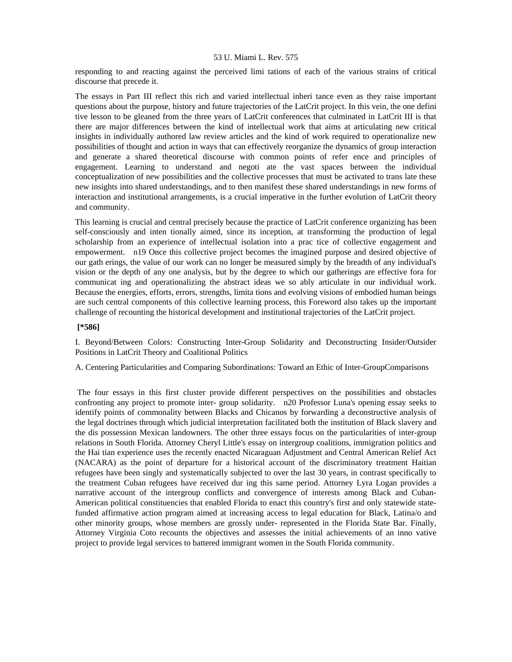responding to and reacting against the perceived limi tations of each of the various strains of critical discourse that precede it.

The essays in Part III reflect this rich and varied intellectual inheri tance even as they raise important questions about the purpose, history and future trajectories of the LatCrit project. In this vein, the one defini tive lesson to be gleaned from the three years of LatCrit conferences that culminated in LatCrit III is that there are major differences between the kind of intellectual work that aims at articulating new critical insights in individually authored law review articles and the kind of work required to operationalize new possibilities of thought and action in ways that can effectively reorganize the dynamics of group interaction and generate a shared theoretical discourse with common points of refer ence and principles of engagement. Learning to understand and negoti ate the vast spaces between the individual conceptualization of new possibilities and the collective processes that must be activated to trans late these new insights into shared understandings, and to then manifest these shared understandings in new forms of interaction and institutional arrangements, is a crucial imperative in the further evolution of LatCrit theory and community.

This learning is crucial and central precisely because the practice of LatCrit conference organizing has been self-consciously and inten tionally aimed, since its inception, at transforming the production of legal scholarship from an experience of intellectual isolation into a prac tice of collective engagement and empowerment. n19 Once this collective project becomes the imagined purpose and desired objective of our gath erings, the value of our work can no longer be measured simply by the breadth of any individual's vision or the depth of any one analysis, but by the degree to which our gatherings are effective fora for communicat ing and operationalizing the abstract ideas we so ably articulate in our individual work. Because the energies, efforts, errors, strengths, limita tions and evolving visions of embodied human beings are such central components of this collective learning process, this Foreword also takes up the important challenge of recounting the historical development and institutional trajectories of the LatCrit project.

# **[\*586]**

I. Beyond/Between Colors: Constructing Inter-Group Solidarity and Deconstructing Insider/Outsider Positions in LatCrit Theory and Coalitional Politics

A. Centering Particularities and Comparing Subordinations: Toward an Ethic of Inter-GroupComparisons

 The four essays in this first cluster provide different perspectives on the possibilities and obstacles confronting any project to promote inter- group solidarity. n20 Professor Luna's opening essay seeks to identify points of commonality between Blacks and Chicanos by forwarding a deconstructive analysis of the legal doctrines through which judicial interpretation facilitated both the institution of Black slavery and the dis possession Mexican landowners. The other three essays focus on the particularities of inter-group relations in South Florida. Attorney Cheryl Little's essay on intergroup coalitions, immigration politics and the Hai tian experience uses the recently enacted Nicaraguan Adjustment and Central American Relief Act (NACARA) as the point of departure for a historical account of the discriminatory treatment Haitian refugees have been singly and systematically subjected to over the last 30 years, in contrast specifically to the treatment Cuban refugees have received dur ing this same period. Attorney Lyra Logan provides a narrative account of the intergroup conflicts and convergence of interests among Black and Cuban-American political constituencies that enabled Florida to enact this country's first and only statewide statefunded affirmative action program aimed at increasing access to legal education for Black, Latina/o and other minority groups, whose members are grossly under- represented in the Florida State Bar. Finally, Attorney Virginia Coto recounts the objectives and assesses the initial achievements of an inno vative project to provide legal services to battered immigrant women in the South Florida community.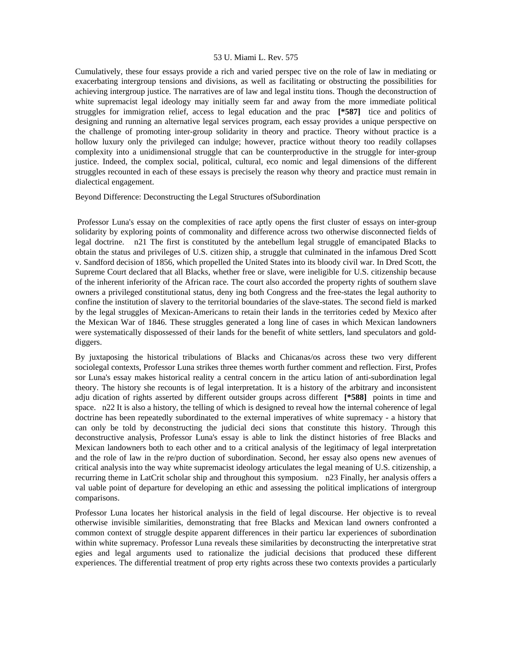Cumulatively, these four essays provide a rich and varied perspec tive on the role of law in mediating or exacerbating intergroup tensions and divisions, as well as facilitating or obstructing the possibilities for achieving intergroup justice. The narratives are of law and legal institu tions. Though the deconstruction of white supremacist legal ideology may initially seem far and away from the more immediate political struggles for immigration relief, access to legal education and the prac **[\*587]** tice and politics of designing and running an alternative legal services program, each essay provides a unique perspective on the challenge of promoting inter-group solidarity in theory and practice. Theory without practice is a hollow luxury only the privileged can indulge; however, practice without theory too readily collapses complexity into a unidimensional struggle that can be counterproductive in the struggle for inter-group justice. Indeed, the complex social, political, cultural, eco nomic and legal dimensions of the different struggles recounted in each of these essays is precisely the reason why theory and practice must remain in dialectical engagement.

Beyond Difference: Deconstructing the Legal Structures ofSubordination

 Professor Luna's essay on the complexities of race aptly opens the first cluster of essays on inter-group solidarity by exploring points of commonality and difference across two otherwise disconnected fields of legal doctrine. n21 The first is constituted by the antebellum legal struggle of emancipated Blacks to obtain the status and privileges of U.S. citizen ship, a struggle that culminated in the infamous Dred Scott v. Sandford decision of 1856, which propelled the United States into its bloody civil war. In Dred Scott, the Supreme Court declared that all Blacks, whether free or slave, were ineligible for U.S. citizenship because of the inherent inferiority of the African race. The court also accorded the property rights of southern slave owners a privileged constitutional status, deny ing both Congress and the free-states the legal authority to confine the institution of slavery to the territorial boundaries of the slave-states. The second field is marked by the legal struggles of Mexican-Americans to retain their lands in the territories ceded by Mexico after the Mexican War of 1846. These struggles generated a long line of cases in which Mexican landowners were systematically dispossessed of their lands for the benefit of white settlers, land speculators and golddiggers.

By juxtaposing the historical tribulations of Blacks and Chicanas/os across these two very different sociolegal contexts, Professor Luna strikes three themes worth further comment and reflection. First, Profes sor Luna's essay makes historical reality a central concern in the articu lation of anti-subordination legal theory. The history she recounts is of legal interpretation. It is a history of the arbitrary and inconsistent adju dication of rights asserted by different outsider groups across different **[\*588]** points in time and space. n22 It is also a history, the telling of which is designed to reveal how the internal coherence of legal doctrine has been repeatedly subordinated to the external imperatives of white supremacy - a history that can only be told by deconstructing the judicial deci sions that constitute this history. Through this deconstructive analysis, Professor Luna's essay is able to link the distinct histories of free Blacks and Mexican landowners both to each other and to a critical analysis of the legitimacy of legal interpretation and the role of law in the re/pro duction of subordination. Second, her essay also opens new avenues of critical analysis into the way white supremacist ideology articulates the legal meaning of U.S. citizenship, a recurring theme in LatCrit scholar ship and throughout this symposium. n23 Finally, her analysis offers a val uable point of departure for developing an ethic and assessing the political implications of intergroup comparisons.

Professor Luna locates her historical analysis in the field of legal discourse. Her objective is to reveal otherwise invisible similarities, demonstrating that free Blacks and Mexican land owners confronted a common context of struggle despite apparent differences in their particu lar experiences of subordination within white supremacy. Professor Luna reveals these similarities by deconstructing the interpretative strat egies and legal arguments used to rationalize the judicial decisions that produced these different experiences. The differential treatment of prop erty rights across these two contexts provides a particularly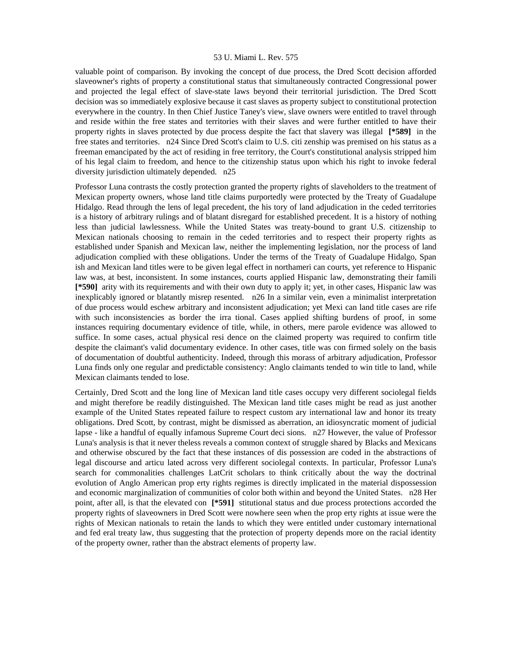valuable point of comparison. By invoking the concept of due process, the Dred Scott decision afforded slaveowner's rights of property a constitutional status that simultaneously contracted Congressional power and projected the legal effect of slave-state laws beyond their territorial jurisdiction. The Dred Scott decision was so immediately explosive because it cast slaves as property subject to constitutional protection everywhere in the country. In then Chief Justice Taney's view, slave owners were entitled to travel through and reside within the free states and territories with their slaves and were further entitled to have their property rights in slaves protected by due process despite the fact that slavery was illegal **[\*589]** in the free states and territories. n24 Since Dred Scott's claim to U.S. citi zenship was premised on his status as a freeman emancipated by the act of residing in free territory, the Court's constitutional analysis stripped him of his legal claim to freedom, and hence to the citizenship status upon which his right to invoke federal diversity jurisdiction ultimately depended. n25

Professor Luna contrasts the costly protection granted the property rights of slaveholders to the treatment of Mexican property owners, whose land title claims purportedly were protected by the Treaty of Guadalupe Hidalgo. Read through the lens of legal precedent, the his tory of land adjudication in the ceded territories is a history of arbitrary rulings and of blatant disregard for established precedent. It is a history of nothing less than judicial lawlessness. While the United States was treaty-bound to grant U.S. citizenship to Mexican nationals choosing to remain in the ceded territories and to respect their property rights as established under Spanish and Mexican law, neither the implementing legislation, nor the process of land adjudication complied with these obligations. Under the terms of the Treaty of Guadalupe Hidalgo, Span ish and Mexican land titles were to be given legal effect in northameri can courts, yet reference to Hispanic law was, at best, inconsistent. In some instances, courts applied Hispanic law, demonstrating their famili **[\*590]** arity with its requirements and with their own duty to apply it; yet, in other cases, Hispanic law was inexplicably ignored or blatantly misrep resented. n26 In a similar vein, even a minimalist interpretation of due process would eschew arbitrary and inconsistent adjudication; yet Mexi can land title cases are rife with such inconsistencies as border the irra tional. Cases applied shifting burdens of proof, in some instances requiring documentary evidence of title, while, in others, mere parole evidence was allowed to suffice. In some cases, actual physical resi dence on the claimed property was required to confirm title despite the claimant's valid documentary evidence. In other cases, title was con firmed solely on the basis of documentation of doubtful authenticity. Indeed, through this morass of arbitrary adjudication, Professor Luna finds only one regular and predictable consistency: Anglo claimants tended to win title to land, while Mexican claimants tended to lose.

Certainly, Dred Scott and the long line of Mexican land title cases occupy very different sociolegal fields and might therefore be readily distinguished. The Mexican land title cases might be read as just another example of the United States repeated failure to respect custom ary international law and honor its treaty obligations. Dred Scott, by contrast, might be dismissed as aberration, an idiosyncratic moment of judicial lapse - like a handful of equally infamous Supreme Court deci sions. n27 However, the value of Professor Luna's analysis is that it never theless reveals a common context of struggle shared by Blacks and Mexicans and otherwise obscured by the fact that these instances of dis possession are coded in the abstractions of legal discourse and articu lated across very different sociolegal contexts. In particular, Professor Luna's search for commonalities challenges LatCrit scholars to think critically about the way the doctrinal evolution of Anglo American prop erty rights regimes is directly implicated in the material dispossession and economic marginalization of communities of color both within and beyond the United States. n28 Her point, after all, is that the elevated con **[\*591]** stitutional status and due process protections accorded the property rights of slaveowners in Dred Scott were nowhere seen when the prop erty rights at issue were the rights of Mexican nationals to retain the lands to which they were entitled under customary international and fed eral treaty law, thus suggesting that the protection of property depends more on the racial identity of the property owner, rather than the abstract elements of property law.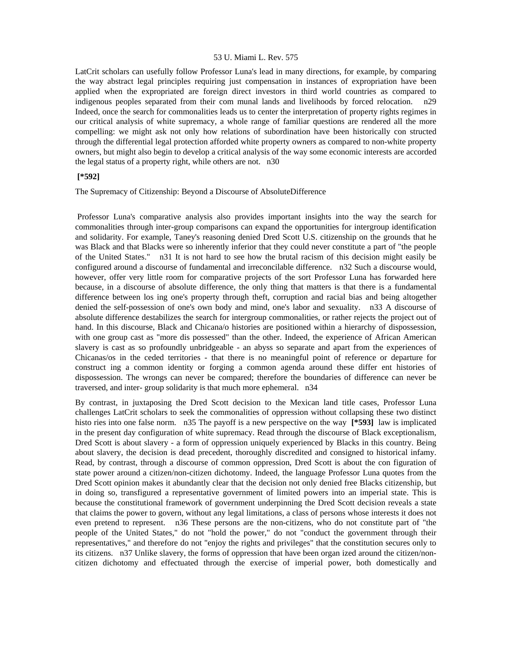LatCrit scholars can usefully follow Professor Luna's lead in many directions, for example, by comparing the way abstract legal principles requiring just compensation in instances of expropriation have been applied when the expropriated are foreign direct investors in third world countries as compared to indigenous peoples separated from their com munal lands and livelihoods by forced relocation. n29 Indeed, once the search for commonalities leads us to center the interpretation of property rights regimes in our critical analysis of white supremacy, a whole range of familiar questions are rendered all the more compelling: we might ask not only how relations of subordination have been historically con structed through the differential legal protection afforded white property owners as compared to non-white property owners, but might also begin to develop a critical analysis of the way some economic interests are accorded the legal status of a property right, while others are not. n30

### **[\*592]**

The Supremacy of Citizenship: Beyond a Discourse of AbsoluteDifference

 Professor Luna's comparative analysis also provides important insights into the way the search for commonalities through inter-group comparisons can expand the opportunities for intergroup identification and solidarity. For example, Taney's reasoning denied Dred Scott U.S. citizenship on the grounds that he was Black and that Blacks were so inherently inferior that they could never constitute a part of "the people of the United States." n31 It is not hard to see how the brutal racism of this decision might easily be configured around a discourse of fundamental and irreconcilable difference. n32 Such a discourse would, however, offer very little room for comparative projects of the sort Professor Luna has forwarded here because, in a discourse of absolute difference, the only thing that matters is that there is a fundamental difference between los ing one's property through theft, corruption and racial bias and being altogether denied the self-possession of one's own body and mind, one's labor and sexuality. n33 A discourse of absolute difference destabilizes the search for intergroup commonalities, or rather rejects the project out of hand. In this discourse, Black and Chicana/o histories are positioned within a hierarchy of dispossession, with one group cast as "more dis possessed" than the other. Indeed, the experience of African American slavery is cast as so profoundly unbridgeable - an abyss so separate and apart from the experiences of Chicanas/os in the ceded territories - that there is no meaningful point of reference or departure for construct ing a common identity or forging a common agenda around these differ ent histories of dispossession. The wrongs can never be compared; therefore the boundaries of difference can never be traversed, and inter- group solidarity is that much more ephemeral. n34

By contrast, in juxtaposing the Dred Scott decision to the Mexican land title cases, Professor Luna challenges LatCrit scholars to seek the commonalities of oppression without collapsing these two distinct histo ries into one false norm. n35 The payoff is a new perspective on the way **[\*593]** law is implicated in the present day configuration of white supremacy. Read through the discourse of Black exceptionalism, Dred Scott is about slavery - a form of oppression uniquely experienced by Blacks in this country. Being about slavery, the decision is dead precedent, thoroughly discredited and consigned to historical infamy. Read, by contrast, through a discourse of common oppression, Dred Scott is about the con figuration of state power around a citizen/non-citizen dichotomy. Indeed, the language Professor Luna quotes from the Dred Scott opinion makes it abundantly clear that the decision not only denied free Blacks citizenship, but in doing so, transfigured a representative government of limited powers into an imperial state. This is because the constitutional framework of government underpinning the Dred Scott decision reveals a state that claims the power to govern, without any legal limitations, a class of persons whose interests it does not even pretend to represent. n36 These persons are the non-citizens, who do not constitute part of "the people of the United States," do not "hold the power," do not "conduct the government through their representatives," and therefore do not "enjoy the rights and privileges" that the constitution secures only to its citizens. n37 Unlike slavery, the forms of oppression that have been organ ized around the citizen/noncitizen dichotomy and effectuated through the exercise of imperial power, both domestically and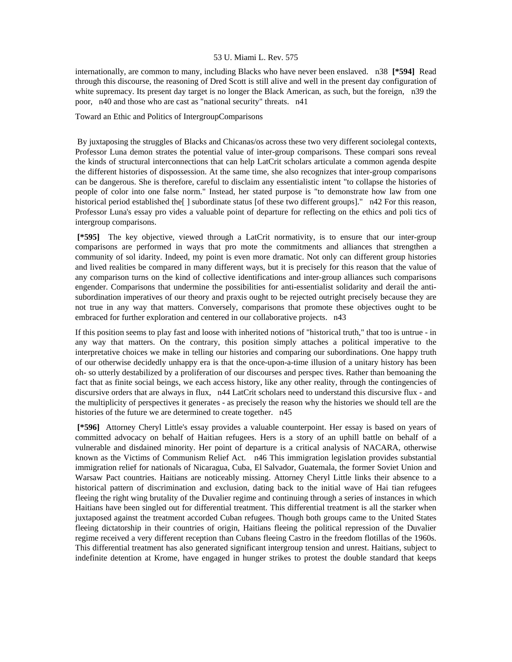internationally, are common to many, including Blacks who have never been enslaved. n38 **[\*594]** Read through this discourse, the reasoning of Dred Scott is still alive and well in the present day configuration of white supremacy. Its present day target is no longer the Black American, as such, but the foreign, n39 the poor, n40 and those who are cast as "national security" threats. n41

## Toward an Ethic and Politics of IntergroupComparisons

 By juxtaposing the struggles of Blacks and Chicanas/os across these two very different sociolegal contexts, Professor Luna demon strates the potential value of inter-group comparisons. These compari sons reveal the kinds of structural interconnections that can help LatCrit scholars articulate a common agenda despite the different histories of dispossession. At the same time, she also recognizes that inter-group comparisons can be dangerous. She is therefore, careful to disclaim any essentialistic intent "to collapse the histories of people of color into one false norm." Instead, her stated purpose is "to demonstrate how law from one historical period established the [] subordinate status [of these two different groups]." n42 For this reason, Professor Luna's essay pro vides a valuable point of departure for reflecting on the ethics and poli tics of intergroup comparisons.

 **[\*595]** The key objective, viewed through a LatCrit normativity, is to ensure that our inter-group comparisons are performed in ways that pro mote the commitments and alliances that strengthen a community of sol idarity. Indeed, my point is even more dramatic. Not only can different group histories and lived realities be compared in many different ways, but it is precisely for this reason that the value of any comparison turns on the kind of collective identifications and inter-group alliances such comparisons engender. Comparisons that undermine the possibilities for anti-essentialist solidarity and derail the antisubordination imperatives of our theory and praxis ought to be rejected outright precisely because they are not true in any way that matters. Conversely, comparisons that promote these objectives ought to be embraced for further exploration and centered in our collaborative projects. n43

If this position seems to play fast and loose with inherited notions of "historical truth," that too is untrue - in any way that matters. On the contrary, this position simply attaches a political imperative to the interpretative choices we make in telling our histories and comparing our subordinations. One happy truth of our otherwise decidedly unhappy era is that the once-upon-a-time illusion of a unitary history has been oh- so utterly destabilized by a proliferation of our discourses and perspec tives. Rather than bemoaning the fact that as finite social beings, we each access history, like any other reality, through the contingencies of discursive orders that are always in flux, n44 LatCrit scholars need to understand this discursive flux - and the multiplicity of perspectives it generates - as precisely the reason why the histories we should tell are the histories of the future we are determined to create together. n45

 **[\*596]** Attorney Cheryl Little's essay provides a valuable counterpoint. Her essay is based on years of committed advocacy on behalf of Haitian refugees. Hers is a story of an uphill battle on behalf of a vulnerable and disdained minority. Her point of departure is a critical analysis of NACARA, otherwise known as the Victims of Communism Relief Act. n46 This immigration legislation provides substantial immigration relief for nationals of Nicaragua, Cuba, El Salvador, Guatemala, the former Soviet Union and Warsaw Pact countries. Haitians are noticeably missing. Attorney Cheryl Little links their absence to a historical pattern of discrimination and exclusion, dating back to the initial wave of Hai tian refugees fleeing the right wing brutality of the Duvalier regime and continuing through a series of instances in which Haitians have been singled out for differential treatment. This differential treatment is all the starker when juxtaposed against the treatment accorded Cuban refugees. Though both groups came to the United States fleeing dictatorship in their countries of origin, Haitians fleeing the political repression of the Duvalier regime received a very different reception than Cubans fleeing Castro in the freedom flotillas of the 1960s. This differential treatment has also generated significant intergroup tension and unrest. Haitians, subject to indefinite detention at Krome, have engaged in hunger strikes to protest the double standard that keeps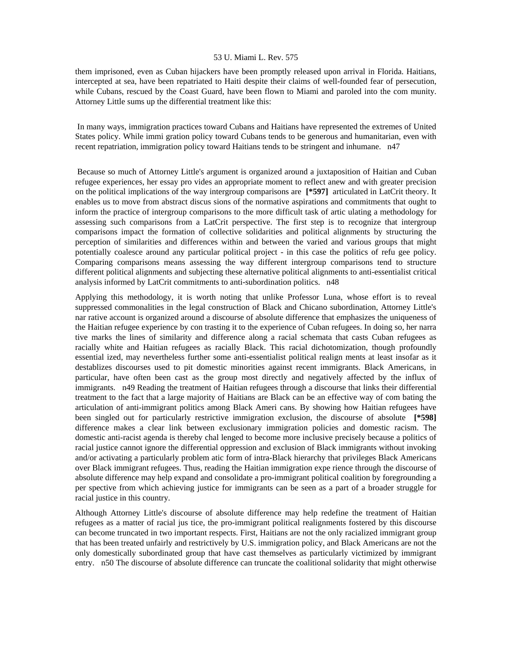them imprisoned, even as Cuban hijackers have been promptly released upon arrival in Florida. Haitians, intercepted at sea, have been repatriated to Haiti despite their claims of well-founded fear of persecution, while Cubans, rescued by the Coast Guard, have been flown to Miami and paroled into the com munity. Attorney Little sums up the differential treatment like this:

 In many ways, immigration practices toward Cubans and Haitians have represented the extremes of United States policy. While immi gration policy toward Cubans tends to be generous and humanitarian, even with recent repatriation, immigration policy toward Haitians tends to be stringent and inhumane. n47

 Because so much of Attorney Little's argument is organized around a juxtaposition of Haitian and Cuban refugee experiences, her essay pro vides an appropriate moment to reflect anew and with greater precision on the political implications of the way intergroup comparisons are **[\*597]** articulated in LatCrit theory. It enables us to move from abstract discus sions of the normative aspirations and commitments that ought to inform the practice of intergroup comparisons to the more difficult task of artic ulating a methodology for assessing such comparisons from a LatCrit perspective. The first step is to recognize that intergroup comparisons impact the formation of collective solidarities and political alignments by structuring the perception of similarities and differences within and between the varied and various groups that might potentially coalesce around any particular political project - in this case the politics of refu gee policy. Comparing comparisons means assessing the way different intergroup comparisons tend to structure different political alignments and subjecting these alternative political alignments to anti-essentialist critical analysis informed by LatCrit commitments to anti-subordination politics. n48

Applying this methodology, it is worth noting that unlike Professor Luna, whose effort is to reveal suppressed commonalities in the legal construction of Black and Chicano subordination, Attorney Little's nar rative account is organized around a discourse of absolute difference that emphasizes the uniqueness of the Haitian refugee experience by con trasting it to the experience of Cuban refugees. In doing so, her narra tive marks the lines of similarity and difference along a racial schemata that casts Cuban refugees as racially white and Haitian refugees as racially Black. This racial dichotomization, though profoundly essential ized, may nevertheless further some anti-essentialist political realign ments at least insofar as it destablizes discourses used to pit domestic minorities against recent immigrants. Black Americans, in particular, have often been cast as the group most directly and negatively affected by the influx of immigrants. n49 Reading the treatment of Haitian refugees through a discourse that links their differential treatment to the fact that a large majority of Haitians are Black can be an effective way of com bating the articulation of anti-immigrant politics among Black Ameri cans. By showing how Haitian refugees have been singled out for particularly restrictive immigration exclusion, the discourse of absolute **[\*598]**  difference makes a clear link between exclusionary immigration policies and domestic racism. The domestic anti-racist agenda is thereby chal lenged to become more inclusive precisely because a politics of racial justice cannot ignore the differential oppression and exclusion of Black immigrants without invoking and/or activating a particularly problem atic form of intra-Black hierarchy that privileges Black Americans over Black immigrant refugees. Thus, reading the Haitian immigration expe rience through the discourse of absolute difference may help expand and consolidate a pro-immigrant political coalition by foregrounding a per spective from which achieving justice for immigrants can be seen as a part of a broader struggle for racial justice in this country.

Although Attorney Little's discourse of absolute difference may help redefine the treatment of Haitian refugees as a matter of racial jus tice, the pro-immigrant political realignments fostered by this discourse can become truncated in two important respects. First, Haitians are not the only racialized immigrant group that has been treated unfairly and restrictively by U.S. immigration policy, and Black Americans are not the only domestically subordinated group that have cast themselves as particularly victimized by immigrant entry. n50 The discourse of absolute difference can truncate the coalitional solidarity that might otherwise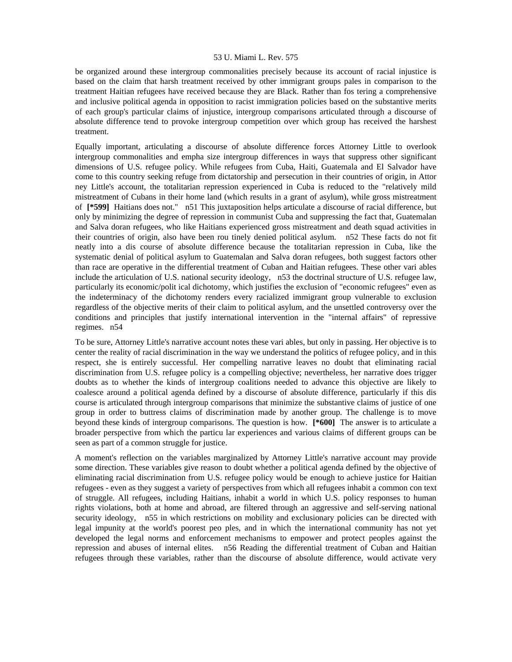be organized around these intergroup commonalities precisely because its account of racial injustice is based on the claim that harsh treatment received by other immigrant groups pales in comparison to the treatment Haitian refugees have received because they are Black. Rather than fos tering a comprehensive and inclusive political agenda in opposition to racist immigration policies based on the substantive merits of each group's particular claims of injustice, intergroup comparisons articulated through a discourse of absolute difference tend to provoke intergroup competition over which group has received the harshest treatment.

Equally important, articulating a discourse of absolute difference forces Attorney Little to overlook intergroup commonalities and empha size intergroup differences in ways that suppress other significant dimensions of U.S. refugee policy. While refugees from Cuba, Haiti, Guatemala and El Salvador have come to this country seeking refuge from dictatorship and persecution in their countries of origin, in Attor ney Little's account, the totalitarian repression experienced in Cuba is reduced to the "relatively mild mistreatment of Cubans in their home land (which results in a grant of asylum), while gross mistreatment of **[\*599]** Haitians does not." n51 This juxtaposition helps articulate a discourse of racial difference, but only by minimizing the degree of repression in communist Cuba and suppressing the fact that, Guatemalan and Salva doran refugees, who like Haitians experienced gross mistreatment and death squad activities in their countries of origin, also have been rou tinely denied political asylum. n52 These facts do not fit neatly into a dis course of absolute difference because the totalitarian repression in Cuba, like the systematic denial of political asylum to Guatemalan and Salva doran refugees, both suggest factors other than race are operative in the differential treatment of Cuban and Haitian refugees. These other vari ables include the articulation of U.S. national security ideology, n53 the doctrinal structure of U.S. refugee law, particularly its economic/polit ical dichotomy, which justifies the exclusion of "economic refugees" even as the indeterminacy of the dichotomy renders every racialized immigrant group vulnerable to exclusion regardless of the objective merits of their claim to political asylum, and the unsettled controversy over the conditions and principles that justify international intervention in the "internal affairs" of repressive regimes. n54

To be sure, Attorney Little's narrative account notes these vari ables, but only in passing. Her objective is to center the reality of racial discrimination in the way we understand the politics of refugee policy, and in this respect, she is entirely successful. Her compelling narrative leaves no doubt that eliminating racial discrimination from U.S. refugee policy is a compelling objective; nevertheless, her narrative does trigger doubts as to whether the kinds of intergroup coalitions needed to advance this objective are likely to coalesce around a political agenda defined by a discourse of absolute difference, particularly if this dis course is articulated through intergroup comparisons that minimize the substantive claims of justice of one group in order to buttress claims of discrimination made by another group. The challenge is to move beyond these kinds of intergroup comparisons. The question is how. **[\*600]** The answer is to articulate a broader perspective from which the particu lar experiences and various claims of different groups can be seen as part of a common struggle for justice.

A moment's reflection on the variables marginalized by Attorney Little's narrative account may provide some direction. These variables give reason to doubt whether a political agenda defined by the objective of eliminating racial discrimination from U.S. refugee policy would be enough to achieve justice for Haitian refugees - even as they suggest a variety of perspectives from which all refugees inhabit a common con text of struggle. All refugees, including Haitians, inhabit a world in which U.S. policy responses to human rights violations, both at home and abroad, are filtered through an aggressive and self-serving national security ideology, n55 in which restrictions on mobility and exclusionary policies can be directed with legal impunity at the world's poorest peo ples, and in which the international community has not yet developed the legal norms and enforcement mechanisms to empower and protect peoples against the repression and abuses of internal elites. n56 Reading the differential treatment of Cuban and Haitian refugees through these variables, rather than the discourse of absolute difference, would activate very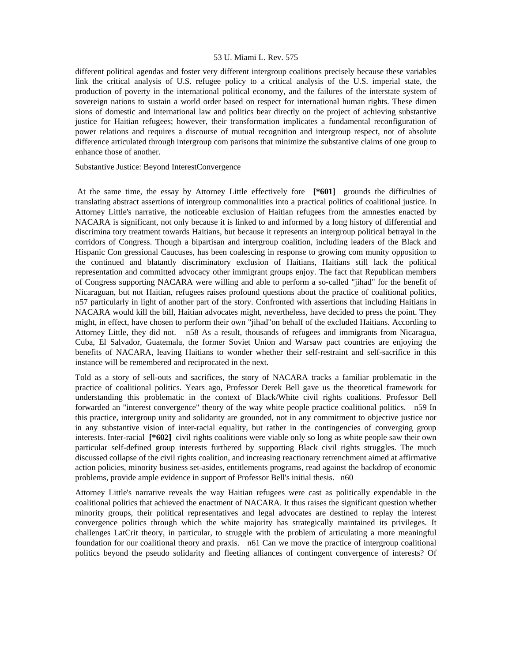different political agendas and foster very different intergroup coalitions precisely because these variables link the critical analysis of U.S. refugee policy to a critical analysis of the U.S. imperial state, the production of poverty in the international political economy, and the failures of the interstate system of sovereign nations to sustain a world order based on respect for international human rights. These dimen sions of domestic and international law and politics bear directly on the project of achieving substantive justice for Haitian refugees; however, their transformation implicates a fundamental reconfiguration of power relations and requires a discourse of mutual recognition and intergroup respect, not of absolute difference articulated through intergroup com parisons that minimize the substantive claims of one group to enhance those of another.

Substantive Justice: Beyond InterestConvergence

 At the same time, the essay by Attorney Little effectively fore **[\*601]** grounds the difficulties of translating abstract assertions of intergroup commonalities into a practical politics of coalitional justice. In Attorney Little's narrative, the noticeable exclusion of Haitian refugees from the amnesties enacted by NACARA is significant, not only because it is linked to and informed by a long history of differential and discrimina tory treatment towards Haitians, but because it represents an intergroup political betrayal in the corridors of Congress. Though a bipartisan and intergroup coalition, including leaders of the Black and Hispanic Con gressional Caucuses, has been coalescing in response to growing com munity opposition to the continued and blatantly discriminatory exclusion of Haitians, Haitians still lack the political representation and committed advocacy other immigrant groups enjoy. The fact that Republican members of Congress supporting NACARA were willing and able to perform a so-called "jihad" for the benefit of Nicaraguan, but not Haitian, refugees raises profound questions about the practice of coalitional politics, n57 particularly in light of another part of the story. Confronted with assertions that including Haitians in NACARA would kill the bill, Haitian advocates might, nevertheless, have decided to press the point. They might, in effect, have chosen to perform their own "jihad"on behalf of the excluded Haitians. According to Attorney Little, they did not. n58 As a result, thousands of refugees and immigrants from Nicaragua, Cuba, El Salvador, Guatemala, the former Soviet Union and Warsaw pact countries are enjoying the benefits of NACARA, leaving Haitians to wonder whether their self-restraint and self-sacrifice in this instance will be remembered and reciprocated in the next.

Told as a story of sell-outs and sacrifices, the story of NACARA tracks a familiar problematic in the practice of coalitional politics. Years ago, Professor Derek Bell gave us the theoretical framework for understanding this problematic in the context of Black/White civil rights coalitions. Professor Bell forwarded an "interest convergence" theory of the way white people practice coalitional politics. n59 In this practice, intergroup unity and solidarity are grounded, not in any commitment to objective justice nor in any substantive vision of inter-racial equality, but rather in the contingencies of converging group interests. Inter-racial **[\*602]** civil rights coalitions were viable only so long as white people saw their own particular self-defined group interests furthered by supporting Black civil rights struggles. The much discussed collapse of the civil rights coalition, and increasing reactionary retrenchment aimed at affirmative action policies, minority business set-asides, entitlements programs, read against the backdrop of economic problems, provide ample evidence in support of Professor Bell's initial thesis. n60

Attorney Little's narrative reveals the way Haitian refugees were cast as politically expendable in the coalitional politics that achieved the enactment of NACARA. It thus raises the significant question whether minority groups, their political representatives and legal advocates are destined to replay the interest convergence politics through which the white majority has strategically maintained its privileges. It challenges LatCrit theory, in particular, to struggle with the problem of articulating a more meaningful foundation for our coalitional theory and praxis. n61 Can we move the practice of intergroup coalitional politics beyond the pseudo solidarity and fleeting alliances of contingent convergence of interests? Of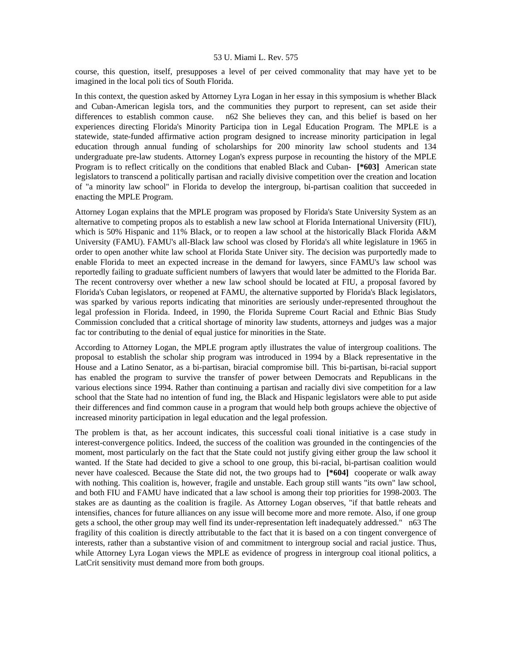course, this question, itself, presupposes a level of per ceived commonality that may have yet to be imagined in the local poli tics of South Florida.

In this context, the question asked by Attorney Lyra Logan in her essay in this symposium is whether Black and Cuban-American legisla tors, and the communities they purport to represent, can set aside their differences to establish common cause. n62 She believes they can, and this belief is based on her experiences directing Florida's Minority Participa tion in Legal Education Program. The MPLE is a statewide, state-funded affirmative action program designed to increase minority participation in legal education through annual funding of scholarships for 200 minority law school students and 134 undergraduate pre-law students. Attorney Logan's express purpose in recounting the history of the MPLE Program is to reflect critically on the conditions that enabled Black and Cuban- **[\*603]** American state legislators to transcend a politically partisan and racially divisive competition over the creation and location of "a minority law school" in Florida to develop the intergroup, bi-partisan coalition that succeeded in enacting the MPLE Program.

Attorney Logan explains that the MPLE program was proposed by Florida's State University System as an alternative to competing propos als to establish a new law school at Florida International University (FIU), which is 50% Hispanic and 11% Black, or to reopen a law school at the historically Black Florida A&M University (FAMU). FAMU's all-Black law school was closed by Florida's all white legislature in 1965 in order to open another white law school at Florida State Univer sity. The decision was purportedly made to enable Florida to meet an expected increase in the demand for lawyers, since FAMU's law school was reportedly failing to graduate sufficient numbers of lawyers that would later be admitted to the Florida Bar. The recent controversy over whether a new law school should be located at FIU, a proposal favored by Florida's Cuban legislators, or reopened at FAMU, the alternative supported by Florida's Black legislators, was sparked by various reports indicating that minorities are seriously under-represented throughout the legal profession in Florida. Indeed, in 1990, the Florida Supreme Court Racial and Ethnic Bias Study Commission concluded that a critical shortage of minority law students, attorneys and judges was a major fac tor contributing to the denial of equal justice for minorities in the State.

According to Attorney Logan, the MPLE program aptly illustrates the value of intergroup coalitions. The proposal to establish the scholar ship program was introduced in 1994 by a Black representative in the House and a Latino Senator, as a bi-partisan, biracial compromise bill. This bi-partisan, bi-racial support has enabled the program to survive the transfer of power between Democrats and Republicans in the various elections since 1994. Rather than continuing a partisan and racially divi sive competition for a law school that the State had no intention of fund ing, the Black and Hispanic legislators were able to put aside their differences and find common cause in a program that would help both groups achieve the objective of increased minority participation in legal education and the legal profession.

The problem is that, as her account indicates, this successful coali tional initiative is a case study in interest-convergence politics. Indeed, the success of the coalition was grounded in the contingencies of the moment, most particularly on the fact that the State could not justify giving either group the law school it wanted. If the State had decided to give a school to one group, this bi-racial, bi-partisan coalition would never have coalesced. Because the State did not, the two groups had to **[\*604]** cooperate or walk away with nothing. This coalition is, however, fragile and unstable. Each group still wants "its own" law school, and both FIU and FAMU have indicated that a law school is among their top priorities for 1998-2003. The stakes are as daunting as the coalition is fragile. As Attorney Logan observes, "if that battle reheats and intensifies, chances for future alliances on any issue will become more and more remote. Also, if one group gets a school, the other group may well find its under-representation left inadequately addressed." n63 The fragility of this coalition is directly attributable to the fact that it is based on a con tingent convergence of interests, rather than a substantive vision of and commitment to intergroup social and racial justice. Thus, while Attorney Lyra Logan views the MPLE as evidence of progress in intergroup coal itional politics, a LatCrit sensitivity must demand more from both groups.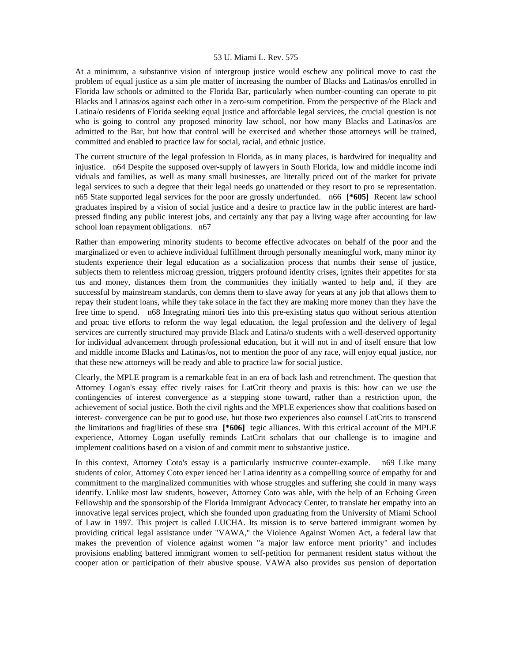At a minimum, a substantive vision of intergroup justice would eschew any political move to cast the problem of equal justice as a sim ple matter of increasing the number of Blacks and Latinas/os enrolled in Florida law schools or admitted to the Florida Bar, particularly when number-counting can operate to pit Blacks and Latinas/os against each other in a zero-sum competition. From the perspective of the Black and Latina/o residents of Florida seeking equal justice and affordable legal services, the crucial question is not who is going to control any proposed minority law school, nor how many Blacks and Latinas/os are admitted to the Bar, but how that control will be exercised and whether those attorneys will be trained, committed and enabled to practice law for social, racial, and ethnic justice.

The current structure of the legal profession in Florida, as in many places, is hardwired for inequality and injustice. n64 Despite the supposed over-supply of lawyers in South Florida, low and middle income indi viduals and families, as well as many small businesses, are literally priced out of the market for private legal services to such a degree that their legal needs go unattended or they resort to pro se representation. n65 State supported legal services for the poor are grossly underfunded. n66 **[\*605]** Recent law school graduates inspired by a vision of social justice and a desire to practice law in the public interest are hardpressed finding any public interest jobs, and certainly any that pay a living wage after accounting for law school loan repayment obligations. n67

Rather than empowering minority students to become effective advocates on behalf of the poor and the marginalized or even to achieve individual fulfillment through personally meaningful work, many minor ity students experience their legal education as a socialization process that numbs their sense of justice, subjects them to relentless microag gression, triggers profound identity crises, ignites their appetites for sta tus and money, distances them from the communities they initially wanted to help and, if they are successful by mainstream standards, con demns them to slave away for years at any job that allows them to repay their student loans, while they take solace in the fact they are making more money than they have the free time to spend. n68 Integrating minori ties into this pre-existing status quo without serious attention and proac tive efforts to reform the way legal education, the legal profession and the delivery of legal services are currently structured may provide Black and Latina/o students with a well-deserved opportunity for individual advancement through professional education, but it will not in and of itself ensure that low and middle income Blacks and Latinas/os, not to mention the poor of any race, will enjoy equal justice, nor that these new attorneys will be ready and able to practice law for social justice.

Clearly, the MPLE program is a remarkable feat in an era of back lash and retrenchment. The question that Attorney Logan's essay effec tively raises for LatCrit theory and praxis is this: how can we use the contingencies of interest convergence as a stepping stone toward, rather than a restriction upon, the achievement of social justice. Both the civil rights and the MPLE experiences show that coalitions based on interest- convergence can be put to good use, but those two experiences also counsel LatCrits to transcend the limitations and fragilities of these stra **[\*606]** tegic alliances. With this critical account of the MPLE experience, Attorney Logan usefully reminds LatCrit scholars that our challenge is to imagine and implement coalitions based on a vision of and commit ment to substantive justice.

In this context, Attorney Coto's essay is a particularly instructive counter-example. n69 Like many students of color, Attorney Coto exper ienced her Latina identity as a compelling source of empathy for and commitment to the marginalized communities with whose struggles and suffering she could in many ways identify. Unlike most law students, however, Attorney Coto was able, with the help of an Echoing Green Fellowship and the sponsorship of the Florida Immigrant Advocacy Center, to translate her empathy into an innovative legal services project, which she founded upon graduating from the University of Miami School of Law in 1997. This project is called LUCHA. Its mission is to serve battered immigrant women by providing critical legal assistance under "VAWA," the Violence Against Women Act, a federal law that makes the prevention of violence against women "a major law enforce ment priority" and includes provisions enabling battered immigrant women to self-petition for permanent resident status without the cooper ation or participation of their abusive spouse. VAWA also provides sus pension of deportation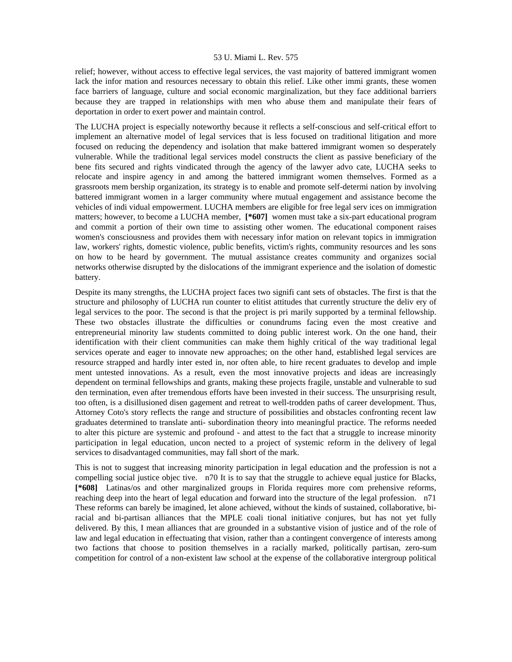relief; however, without access to effective legal services, the vast majority of battered immigrant women lack the infor mation and resources necessary to obtain this relief. Like other immi grants, these women face barriers of language, culture and social economic marginalization, but they face additional barriers because they are trapped in relationships with men who abuse them and manipulate their fears of deportation in order to exert power and maintain control.

The LUCHA project is especially noteworthy because it reflects a self-conscious and self-critical effort to implement an alternative model of legal services that is less focused on traditional litigation and more focused on reducing the dependency and isolation that make battered immigrant women so desperately vulnerable. While the traditional legal services model constructs the client as passive beneficiary of the bene fits secured and rights vindicated through the agency of the lawyer advo cate, LUCHA seeks to relocate and inspire agency in and among the battered immigrant women themselves. Formed as a grassroots mem bership organization, its strategy is to enable and promote self-determi nation by involving battered immigrant women in a larger community where mutual engagement and assistance become the vehicles of indi vidual empowerment. LUCHA members are eligible for free legal serv ices on immigration matters; however, to become a LUCHA member, **[\*607]** women must take a six-part educational program and commit a portion of their own time to assisting other women. The educational component raises women's consciousness and provides them with necessary infor mation on relevant topics in immigration law, workers' rights, domestic violence, public benefits, victim's rights, community resources and les sons on how to be heard by government. The mutual assistance creates community and organizes social networks otherwise disrupted by the dislocations of the immigrant experience and the isolation of domestic battery.

Despite its many strengths, the LUCHA project faces two signifi cant sets of obstacles. The first is that the structure and philosophy of LUCHA run counter to elitist attitudes that currently structure the deliv ery of legal services to the poor. The second is that the project is pri marily supported by a terminal fellowship. These two obstacles illustrate the difficulties or conundrums facing even the most creative and entrepreneurial minority law students committed to doing public interest work. On the one hand, their identification with their client communities can make them highly critical of the way traditional legal services operate and eager to innovate new approaches; on the other hand, established legal services are resource strapped and hardly inter ested in, nor often able, to hire recent graduates to develop and imple ment untested innovations. As a result, even the most innovative projects and ideas are increasingly dependent on terminal fellowships and grants, making these projects fragile, unstable and vulnerable to sud den termination, even after tremendous efforts have been invested in their success. The unsurprising result, too often, is a disillusioned disen gagement and retreat to well-trodden paths of career development. Thus, Attorney Coto's story reflects the range and structure of possibilities and obstacles confronting recent law graduates determined to translate anti- subordination theory into meaningful practice. The reforms needed to alter this picture are systemic and profound - and attest to the fact that a struggle to increase minority participation in legal education, uncon nected to a project of systemic reform in the delivery of legal services to disadvantaged communities, may fall short of the mark.

This is not to suggest that increasing minority participation in legal education and the profession is not a compelling social justice objec tive. n70 It is to say that the struggle to achieve equal justice for Blacks, **[\*608]** Latinas/os and other marginalized groups in Florida requires more com prehensive reforms, reaching deep into the heart of legal education and forward into the structure of the legal profession. n71 These reforms can barely be imagined, let alone achieved, without the kinds of sustained, collaborative, biracial and bi-partisan alliances that the MPLE coali tional initiative conjures, but has not yet fully delivered. By this, I mean alliances that are grounded in a substantive vision of justice and of the role of law and legal education in effectuating that vision, rather than a contingent convergence of interests among two factions that choose to position themselves in a racially marked, politically partisan, zero-sum competition for control of a non-existent law school at the expense of the collaborative intergroup political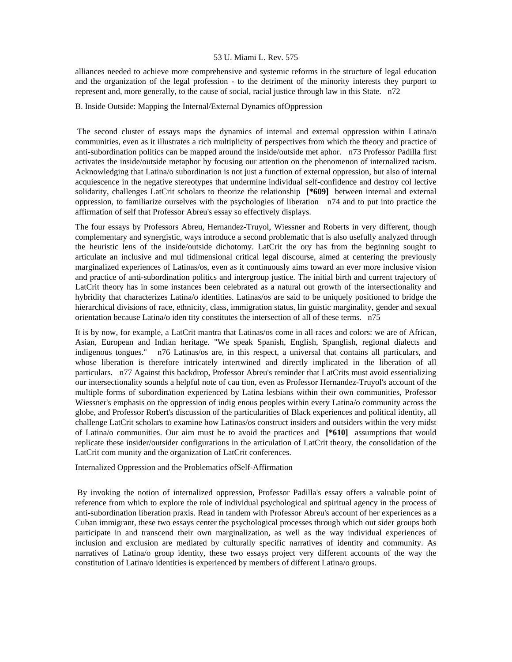alliances needed to achieve more comprehensive and systemic reforms in the structure of legal education and the organization of the legal profession - to the detriment of the minority interests they purport to represent and, more generally, to the cause of social, racial justice through law in this State. n72

# B. Inside Outside: Mapping the Internal/External Dynamics ofOppression

 The second cluster of essays maps the dynamics of internal and external oppression within Latina/o communities, even as it illustrates a rich multiplicity of perspectives from which the theory and practice of anti-subordination politics can be mapped around the inside/outside met aphor. n73 Professor Padilla first activates the inside/outside metaphor by focusing our attention on the phenomenon of internalized racism. Acknowledging that Latina/o subordination is not just a function of external oppression, but also of internal acquiescence in the negative stereotypes that undermine individual self-confidence and destroy col lective solidarity, challenges LatCrit scholars to theorize the relationship **[\*609]** between internal and external oppression, to familiarize ourselves with the psychologies of liberation n74 and to put into practice the affirmation of self that Professor Abreu's essay so effectively displays.

The four essays by Professors Abreu, Hernandez-Truyol, Wiessner and Roberts in very different, though complementary and synergistic, ways introduce a second problematic that is also usefully analyzed through the heuristic lens of the inside/outside dichotomy. LatCrit the ory has from the beginning sought to articulate an inclusive and mul tidimensional critical legal discourse, aimed at centering the previously marginalized experiences of Latinas/os, even as it continuously aims toward an ever more inclusive vision and practice of anti-subordination politics and intergroup justice. The initial birth and current trajectory of LatCrit theory has in some instances been celebrated as a natural out growth of the intersectionality and hybridity that characterizes Latina/o identities. Latinas/os are said to be uniquely positioned to bridge the hierarchical divisions of race, ethnicity, class, immigration status, lin guistic marginality, gender and sexual orientation because Latina/o iden tity constitutes the intersection of all of these terms. n75

It is by now, for example, a LatCrit mantra that Latinas/os come in all races and colors: we are of African, Asian, European and Indian heritage. "We speak Spanish, English, Spanglish, regional dialects and indigenous tongues." n76 Latinas/os are, in this respect, a universal that contains all particulars, and whose liberation is therefore intricately intertwined and directly implicated in the liberation of all particulars. n77 Against this backdrop, Professor Abreu's reminder that LatCrits must avoid essentializing our intersectionality sounds a helpful note of cau tion, even as Professor Hernandez-Truyol's account of the multiple forms of subordination experienced by Latina lesbians within their own communities, Professor Wiessner's emphasis on the oppression of indig enous peoples within every Latina/o community across the globe, and Professor Robert's discussion of the particularities of Black experiences and political identity, all challenge LatCrit scholars to examine how Latinas/os construct insiders and outsiders within the very midst of Latina/o communities. Our aim must be to avoid the practices and **[\*610]** assumptions that would replicate these insider/outsider configurations in the articulation of LatCrit theory, the consolidation of the LatCrit com munity and the organization of LatCrit conferences.

Internalized Oppression and the Problematics ofSelf-Affirmation

 By invoking the notion of internalized oppression, Professor Padilla's essay offers a valuable point of reference from which to explore the role of individual psychological and spiritual agency in the process of anti-subordination liberation praxis. Read in tandem with Professor Abreu's account of her experiences as a Cuban immigrant, these two essays center the psychological processes through which out sider groups both participate in and transcend their own marginalization, as well as the way individual experiences of inclusion and exclusion are mediated by culturally specific narratives of identity and community. As narratives of Latina/o group identity, these two essays project very different accounts of the way the constitution of Latina/o identities is experienced by members of different Latina/o groups.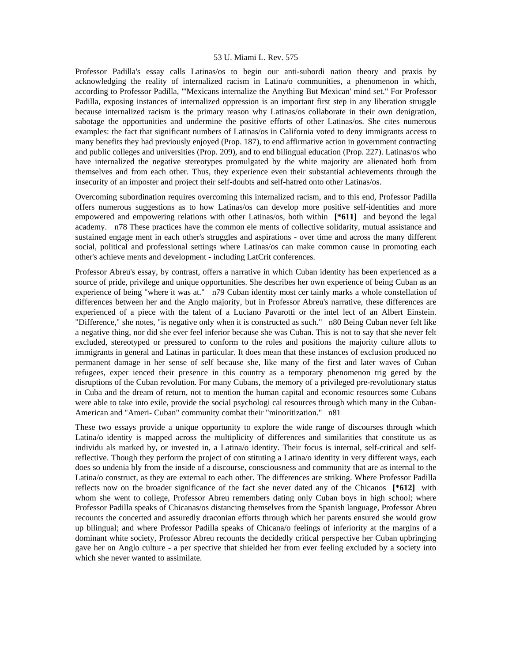Professor Padilla's essay calls Latinas/os to begin our anti-subordi nation theory and praxis by acknowledging the reality of internalized racism in Latina/o communities, a phenomenon in which, according to Professor Padilla, "'Mexicans internalize the Anything But Mexican' mind set." For Professor Padilla, exposing instances of internalized oppression is an important first step in any liberation struggle because internalized racism is the primary reason why Latinas/os collaborate in their own denigration, sabotage the opportunities and undermine the positive efforts of other Latinas/os. She cites numerous examples: the fact that significant numbers of Latinas/os in California voted to deny immigrants access to many benefits they had previously enjoyed (Prop. 187), to end affirmative action in government contracting and public colleges and universities (Prop. 209), and to end bilingual education (Prop. 227). Latinas/os who have internalized the negative stereotypes promulgated by the white majority are alienated both from themselves and from each other. Thus, they experience even their substantial achievements through the insecurity of an imposter and project their self-doubts and self-hatred onto other Latinas/os.

Overcoming subordination requires overcoming this internalized racism, and to this end, Professor Padilla offers numerous suggestions as to how Latinas/os can develop more positive self-identities and more empowered and empowering relations with other Latinas/os, both within **[\*611]** and beyond the legal academy. n78 These practices have the common ele ments of collective solidarity, mutual assistance and sustained engage ment in each other's struggles and aspirations - over time and across the many different social, political and professional settings where Latinas/os can make common cause in promoting each other's achieve ments and development - including LatCrit conferences.

Professor Abreu's essay, by contrast, offers a narrative in which Cuban identity has been experienced as a source of pride, privilege and unique opportunities. She describes her own experience of being Cuban as an experience of being "where it was at." n79 Cuban identity most cer tainly marks a whole constellation of differences between her and the Anglo majority, but in Professor Abreu's narrative, these differences are experienced of a piece with the talent of a Luciano Pavarotti or the intel lect of an Albert Einstein. "Difference," she notes, "is negative only when it is constructed as such." n80 Being Cuban never felt like a negative thing, nor did she ever feel inferior because she was Cuban. This is not to say that she never felt excluded, stereotyped or pressured to conform to the roles and positions the majority culture allots to immigrants in general and Latinas in particular. It does mean that these instances of exclusion produced no permanent damage in her sense of self because she, like many of the first and later waves of Cuban refugees, exper ienced their presence in this country as a temporary phenomenon trig gered by the disruptions of the Cuban revolution. For many Cubans, the memory of a privileged pre-revolutionary status in Cuba and the dream of return, not to mention the human capital and economic resources some Cubans were able to take into exile, provide the social psychologi cal resources through which many in the Cuban-American and "Ameri- Cuban" community combat their "minoritization." n81

These two essays provide a unique opportunity to explore the wide range of discourses through which Latina/o identity is mapped across the multiplicity of differences and similarities that constitute us as individu als marked by, or invested in, a Latina/o identity. Their focus is internal, self-critical and selfreflective. Though they perform the project of con stituting a Latina/o identity in very different ways, each does so undenia bly from the inside of a discourse, consciousness and community that are as internal to the Latina/o construct, as they are external to each other. The differences are striking. Where Professor Padilla reflects now on the broader significance of the fact she never dated any of the Chicanos **[\*612]** with whom she went to college, Professor Abreu remembers dating only Cuban boys in high school; where Professor Padilla speaks of Chicanas/os distancing themselves from the Spanish language, Professor Abreu recounts the concerted and assuredly draconian efforts through which her parents ensured she would grow up bilingual; and where Professor Padilla speaks of Chicana/o feelings of inferiority at the margins of a dominant white society, Professor Abreu recounts the decidedly critical perspective her Cuban upbringing gave her on Anglo culture - a per spective that shielded her from ever feeling excluded by a society into which she never wanted to assimilate.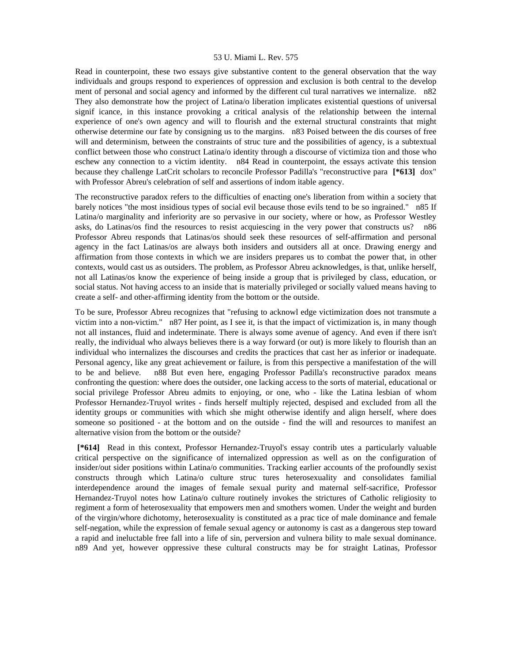Read in counterpoint, these two essays give substantive content to the general observation that the way individuals and groups respond to experiences of oppression and exclusion is both central to the develop ment of personal and social agency and informed by the different cul tural narratives we internalize. n82 They also demonstrate how the project of Latina/o liberation implicates existential questions of universal signif icance, in this instance provoking a critical analysis of the relationship between the internal experience of one's own agency and will to flourish and the external structural constraints that might otherwise determine our fate by consigning us to the margins. n83 Poised between the dis courses of free will and determinism, between the constraints of struc ture and the possibilities of agency, is a subtextual conflict between those who construct Latina/o identity through a discourse of victimiza tion and those who eschew any connection to a victim identity. n84 Read in counterpoint, the essays activate this tension because they challenge LatCrit scholars to reconcile Professor Padilla's "reconstructive para **[\*613]** dox" with Professor Abreu's celebration of self and assertions of indom itable agency.

The reconstructive paradox refers to the difficulties of enacting one's liberation from within a society that barely notices "the most insidious types of social evil because those evils tend to be so ingrained." n85 If Latina/o marginality and inferiority are so pervasive in our society, where or how, as Professor Westley asks, do Latinas/os find the resources to resist acquiescing in the very power that constructs us? n86 Professor Abreu responds that Latinas/os should seek these resources of self-affirmation and personal agency in the fact Latinas/os are always both insiders and outsiders all at once. Drawing energy and affirmation from those contexts in which we are insiders prepares us to combat the power that, in other contexts, would cast us as outsiders. The problem, as Professor Abreu acknowledges, is that, unlike herself, not all Latinas/os know the experience of being inside a group that is privileged by class, education, or social status. Not having access to an inside that is materially privileged or socially valued means having to create a self- and other-affirming identity from the bottom or the outside.

To be sure, Professor Abreu recognizes that "refusing to acknowl edge victimization does not transmute a victim into a non-victim." n87 Her point, as I see it, is that the impact of victimization is, in many though not all instances, fluid and indeterminate. There is always some avenue of agency. And even if there isn't really, the individual who always believes there is a way forward (or out) is more likely to flourish than an individual who internalizes the discourses and credits the practices that cast her as inferior or inadequate. Personal agency, like any great achievement or failure, is from this perspective a manifestation of the will to be and believe. n88 But even here, engaging Professor Padilla's reconstructive paradox means confronting the question: where does the outsider, one lacking access to the sorts of material, educational or social privilege Professor Abreu admits to enjoying, or one, who - like the Latina lesbian of whom Professor Hernandez-Truyol writes - finds herself multiply rejected, despised and excluded from all the identity groups or communities with which she might otherwise identify and align herself, where does someone so positioned - at the bottom and on the outside - find the will and resources to manifest an alternative vision from the bottom or the outside?

 **[\*614]** Read in this context, Professor Hernandez-Truyol's essay contrib utes a particularly valuable critical perspective on the significance of internalized oppression as well as on the configuration of insider/out sider positions within Latina/o communities. Tracking earlier accounts of the profoundly sexist constructs through which Latina/o culture struc tures heterosexuality and consolidates familial interdependence around the images of female sexual purity and maternal self-sacrifice, Professor Hernandez-Truyol notes how Latina/o culture routinely invokes the strictures of Catholic religiosity to regiment a form of heterosexuality that empowers men and smothers women. Under the weight and burden of the virgin/whore dichotomy, heterosexuality is constituted as a prac tice of male dominance and female self-negation, while the expression of female sexual agency or autonomy is cast as a dangerous step toward a rapid and ineluctable free fall into a life of sin, perversion and vulnera bility to male sexual dominance. n89 And yet, however oppressive these cultural constructs may be for straight Latinas, Professor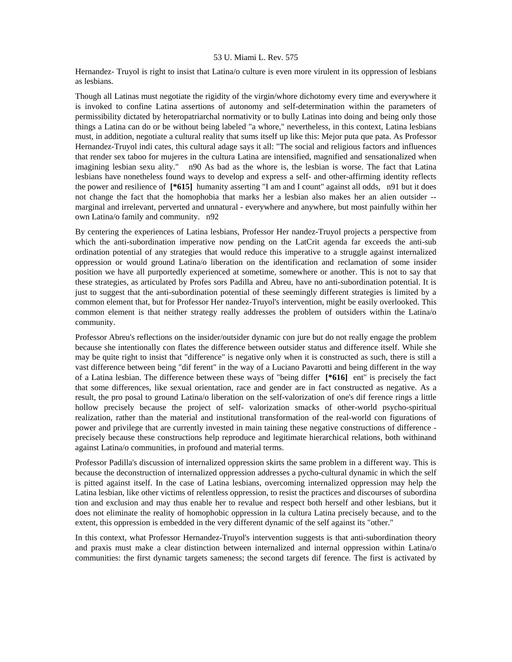Hernandez- Truyol is right to insist that Latina/o culture is even more virulent in its oppression of lesbians as lesbians.

Though all Latinas must negotiate the rigidity of the virgin/whore dichotomy every time and everywhere it is invoked to confine Latina assertions of autonomy and self-determination within the parameters of permissibility dictated by heteropatriarchal normativity or to bully Latinas into doing and being only those things a Latina can do or be without being labeled "a whore," nevertheless, in this context, Latina lesbians must, in addition, negotiate a cultural reality that sums itself up like this: Mejor puta que pata. As Professor Hernandez-Truyol indi cates, this cultural adage says it all: "The social and religious factors and influences that render sex taboo for mujeres in the cultura Latina are intensified, magnified and sensationalized when imagining lesbian sexu ality." n90 As bad as the whore is, the lesbian is worse. The fact that Latina lesbians have nonetheless found ways to develop and express a self- and other-affirming identity reflects the power and resilience of **[\*615]** humanity asserting "I am and I count" against all odds, n91 but it does not change the fact that the homophobia that marks her a lesbian also makes her an alien outsider - marginal and irrelevant, perverted and unnatural - everywhere and anywhere, but most painfully within her own Latina/o family and community. n92

By centering the experiences of Latina lesbians, Professor Her nandez-Truyol projects a perspective from which the anti-subordination imperative now pending on the LatCrit agenda far exceeds the anti-sub ordination potential of any strategies that would reduce this imperative to a struggle against internalized oppression or would ground Latina/o liberation on the identification and reclamation of some insider position we have all purportedly experienced at sometime, somewhere or another. This is not to say that these strategies, as articulated by Profes sors Padilla and Abreu, have no anti-subordination potential. It is just to suggest that the anti-subordination potential of these seemingly different strategies is limited by a common element that, but for Professor Her nandez-Truyol's intervention, might be easily overlooked. This common element is that neither strategy really addresses the problem of outsiders within the Latina/o community.

Professor Abreu's reflections on the insider/outsider dynamic con jure but do not really engage the problem because she intentionally con flates the difference between outsider status and difference itself. While she may be quite right to insist that "difference" is negative only when it is constructed as such, there is still a vast difference between being "dif ferent" in the way of a Luciano Pavarotti and being different in the way of a Latina lesbian. The difference between these ways of "being differ **[\*616]** ent" is precisely the fact that some differences, like sexual orientation, race and gender are in fact constructed as negative. As a result, the pro posal to ground Latina/o liberation on the self-valorization of one's dif ference rings a little hollow precisely because the project of self- valorization smacks of other-world psycho-spiritual realization, rather than the material and institutional transformation of the real-world con figurations of power and privilege that are currently invested in main taining these negative constructions of difference precisely because these constructions help reproduce and legitimate hierarchical relations, both withinand against Latina/o communities, in profound and material terms.

Professor Padilla's discussion of internalized oppression skirts the same problem in a different way. This is because the deconstruction of internalized oppression addresses a pycho-cultural dynamic in which the self is pitted against itself. In the case of Latina lesbians, overcoming internalized oppression may help the Latina lesbian, like other victims of relentless oppression, to resist the practices and discourses of subordina tion and exclusion and may thus enable her to revalue and respect both herself and other lesbians, but it does not eliminate the reality of homophobic oppression in la cultura Latina precisely because, and to the extent, this oppression is embedded in the very different dynamic of the self against its "other."

In this context, what Professor Hernandez-Truyol's intervention suggests is that anti-subordination theory and praxis must make a clear distinction between internalized and internal oppression within Latina/o communities: the first dynamic targets sameness; the second targets dif ference. The first is activated by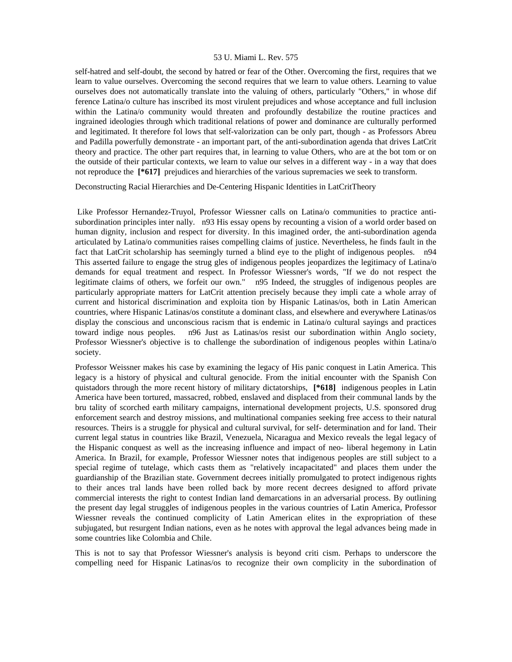self-hatred and self-doubt, the second by hatred or fear of the Other. Overcoming the first, requires that we learn to value ourselves. Overcoming the second requires that we learn to value others. Learning to value ourselves does not automatically translate into the valuing of others, particularly "Others," in whose dif ference Latina/o culture has inscribed its most virulent prejudices and whose acceptance and full inclusion within the Latina/o community would threaten and profoundly destabilize the routine practices and ingrained ideologies through which traditional relations of power and dominance are culturally performed and legitimated. It therefore fol lows that self-valorization can be only part, though - as Professors Abreu and Padilla powerfully demonstrate - an important part, of the anti-subordination agenda that drives LatCrit theory and practice. The other part requires that, in learning to value Others, who are at the bot tom or on the outside of their particular contexts, we learn to value our selves in a different way - in a way that does not reproduce the **[\*617]** prejudices and hierarchies of the various supremacies we seek to transform.

Deconstructing Racial Hierarchies and De-Centering Hispanic Identities in LatCritTheory

 Like Professor Hernandez-Truyol, Professor Wiessner calls on Latina/o communities to practice antisubordination principles inter nally. n93 His essay opens by recounting a vision of a world order based on human dignity, inclusion and respect for diversity. In this imagined order, the anti-subordination agenda articulated by Latina/o communities raises compelling claims of justice. Nevertheless, he finds fault in the fact that LatCrit scholarship has seemingly turned a blind eye to the plight of indigenous peoples. n94 This asserted failure to engage the strug gles of indigenous peoples jeopardizes the legitimacy of Latina/o demands for equal treatment and respect. In Professor Wiessner's words, "If we do not respect the legitimate claims of others, we forfeit our own." n95 Indeed, the struggles of indigenous peoples are particularly appropriate matters for LatCrit attention precisely because they impli cate a whole array of current and historical discrimination and exploita tion by Hispanic Latinas/os, both in Latin American countries, where Hispanic Latinas/os constitute a dominant class, and elsewhere and everywhere Latinas/os display the conscious and unconscious racism that is endemic in Latina/o cultural sayings and practices toward indige nous peoples. n96 Just as Latinas/os resist our subordination within Anglo society, Professor Wiessner's objective is to challenge the subordination of indigenous peoples within Latina/o society.

Professor Weissner makes his case by examining the legacy of His panic conquest in Latin America. This legacy is a history of physical and cultural genocide. From the initial encounter with the Spanish Con quistadors through the more recent history of military dictatorships, **[\*618]** indigenous peoples in Latin America have been tortured, massacred, robbed, enslaved and displaced from their communal lands by the bru tality of scorched earth military campaigns, international development projects, U.S. sponsored drug enforcement search and destroy missions, and multinational companies seeking free access to their natural resources. Theirs is a struggle for physical and cultural survival, for self- determination and for land. Their current legal status in countries like Brazil, Venezuela, Nicaragua and Mexico reveals the legal legacy of the Hispanic conquest as well as the increasing influence and impact of neo- liberal hegemony in Latin America. In Brazil, for example, Professor Wiessner notes that indigenous peoples are still subject to a special regime of tutelage, which casts them as "relatively incapacitated" and places them under the guardianship of the Brazilian state. Government decrees initially promulgated to protect indigenous rights to their ances tral lands have been rolled back by more recent decrees designed to afford private commercial interests the right to contest Indian land demarcations in an adversarial process. By outlining the present day legal struggles of indigenous peoples in the various countries of Latin America, Professor Wiessner reveals the continued complicity of Latin American elites in the expropriation of these subjugated, but resurgent Indian nations, even as he notes with approval the legal advances being made in some countries like Colombia and Chile.

This is not to say that Professor Wiessner's analysis is beyond criti cism. Perhaps to underscore the compelling need for Hispanic Latinas/os to recognize their own complicity in the subordination of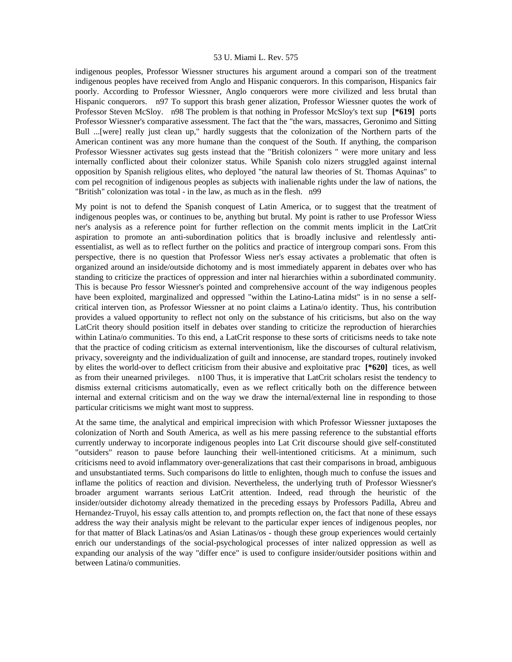indigenous peoples, Professor Wiessner structures his argument around a compari son of the treatment indigenous peoples have received from Anglo and Hispanic conquerors. In this comparison, Hispanics fair poorly. According to Professor Wiessner, Anglo conquerors were more civilized and less brutal than Hispanic conquerors. n97 To support this brash gener alization, Professor Wiessner quotes the work of Professor Steven McSloy. n98 The problem is that nothing in Professor McSloy's text sup **[\*619]** ports Professor Wiessner's comparative assessment. The fact that the "the wars, massacres, Geronimo and Sitting Bull ...[were] really just clean up," hardly suggests that the colonization of the Northern parts of the American continent was any more humane than the conquest of the South. If anything, the comparison Professor Wiessner activates sug gests instead that the "British colonizers " were more unitary and less internally conflicted about their colonizer status. While Spanish colo nizers struggled against internal opposition by Spanish religious elites, who deployed "the natural law theories of St. Thomas Aquinas" to com pel recognition of indigenous peoples as subjects with inalienable rights under the law of nations, the "British" colonization was total - in the law, as much as in the flesh. n99

My point is not to defend the Spanish conquest of Latin America, or to suggest that the treatment of indigenous peoples was, or continues to be, anything but brutal. My point is rather to use Professor Wiess ner's analysis as a reference point for further reflection on the commit ments implicit in the LatCrit aspiration to promote an anti-subordination politics that is broadly inclusive and relentlessly antiessentialist, as well as to reflect further on the politics and practice of intergroup compari sons. From this perspective, there is no question that Professor Wiess ner's essay activates a problematic that often is organized around an inside/outside dichotomy and is most immediately apparent in debates over who has standing to criticize the practices of oppression and inter nal hierarchies within a subordinated community. This is because Pro fessor Wiessner's pointed and comprehensive account of the way indigenous peoples have been exploited, marginalized and oppressed "within the Latino-Latina midst" is in no sense a selfcritical interven tion, as Professor Wiessner at no point claims a Latina/o identity. Thus, his contribution provides a valued opportunity to reflect not only on the substance of his criticisms, but also on the way LatCrit theory should position itself in debates over standing to criticize the reproduction of hierarchies within Latina/o communities. To this end, a LatCrit response to these sorts of criticisms needs to take note that the practice of coding criticism as external interventionism, like the discourses of cultural relativism, privacy, sovereignty and the individualization of guilt and innocense, are standard tropes, routinely invoked by elites the world-over to deflect criticism from their abusive and exploitative prac **[\*620]** tices, as well as from their unearned privileges. n100 Thus, it is imperative that LatCrit scholars resist the tendency to dismiss external criticisms automatically, even as we reflect critically both on the difference between internal and external criticism and on the way we draw the internal/external line in responding to those particular criticisms we might want most to suppress.

At the same time, the analytical and empirical imprecision with which Professor Wiessner juxtaposes the colonization of North and South America, as well as his mere passing reference to the substantial efforts currently underway to incorporate indigenous peoples into Lat Crit discourse should give self-constituted "outsiders" reason to pause before launching their well-intentioned criticisms. At a minimum, such criticisms need to avoid inflammatory over-generalizations that cast their comparisons in broad, ambiguous and unsubstantiated terms. Such comparisons do little to enlighten, though much to confuse the issues and inflame the politics of reaction and division. Nevertheless, the underlying truth of Professor Wiessner's broader argument warrants serious LatCrit attention. Indeed, read through the heuristic of the insider/outsider dichotomy already thematized in the preceding essays by Professors Padilla, Abreu and Hernandez-Truyol, his essay calls attention to, and prompts reflection on, the fact that none of these essays address the way their analysis might be relevant to the particular exper iences of indigenous peoples, nor for that matter of Black Latinas/os and Asian Latinas/os - though these group experiences would certainly enrich our understandings of the social-psychological processes of inter nalized oppression as well as expanding our analysis of the way "differ ence" is used to configure insider/outsider positions within and between Latina/o communities.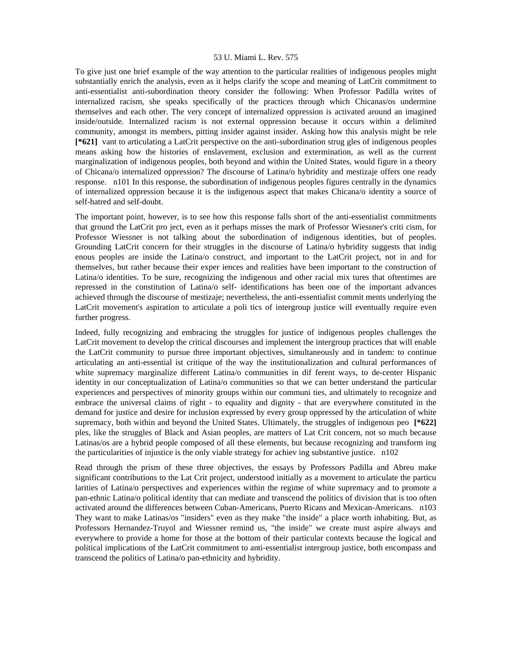To give just one brief example of the way attention to the particular realities of indigenous peoples might substantially enrich the analysis, even as it helps clarify the scope and meaning of LatCrit commitment to anti-essentialist anti-subordination theory consider the following: When Professor Padilla writes of internalized racism, she speaks specifically of the practices through which Chicanas/os undermine themselves and each other. The very concept of internalized oppression is activated around an imagined inside/outside. Internalized racism is not external oppression because it occurs within a delimited community, amongst its members, pitting insider against insider. Asking how this analysis might be rele **[\*621]** vant to articulating a LatCrit perspective on the anti-subordination strug gles of indigenous peoples means asking how the histories of enslavement, exclusion and extermination, as well as the current marginalization of indigenous peoples, both beyond and within the United States, would figure in a theory of Chicana/o internalized oppression? The discourse of Latina/o hybridity and mestizaje offers one ready response. n101 In this response, the subordination of indigenous peoples figures centrally in the dynamics of internalized oppression because it is the indigenous aspect that makes Chicana/o identity a source of self-hatred and self-doubt.

The important point, however, is to see how this response falls short of the anti-essentialist commitments that ground the LatCrit pro ject, even as it perhaps misses the mark of Professor Wiessner's criti cism, for Professor Wiessner is not talking about the subordination of indigenous identities, but of peoples. Grounding LatCrit concern for their struggles in the discourse of Latina/o hybridity suggests that indig enous peoples are inside the Latina/o construct, and important to the LatCrit project, not in and for themselves, but rather because their exper iences and realities have been important to the construction of Latina/o identities. To be sure, recognizing the indigenous and other racial mix tures that oftentimes are repressed in the constitution of Latina/o self- identifications has been one of the important advances achieved through the discourse of mestizaje; nevertheless, the anti-essentialist commit ments underlying the LatCrit movement's aspiration to articulate a poli tics of intergroup justice will eventually require even further progress.

Indeed, fully recognizing and embracing the struggles for justice of indigenous peoples challenges the LatCrit movement to develop the critical discourses and implement the intergroup practices that will enable the LatCrit community to pursue three important objectives, simultaneously and in tandem: to continue articulating an anti-essential ist critique of the way the institutionalization and cultural performances of white supremacy marginalize different Latina/o communities in dif ferent ways, to de-center Hispanic identity in our conceptualization of Latina/o communities so that we can better understand the particular experiences and perspectives of minority groups within our communi ties, and ultimately to recognize and embrace the universal claims of right - to equality and dignity - that are everywhere constituted in the demand for justice and desire for inclusion expressed by every group oppressed by the articulation of white supremacy, both within and beyond the United States. Ultimately, the struggles of indigenous peo **[\*622]**  ples, like the struggles of Black and Asian peoples, are matters of Lat Crit concern, not so much because Latinas/os are a hybrid people composed of all these elements, but because recognizing and transform ing the particularities of injustice is the only viable strategy for achiev ing substantive justice. n102

Read through the prism of these three objectives, the essays by Professors Padilla and Abreu make significant contributions to the Lat Crit project, understood initially as a movement to articulate the particu larities of Latina/o perspectives and experiences within the regime of white supremacy and to promote a pan-ethnic Latina/o political identity that can mediate and transcend the politics of division that is too often activated around the differences between Cuban-Americans, Puerto Ricans and Mexican-Americans. n103 They want to make Latinas/os "insiders" even as they make "the inside" a place worth inhabiting. But, as Professors Hernandez-Truyol and Wiessner remind us, "the inside" we create must aspire always and everywhere to provide a home for those at the bottom of their particular contexts because the logical and political implications of the LatCrit commitment to anti-essentialist intergroup justice, both encompass and transcend the politics of Latina/o pan-ethnicity and hybridity.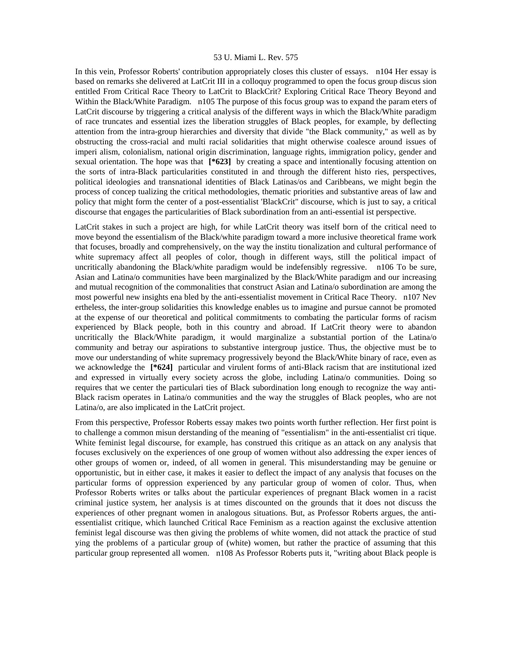In this vein, Professor Roberts' contribution appropriately closes this cluster of essays. n104 Her essay is based on remarks she delivered at LatCrit III in a colloquy programmed to open the focus group discus sion entitled From Critical Race Theory to LatCrit to BlackCrit? Exploring Critical Race Theory Beyond and Within the Black/White Paradigm. n105 The purpose of this focus group was to expand the param eters of LatCrit discourse by triggering a critical analysis of the different ways in which the Black/White paradigm of race truncates and essential izes the liberation struggles of Black peoples, for example, by deflecting attention from the intra-group hierarchies and diversity that divide "the Black community," as well as by obstructing the cross-racial and multi racial solidarities that might otherwise coalesce around issues of imperi alism, colonialism, national origin discrimination, language rights, immigration policy, gender and sexual orientation. The hope was that **[\*623]** by creating a space and intentionally focusing attention on the sorts of intra-Black particularities constituted in and through the different histo ries, perspectives, political ideologies and transnational identities of Black Latinas/os and Caribbeans, we might begin the process of concep tualizing the critical methodologies, thematic priorities and substantive areas of law and policy that might form the center of a post-essentialist 'BlackCrit" discourse, which is just to say, a critical discourse that engages the particularities of Black subordination from an anti-essential ist perspective.

LatCrit stakes in such a project are high, for while LatCrit theory was itself born of the critical need to move beyond the essentialism of the Black/white paradigm toward a more inclusive theoretical frame work that focuses, broadly and comprehensively, on the way the institu tionalization and cultural performance of white supremacy affect all peoples of color, though in different ways, still the political impact of uncritically abandoning the Black/white paradigm would be indefensibly regressive. n106 To be sure, Asian and Latina/o communities have been marginalized by the Black/White paradigm and our increasing and mutual recognition of the commonalities that construct Asian and Latina/o subordination are among the most powerful new insights ena bled by the anti-essentialist movement in Critical Race Theory. n107 Nev ertheless, the inter-group solidarities this knowledge enables us to imagine and pursue cannot be promoted at the expense of our theoretical and political commitments to combating the particular forms of racism experienced by Black people, both in this country and abroad. If LatCrit theory were to abandon uncritically the Black/White paradigm, it would marginalize a substantial portion of the Latina/o community and betray our aspirations to substantive intergroup justice. Thus, the objective must be to move our understanding of white supremacy progressively beyond the Black/White binary of race, even as we acknowledge the [\*624] particular and virulent forms of anti-Black racism that are institutional ized and expressed in virtually every society across the globe, including Latina/o communities. Doing so requires that we center the particulari ties of Black subordination long enough to recognize the way anti-Black racism operates in Latina/o communities and the way the struggles of Black peoples, who are not Latina/o, are also implicated in the LatCrit project.

From this perspective, Professor Roberts essay makes two points worth further reflection. Her first point is to challenge a common misun derstanding of the meaning of "essentialism" in the anti-essentialist cri tique. White feminist legal discourse, for example, has construed this critique as an attack on any analysis that focuses exclusively on the experiences of one group of women without also addressing the exper iences of other groups of women or, indeed, of all women in general. This misunderstanding may be genuine or opportunistic, but in either case, it makes it easier to deflect the impact of any analysis that focuses on the particular forms of oppression experienced by any particular group of women of color. Thus, when Professor Roberts writes or talks about the particular experiences of pregnant Black women in a racist criminal justice system, her analysis is at times discounted on the grounds that it does not discuss the experiences of other pregnant women in analogous situations. But, as Professor Roberts argues, the antiessentialist critique, which launched Critical Race Feminism as a reaction against the exclusive attention feminist legal discourse was then giving the problems of white women, did not attack the practice of stud ying the problems of a particular group of (white) women, but rather the practice of assuming that this particular group represented all women. n108 As Professor Roberts puts it, "writing about Black people is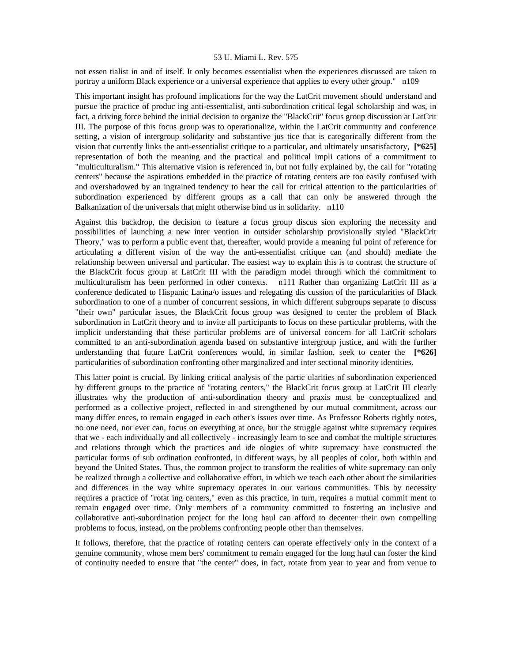not essen tialist in and of itself. It only becomes essentialist when the experiences discussed are taken to portray a uniform Black experience or a universal experience that applies to every other group." n109

This important insight has profound implications for the way the LatCrit movement should understand and pursue the practice of produc ing anti-essentialist, anti-subordination critical legal scholarship and was, in fact, a driving force behind the initial decision to organize the "BlackCrit" focus group discussion at LatCrit III. The purpose of this focus group was to operationalize, within the LatCrit community and conference setting, a vision of intergroup solidarity and substantive jus tice that is categorically different from the vision that currently links the anti-essentialist critique to a particular, and ultimately unsatisfactory, **[\*625]**  representation of both the meaning and the practical and political impli cations of a commitment to "multiculturalism." This alternative vision is referenced in, but not fully explained by, the call for "rotating centers" because the aspirations embedded in the practice of rotating centers are too easily confused with and overshadowed by an ingrained tendency to hear the call for critical attention to the particularities of subordination experienced by different groups as a call that can only be answered through the Balkanization of the universals that might otherwise bind us in solidarity. n110

Against this backdrop, the decision to feature a focus group discus sion exploring the necessity and possibilities of launching a new inter vention in outsider scholarship provisionally styled "BlackCrit Theory," was to perform a public event that, thereafter, would provide a meaning ful point of reference for articulating a different vision of the way the anti-essentialist critique can (and should) mediate the relationship between universal and particular. The easiest way to explain this is to contrast the structure of the BlackCrit focus group at LatCrit III with the paradigm model through which the commitment to multiculturalism has been performed in other contexts. n111 Rather than organizing LatCrit III as a conference dedicated to Hispanic Latina/o issues and relegating dis cussion of the particularities of Black subordination to one of a number of concurrent sessions, in which different subgroups separate to discuss "their own" particular issues, the BlackCrit focus group was designed to center the problem of Black subordination in LatCrit theory and to invite all participants to focus on these particular problems, with the implicit understanding that these particular problems are of universal concern for all LatCrit scholars committed to an anti-subordination agenda based on substantive intergroup justice, and with the further understanding that future LatCrit conferences would, in similar fashion, seek to center the **[\*626]**  particularities of subordination confronting other marginalized and inter sectional minority identities.

This latter point is crucial. By linking critical analysis of the partic ularities of subordination experienced by different groups to the practice of "rotating centers," the BlackCrit focus group at LatCrit III clearly illustrates why the production of anti-subordination theory and praxis must be conceptualized and performed as a collective project, reflected in and strengthened by our mutual commitment, across our many differ ences, to remain engaged in each other's issues over time. As Professor Roberts rightly notes, no one need, nor ever can, focus on everything at once, but the struggle against white supremacy requires that we - each individually and all collectively - increasingly learn to see and combat the multiple structures and relations through which the practices and ide ologies of white supremacy have constructed the particular forms of sub ordination confronted, in different ways, by all peoples of color, both within and beyond the United States. Thus, the common project to transform the realities of white supremacy can only be realized through a collective and collaborative effort, in which we teach each other about the similarities and differences in the way white supremacy operates in our various communities. This by necessity requires a practice of "rotat ing centers," even as this practice, in turn, requires a mutual commit ment to remain engaged over time. Only members of a community committed to fostering an inclusive and collaborative anti-subordination project for the long haul can afford to decenter their own compelling problems to focus, instead, on the problems confronting people other than themselves.

It follows, therefore, that the practice of rotating centers can operate effectively only in the context of a genuine community, whose mem bers' commitment to remain engaged for the long haul can foster the kind of continuity needed to ensure that "the center" does, in fact, rotate from year to year and from venue to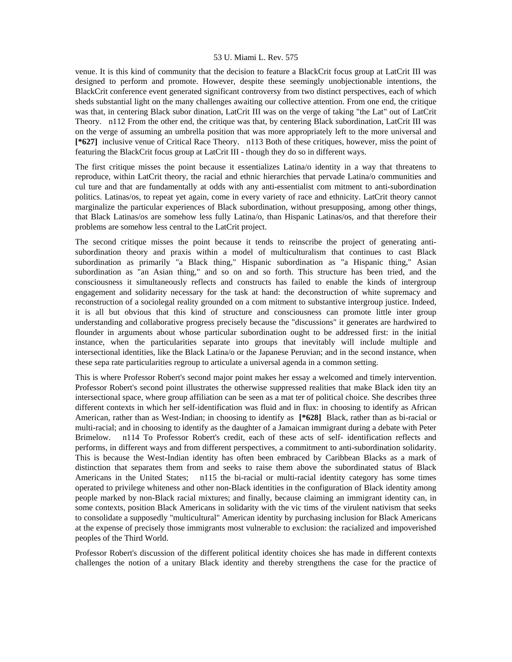venue. It is this kind of community that the decision to feature a BlackCrit focus group at LatCrit III was designed to perform and promote. However, despite these seemingly unobjectionable intentions, the BlackCrit conference event generated significant controversy from two distinct perspectives, each of which sheds substantial light on the many challenges awaiting our collective attention. From one end, the critique was that, in centering Black subor dination, LatCrit III was on the verge of taking "the Lat" out of LatCrit Theory. n112 From the other end, the critique was that, by centering Black subordination, LatCrit III was on the verge of assuming an umbrella position that was more appropriately left to the more universal and **[\*627]** inclusive venue of Critical Race Theory. n113 Both of these critiques, however, miss the point of featuring the BlackCrit focus group at LatCrit III - though they do so in different ways.

The first critique misses the point because it essentializes Latina/o identity in a way that threatens to reproduce, within LatCrit theory, the racial and ethnic hierarchies that pervade Latina/o communities and cul ture and that are fundamentally at odds with any anti-essentialist com mitment to anti-subordination politics. Latinas/os, to repeat yet again, come in every variety of race and ethnicity. LatCrit theory cannot marginalize the particular experiences of Black subordination, without presupposing, among other things, that Black Latinas/os are somehow less fully Latina/o, than Hispanic Latinas/os, and that therefore their problems are somehow less central to the LatCrit project.

The second critique misses the point because it tends to reinscribe the project of generating antisubordination theory and praxis within a model of multiculturalism that continues to cast Black subordination as primarily "a Black thing," Hispanic subordination as "a Hispanic thing," Asian subordination as "an Asian thing," and so on and so forth. This structure has been tried, and the consciousness it simultaneously reflects and constructs has failed to enable the kinds of intergroup engagement and solidarity necessary for the task at hand: the deconstruction of white supremacy and reconstruction of a sociolegal reality grounded on a com mitment to substantive intergroup justice. Indeed, it is all but obvious that this kind of structure and consciousness can promote little inter group understanding and collaborative progress precisely because the "discussions" it generates are hardwired to flounder in arguments about whose particular subordination ought to be addressed first: in the initial instance, when the particularities separate into groups that inevitably will include multiple and intersectional identities, like the Black Latina/o or the Japanese Peruvian; and in the second instance, when these sepa rate particularities regroup to articulate a universal agenda in a common setting.

This is where Professor Robert's second major point makes her essay a welcomed and timely intervention. Professor Robert's second point illustrates the otherwise suppressed realities that make Black iden tity an intersectional space, where group affiliation can be seen as a mat ter of political choice. She describes three different contexts in which her self-identification was fluid and in flux: in choosing to identify as African American, rather than as West-Indian; in choosing to identify as **[\*628]** Black, rather than as bi-racial or multi-racial; and in choosing to identify as the daughter of a Jamaican immigrant during a debate with Peter Brimelow. n114 To Professor Robert's credit, each of these acts of self- identification reflects and performs, in different ways and from different perspectives, a commitment to anti-subordination solidarity. This is because the West-Indian identity has often been embraced by Caribbean Blacks as a mark of distinction that separates them from and seeks to raise them above the subordinated status of Black Americans in the United States; n115 the bi-racial or multi-racial identity category has some times operated to privilege whiteness and other non-Black identities in the configuration of Black identity among people marked by non-Black racial mixtures; and finally, because claiming an immigrant identity can, in some contexts, position Black Americans in solidarity with the vic tims of the virulent nativism that seeks to consolidate a supposedly "multicultural" American identity by purchasing inclusion for Black Americans at the expense of precisely those immigrants most vulnerable to exclusion: the racialized and impoverished peoples of the Third World.

Professor Robert's discussion of the different political identity choices she has made in different contexts challenges the notion of a unitary Black identity and thereby strengthens the case for the practice of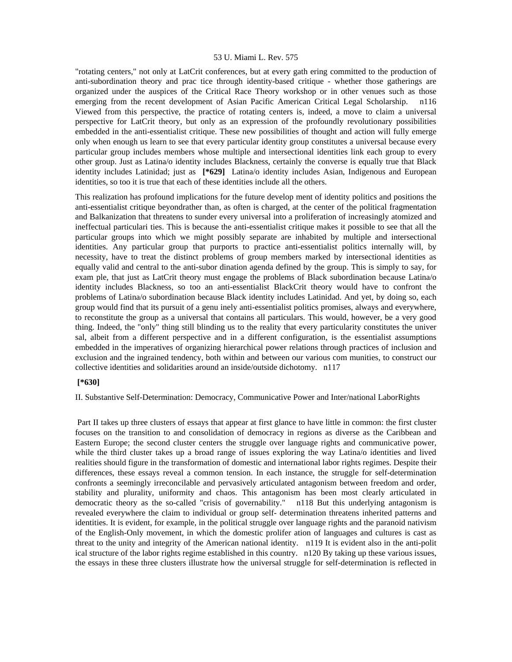"rotating centers," not only at LatCrit conferences, but at every gath ering committed to the production of anti-subordination theory and prac tice through identity-based critique - whether those gatherings are organized under the auspices of the Critical Race Theory workshop or in other venues such as those emerging from the recent development of Asian Pacific American Critical Legal Scholarship. n116 Viewed from this perspective, the practice of rotating centers is, indeed, a move to claim a universal perspective for LatCrit theory, but only as an expression of the profoundly revolutionary possibilities embedded in the anti-essentialist critique. These new possibilities of thought and action will fully emerge only when enough us learn to see that every particular identity group constitutes a universal because every particular group includes members whose multiple and intersectional identities link each group to every other group. Just as Latina/o identity includes Blackness, certainly the converse is equally true that Black identity includes Latinidad; just as **[\*629]** Latina/o identity includes Asian, Indigenous and European identities, so too it is true that each of these identities include all the others.

This realization has profound implications for the future develop ment of identity politics and positions the anti-essentialist critique beyondrather than, as often is charged, at the center of the political fragmentation and Balkanization that threatens to sunder every universal into a proliferation of increasingly atomized and ineffectual particulari ties. This is because the anti-essentialist critique makes it possible to see that all the particular groups into which we might possibly separate are inhabited by multiple and intersectional identities. Any particular group that purports to practice anti-essentialist politics internally will, by necessity, have to treat the distinct problems of group members marked by intersectional identities as equally valid and central to the anti-subor dination agenda defined by the group. This is simply to say, for exam ple, that just as LatCrit theory must engage the problems of Black subordination because Latina/o identity includes Blackness, so too an anti-essentialist BlackCrit theory would have to confront the problems of Latina/o subordination because Black identity includes Latinidad. And yet, by doing so, each group would find that its pursuit of a genu inely anti-essentialist politics promises, always and everywhere, to reconstitute the group as a universal that contains all particulars. This would, however, be a very good thing. Indeed, the "only" thing still blinding us to the reality that every particularity constitutes the univer sal, albeit from a different perspective and in a different configuration, is the essentialist assumptions embedded in the imperatives of organizing hierarchical power relations through practices of inclusion and exclusion and the ingrained tendency, both within and between our various com munities, to construct our collective identities and solidarities around an inside/outside dichotomy. n117

## **[\*630]**

II. Substantive Self-Determination: Democracy, Communicative Power and Inter/national LaborRights

 Part II takes up three clusters of essays that appear at first glance to have little in common: the first cluster focuses on the transition to and consolidation of democracy in regions as diverse as the Caribbean and Eastern Europe; the second cluster centers the struggle over language rights and communicative power, while the third cluster takes up a broad range of issues exploring the way Latina/o identities and lived realities should figure in the transformation of domestic and international labor rights regimes. Despite their differences, these essays reveal a common tension. In each instance, the struggle for self-determination confronts a seemingly irreconcilable and pervasively articulated antagonism between freedom and order, stability and plurality, uniformity and chaos. This antagonism has been most clearly articulated in democratic theory as the so-called "crisis of governability." n118 But this underlying antagonism is revealed everywhere the claim to individual or group self- determination threatens inherited patterns and identities. It is evident, for example, in the political struggle over language rights and the paranoid nativism of the English-Only movement, in which the domestic prolifer ation of languages and cultures is cast as threat to the unity and integrity of the American national identity. n119 It is evident also in the anti-polit ical structure of the labor rights regime established in this country. n120 By taking up these various issues, the essays in these three clusters illustrate how the universal struggle for self-determination is reflected in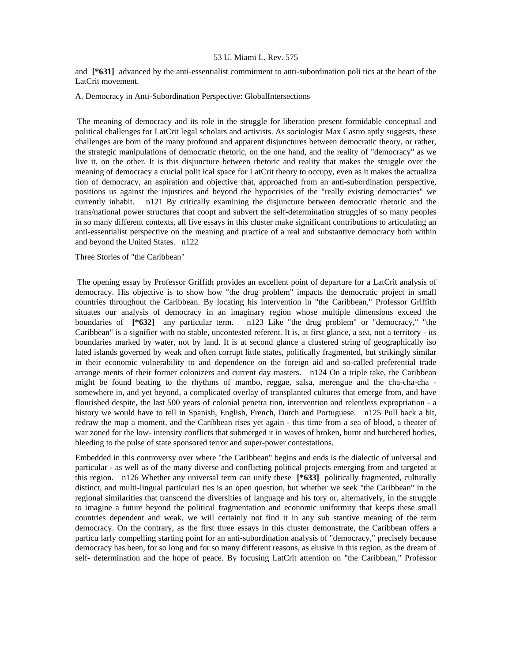and **[\*631]** advanced by the anti-essentialist commitment to anti-subordination poli tics at the heart of the LatCrit movement.

#### A. Democracy in Anti-Subordination Perspective: GlobalIntersections

 The meaning of democracy and its role in the struggle for liberation present formidable conceptual and political challenges for LatCrit legal scholars and activists. As sociologist Max Castro aptly suggests, these challenges are born of the many profound and apparent disjunctures between democratic theory, or rather, the strategic manipulations of democratic rhetoric, on the one hand, and the reality of "democracy" as we live it, on the other. It is this disjuncture between rhetoric and reality that makes the struggle over the meaning of democracy a crucial polit ical space for LatCrit theory to occupy, even as it makes the actualiza tion of democracy, an aspiration and objective that, approached from an anti-subordination perspective, positions us against the injustices and beyond the hypocrisies of the "really existing democracies" we currently inhabit. n121 By critically examining the disjuncture between democratic rhetoric and the trans/national power structures that coopt and subvert the self-determination struggles of so many peoples in so many different contexts, all five essays in this cluster make significant contributions to articulating an anti-essentialist perspective on the meaning and practice of a real and substantive democracy both within and beyond the United States. n122

## Three Stories of "the Caribbean"

 The opening essay by Professor Griffith provides an excellent point of departure for a LatCrit analysis of democracy. His objective is to show how "the drug problem" impacts the democratic project in small countries throughout the Caribbean. By locating his intervention in "the Caribbean," Professor Griffith situates our analysis of democracy in an imaginary region whose multiple dimensions exceed the boundaries of **[\*632]** any particular term. n123 Like "the drug problem" or "democracy," "the Caribbean" is a signifier with no stable, uncontested referent. It is, at first glance, a sea, not a territory - its boundaries marked by water, not by land. It is at second glance a clustered string of geographically iso lated islands governed by weak and often corrupt little states, politically fragmented, but strikingly similar in their economic vulnerability to and dependence on the foreign aid and so-called preferential trade arrange ments of their former colonizers and current day masters. n124 On a triple take, the Caribbean might be found beating to the rhythms of mambo, reggae, salsa, merengue and the cha-cha-cha somewhere in, and yet beyond, a complicated overlay of transplanted cultures that emerge from, and have flourished despite, the last 500 years of colonial penetra tion, intervention and relentless expropriation - a history we would have to tell in Spanish, English, French, Dutch and Portuguese. n125 Pull back a bit, redraw the map a moment, and the Caribbean rises yet again - this time from a sea of blood, a theater of war zoned for the low- intensity conflicts that submerged it in waves of broken, burnt and butchered bodies, bleeding to the pulse of state sponsored terror and super-power contestations.

Embedded in this controversy over where "the Caribbean" begins and ends is the dialectic of universal and particular - as well as of the many diverse and conflicting political projects emerging from and targeted at this region. n126 Whether any universal term can unify these **[\*633]** politically fragmented, culturally distinct, and multi-lingual particulari ties is an open question, but whether we seek "the Caribbean" in the regional similarities that transcend the diversities of language and his tory or, alternatively, in the struggle to imagine a future beyond the political fragmentation and economic uniformity that keeps these small countries dependent and weak, we will certainly not find it in any sub stantive meaning of the term democracy. On the contrary, as the first three essays in this cluster demonstrate, the Caribbean offers a particu larly compelling starting point for an anti-subordination analysis of "democracy," precisely because democracy has been, for so long and for so many different reasons, as elusive in this region, as the dream of self- determination and the hope of peace. By focusing LatCrit attention on "the Caribbean," Professor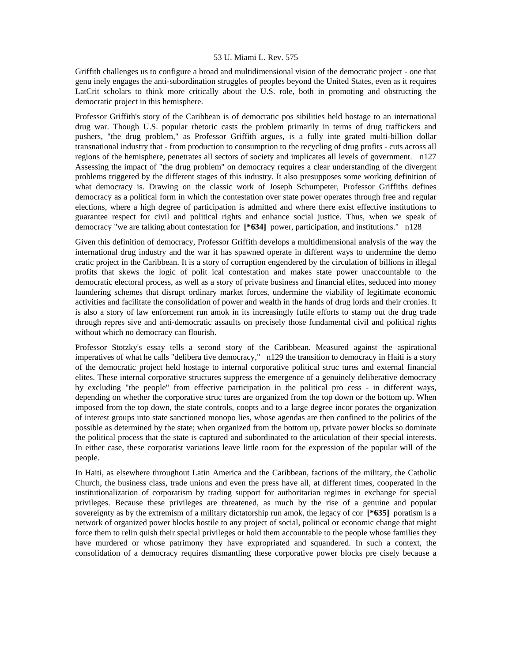Griffith challenges us to configure a broad and multidimensional vision of the democratic project - one that genu inely engages the anti-subordination struggles of peoples beyond the United States, even as it requires LatCrit scholars to think more critically about the U.S. role, both in promoting and obstructing the democratic project in this hemisphere.

Professor Griffith's story of the Caribbean is of democratic pos sibilities held hostage to an international drug war. Though U.S. popular rhetoric casts the problem primarily in terms of drug traffickers and pushers, "the drug problem," as Professor Griffith argues, is a fully inte grated multi-billion dollar transnational industry that - from production to consumption to the recycling of drug profits - cuts across all regions of the hemisphere, penetrates all sectors of society and implicates all levels of government. n127 Assessing the impact of "the drug problem" on democracy requires a clear understanding of the divergent problems triggered by the different stages of this industry. It also presupposes some working definition of what democracy is. Drawing on the classic work of Joseph Schumpeter, Professor Griffiths defines democracy as a political form in which the contestation over state power operates through free and regular elections, where a high degree of participation is admitted and where there exist effective institutions to guarantee respect for civil and political rights and enhance social justice. Thus, when we speak of democracy "we are talking about contestation for **[\*634]** power, participation, and institutions." n128

Given this definition of democracy, Professor Griffith develops a multidimensional analysis of the way the international drug industry and the war it has spawned operate in different ways to undermine the demo cratic project in the Caribbean. It is a story of corruption engendered by the circulation of billions in illegal profits that skews the logic of polit ical contestation and makes state power unaccountable to the democratic electoral process, as well as a story of private business and financial elites, seduced into money laundering schemes that disrupt ordinary market forces, undermine the viability of legitimate economic activities and facilitate the consolidation of power and wealth in the hands of drug lords and their cronies. It is also a story of law enforcement run amok in its increasingly futile efforts to stamp out the drug trade through repres sive and anti-democratic assaults on precisely those fundamental civil and political rights without which no democracy can flourish.

Professor Stotzky's essay tells a second story of the Caribbean. Measured against the aspirational imperatives of what he calls "delibera tive democracy," n129 the transition to democracy in Haiti is a story of the democratic project held hostage to internal corporative political struc tures and external financial elites. These internal corporative structures suppress the emergence of a genuinely deliberative democracy by excluding "the people" from effective participation in the political pro cess - in different ways, depending on whether the corporative struc tures are organized from the top down or the bottom up. When imposed from the top down, the state controls, coopts and to a large degree incor porates the organization of interest groups into state sanctioned monopo lies, whose agendas are then confined to the politics of the possible as determined by the state; when organized from the bottom up, private power blocks so dominate the political process that the state is captured and subordinated to the articulation of their special interests. In either case, these corporatist variations leave little room for the expression of the popular will of the people.

In Haiti, as elsewhere throughout Latin America and the Caribbean, factions of the military, the Catholic Church, the business class, trade unions and even the press have all, at different times, cooperated in the institutionalization of corporatism by trading support for authoritarian regimes in exchange for special privileges. Because these privileges are threatened, as much by the rise of a genuine and popular sovereignty as by the extremism of a military dictatorship run amok, the legacy of cor **[\*635]** poratism is a network of organized power blocks hostile to any project of social, political or economic change that might force them to relin quish their special privileges or hold them accountable to the people whose families they have murdered or whose patrimony they have expropriated and squandered. In such a context, the consolidation of a democracy requires dismantling these corporative power blocks pre cisely because a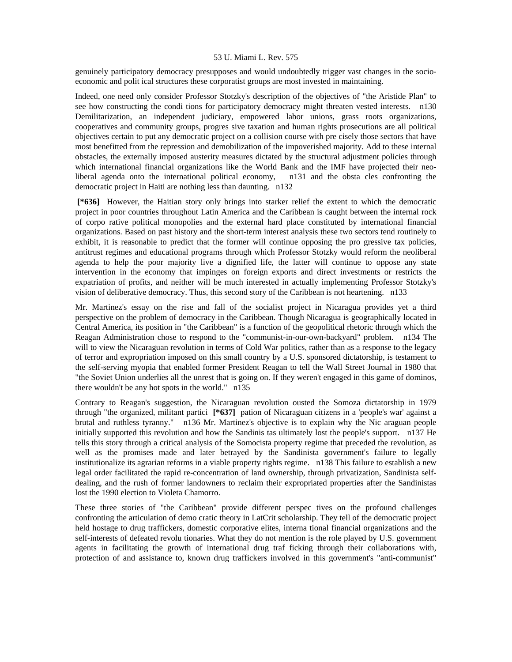genuinely participatory democracy presupposes and would undoubtedly trigger vast changes in the socioeconomic and polit ical structures these corporatist groups are most invested in maintaining.

Indeed, one need only consider Professor Stotzky's description of the objectives of "the Aristide Plan" to see how constructing the condi tions for participatory democracy might threaten vested interests. n130 Demilitarization, an independent judiciary, empowered labor unions, grass roots organizations, cooperatives and community groups, progres sive taxation and human rights prosecutions are all political objectives certain to put any democratic project on a collision course with pre cisely those sectors that have most benefitted from the repression and demobilization of the impoverished majority. Add to these internal obstacles, the externally imposed austerity measures dictated by the structural adjustment policies through which international financial organizations like the World Bank and the IMF have projected their neoliberal agenda onto the international political economy, n131 and the obsta cles confronting the democratic project in Haiti are nothing less than daunting. n132

 **[\*636]** However, the Haitian story only brings into starker relief the extent to which the democratic project in poor countries throughout Latin America and the Caribbean is caught between the internal rock of corpo rative political monopolies and the external hard place constituted by international financial organizations. Based on past history and the short-term interest analysis these two sectors tend routinely to exhibit, it is reasonable to predict that the former will continue opposing the pro gressive tax policies, antitrust regimes and educational programs through which Professor Stotzky would reform the neoliberal agenda to help the poor majority live a dignified life, the latter will continue to oppose any state intervention in the economy that impinges on foreign exports and direct investments or restricts the expatriation of profits, and neither will be much interested in actually implementing Professor Stotzky's vision of deliberative democracy. Thus, this second story of the Caribbean is not heartening. n133

Mr. Martinez's essay on the rise and fall of the socialist project in Nicaragua provides yet a third perspective on the problem of democracy in the Caribbean. Though Nicaragua is geographically located in Central America, its position in "the Caribbean" is a function of the geopolitical rhetoric through which the Reagan Administration chose to respond to the "communist-in-our-own-backyard" problem. n134 The will to view the Nicaraguan revolution in terms of Cold War politics, rather than as a response to the legacy of terror and expropriation imposed on this small country by a U.S. sponsored dictatorship, is testament to the self-serving myopia that enabled former President Reagan to tell the Wall Street Journal in 1980 that "the Soviet Union underlies all the unrest that is going on. If they weren't engaged in this game of dominos, there wouldn't be any hot spots in the world." n135

Contrary to Reagan's suggestion, the Nicaraguan revolution ousted the Somoza dictatorship in 1979 through "the organized, militant partici **[\*637]** pation of Nicaraguan citizens in a 'people's war' against a brutal and ruthless tyranny." n136 Mr. Martinez's objective is to explain why the Nic araguan people initially supported this revolution and how the Sandinis tas ultimately lost the people's support. n137 He tells this story through a critical analysis of the Somocista property regime that preceded the revolution, as well as the promises made and later betrayed by the Sandinista government's failure to legally institutionalize its agrarian reforms in a viable property rights regime. n138 This failure to establish a new legal order facilitated the rapid re-concentration of land ownership, through privatization, Sandinista selfdealing, and the rush of former landowners to reclaim their expropriated properties after the Sandinistas lost the 1990 election to Violeta Chamorro.

These three stories of "the Caribbean" provide different perspec tives on the profound challenges confronting the articulation of demo cratic theory in LatCrit scholarship. They tell of the democratic project held hostage to drug traffickers, domestic corporative elites, interna tional financial organizations and the self-interests of defeated revolu tionaries. What they do not mention is the role played by U.S. government agents in facilitating the growth of international drug traf ficking through their collaborations with, protection of and assistance to, known drug traffickers involved in this government's "anti-communist"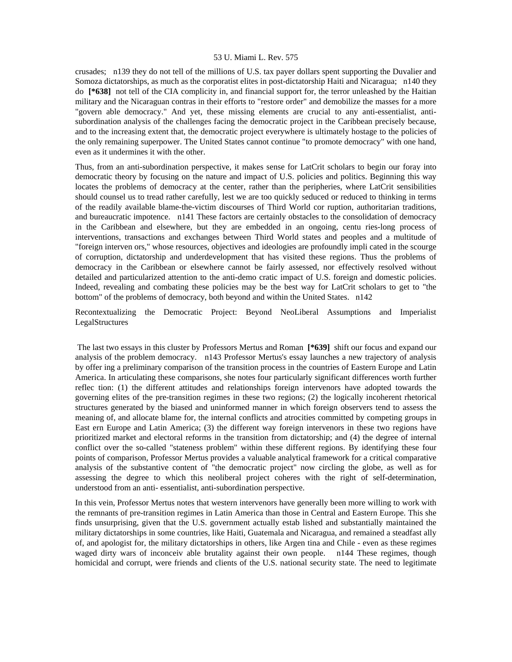crusades; n139 they do not tell of the millions of U.S. tax payer dollars spent supporting the Duvalier and Somoza dictatorships, as much as the corporatist elites in post-dictatorship Haiti and Nicaragua; n140 they do **[\*638]** not tell of the CIA complicity in, and financial support for, the terror unleashed by the Haitian military and the Nicaraguan contras in their efforts to "restore order" and demobilize the masses for a more "govern able democracy." And yet, these missing elements are crucial to any anti-essentialist, antisubordination analysis of the challenges facing the democratic project in the Caribbean precisely because, and to the increasing extent that, the democratic project everywhere is ultimately hostage to the policies of the only remaining superpower. The United States cannot continue "to promote democracy" with one hand, even as it undermines it with the other.

Thus, from an anti-subordination perspective, it makes sense for LatCrit scholars to begin our foray into democratic theory by focusing on the nature and impact of U.S. policies and politics. Beginning this way locates the problems of democracy at the center, rather than the peripheries, where LatCrit sensibilities should counsel us to tread rather carefully, lest we are too quickly seduced or reduced to thinking in terms of the readily available blame-the-victim discourses of Third World cor ruption, authoritarian traditions, and bureaucratic impotence. n141 These factors are certainly obstacles to the consolidation of democracy in the Caribbean and elsewhere, but they are embedded in an ongoing, centu ries-long process of interventions, transactions and exchanges between Third World states and peoples and a multitude of "foreign interven ors," whose resources, objectives and ideologies are profoundly impli cated in the scourge of corruption, dictatorship and underdevelopment that has visited these regions. Thus the problems of democracy in the Caribbean or elsewhere cannot be fairly assessed, nor effectively resolved without detailed and particularized attention to the anti-demo cratic impact of U.S. foreign and domestic policies. Indeed, revealing and combating these policies may be the best way for LatCrit scholars to get to "the bottom" of the problems of democracy, both beyond and within the United States. n142

Recontextualizing the Democratic Project: Beyond NeoLiberal Assumptions and Imperialist LegalStructures

 The last two essays in this cluster by Professors Mertus and Roman **[\*639]** shift our focus and expand our analysis of the problem democracy. n143 Professor Mertus's essay launches a new trajectory of analysis by offer ing a preliminary comparison of the transition process in the countries of Eastern Europe and Latin America. In articulating these comparisons, she notes four particularly significant differences worth further reflec tion: (1) the different attitudes and relationships foreign intervenors have adopted towards the governing elites of the pre-transition regimes in these two regions; (2) the logically incoherent rhetorical structures generated by the biased and uninformed manner in which foreign observers tend to assess the meaning of, and allocate blame for, the internal conflicts and atrocities committed by competing groups in East ern Europe and Latin America; (3) the different way foreign intervenors in these two regions have prioritized market and electoral reforms in the transition from dictatorship; and (4) the degree of internal conflict over the so-called "stateness problem" within these different regions. By identifying these four points of comparison, Professor Mertus provides a valuable analytical framework for a critical comparative analysis of the substantive content of "the democratic project" now circling the globe, as well as for assessing the degree to which this neoliberal project coheres with the right of self-determination, understood from an anti- essentialist, anti-subordination perspective.

In this vein, Professor Mertus notes that western intervenors have generally been more willing to work with the remnants of pre-transition regimes in Latin America than those in Central and Eastern Europe. This she finds unsurprising, given that the U.S. government actually estab lished and substantially maintained the military dictatorships in some countries, like Haiti, Guatemala and Nicaragua, and remained a steadfast ally of, and apologist for, the military dictatorships in others, like Argen tina and Chile - even as these regimes waged dirty wars of inconceiv able brutality against their own people. n144 These regimes, though homicidal and corrupt, were friends and clients of the U.S. national security state. The need to legitimate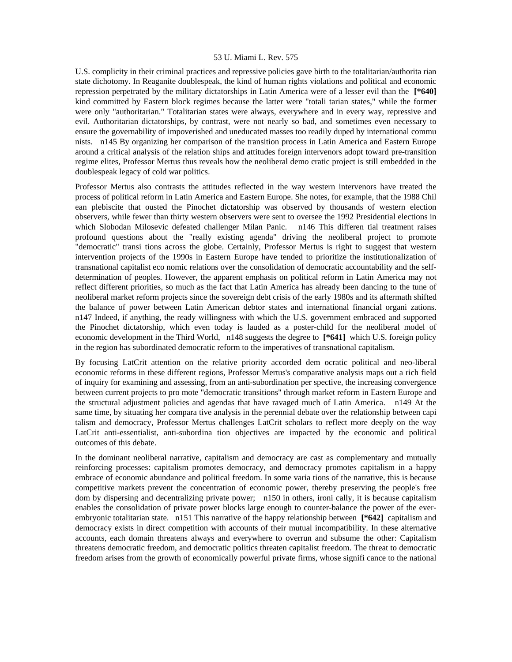U.S. complicity in their criminal practices and repressive policies gave birth to the totalitarian/authorita rian state dichotomy. In Reaganite doublespeak, the kind of human rights violations and political and economic repression perpetrated by the military dictatorships in Latin America were of a lesser evil than the **[\*640]**  kind committed by Eastern block regimes because the latter were "totali tarian states," while the former were only "authoritarian." Totalitarian states were always, everywhere and in every way, repressive and evil. Authoritarian dictatorships, by contrast, were not nearly so bad, and sometimes even necessary to ensure the governability of impoverished and uneducated masses too readily duped by international commu nists. n145 By organizing her comparison of the transition process in Latin America and Eastern Europe around a critical analysis of the relation ships and attitudes foreign intervenors adopt toward pre-transition regime elites, Professor Mertus thus reveals how the neoliberal demo cratic project is still embedded in the doublespeak legacy of cold war politics.

Professor Mertus also contrasts the attitudes reflected in the way western intervenors have treated the process of political reform in Latin America and Eastern Europe. She notes, for example, that the 1988 Chil ean plebiscite that ousted the Pinochet dictatorship was observed by thousands of western election observers, while fewer than thirty western observers were sent to oversee the 1992 Presidential elections in which Slobodan Milosevic defeated challenger Milan Panic. n146 This differen tial treatment raises profound questions about the "really existing agenda" driving the neoliberal project to promote "democratic" transi tions across the globe. Certainly, Professor Mertus is right to suggest that western intervention projects of the 1990s in Eastern Europe have tended to prioritize the institutionalization of transnational capitalist eco nomic relations over the consolidation of democratic accountability and the selfdetermination of peoples. However, the apparent emphasis on political reform in Latin America may not reflect different priorities, so much as the fact that Latin America has already been dancing to the tune of neoliberal market reform projects since the sovereign debt crisis of the early 1980s and its aftermath shifted the balance of power between Latin American debtor states and international financial organi zations. n147 Indeed, if anything, the ready willingness with which the U.S. government embraced and supported the Pinochet dictatorship, which even today is lauded as a poster-child for the neoliberal model of economic development in the Third World, n148 suggests the degree to **[\*641]** which U.S. foreign policy in the region has subordinated democratic reform to the imperatives of transnational capitalism.

By focusing LatCrit attention on the relative priority accorded dem ocratic political and neo-liberal economic reforms in these different regions, Professor Mertus's comparative analysis maps out a rich field of inquiry for examining and assessing, from an anti-subordination per spective, the increasing convergence between current projects to pro mote "democratic transitions" through market reform in Eastern Europe and the structural adjustment policies and agendas that have ravaged much of Latin America. n149 At the same time, by situating her compara tive analysis in the perennial debate over the relationship between capi talism and democracy, Professor Mertus challenges LatCrit scholars to reflect more deeply on the way LatCrit anti-essentialist, anti-subordina tion objectives are impacted by the economic and political outcomes of this debate.

In the dominant neoliberal narrative, capitalism and democracy are cast as complementary and mutually reinforcing processes: capitalism promotes democracy, and democracy promotes capitalism in a happy embrace of economic abundance and political freedom. In some varia tions of the narrative, this is because competitive markets prevent the concentration of economic power, thereby preserving the people's free dom by dispersing and decentralizing private power; n150 in others, ironi cally, it is because capitalism enables the consolidation of private power blocks large enough to counter-balance the power of the everembryonic totalitarian state. n151 This narrative of the happy relationship between **[\*642]** capitalism and democracy exists in direct competition with accounts of their mutual incompatibility. In these alternative accounts, each domain threatens always and everywhere to overrun and subsume the other: Capitalism threatens democratic freedom, and democratic politics threaten capitalist freedom. The threat to democratic freedom arises from the growth of economically powerful private firms, whose signifi cance to the national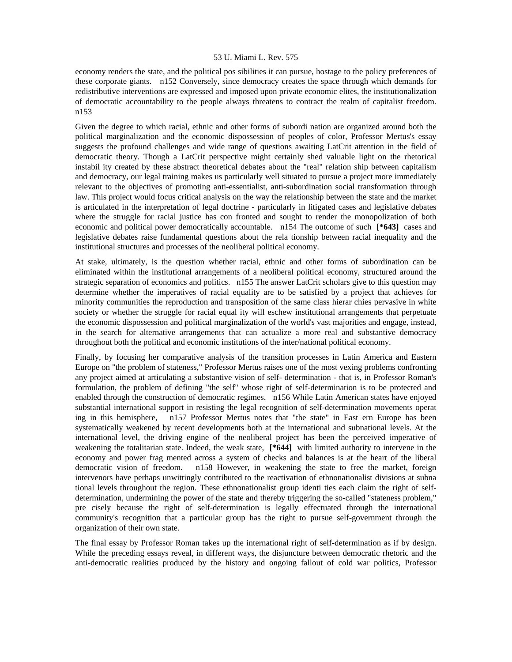economy renders the state, and the political pos sibilities it can pursue, hostage to the policy preferences of these corporate giants. n152 Conversely, since democracy creates the space through which demands for redistributive interventions are expressed and imposed upon private economic elites, the institutionalization of democratic accountability to the people always threatens to contract the realm of capitalist freedom. n153

Given the degree to which racial, ethnic and other forms of subordi nation are organized around both the political marginalization and the economic dispossession of peoples of color, Professor Mertus's essay suggests the profound challenges and wide range of questions awaiting LatCrit attention in the field of democratic theory. Though a LatCrit perspective might certainly shed valuable light on the rhetorical instabil ity created by these abstract theoretical debates about the "real" relation ship between capitalism and democracy, our legal training makes us particularly well situated to pursue a project more immediately relevant to the objectives of promoting anti-essentialist, anti-subordination social transformation through law. This project would focus critical analysis on the way the relationship between the state and the market is articulated in the interpretation of legal doctrine - particularly in litigated cases and legislative debates where the struggle for racial justice has con fronted and sought to render the monopolization of both economic and political power democratically accountable. n154 The outcome of such **[\*643]** cases and legislative debates raise fundamental questions about the rela tionship between racial inequality and the institutional structures and processes of the neoliberal political economy.

At stake, ultimately, is the question whether racial, ethnic and other forms of subordination can be eliminated within the institutional arrangements of a neoliberal political economy, structured around the strategic separation of economics and politics. n155 The answer LatCrit scholars give to this question may determine whether the imperatives of racial equality are to be satisfied by a project that achieves for minority communities the reproduction and transposition of the same class hierar chies pervasive in white society or whether the struggle for racial equal ity will eschew institutional arrangements that perpetuate the economic dispossession and political marginalization of the world's vast majorities and engage, instead, in the search for alternative arrangements that can actualize a more real and substantive democracy throughout both the political and economic institutions of the inter/national political economy.

Finally, by focusing her comparative analysis of the transition processes in Latin America and Eastern Europe on "the problem of stateness," Professor Mertus raises one of the most vexing problems confronting any project aimed at articulating a substantive vision of self- determination - that is, in Professor Roman's formulation, the problem of defining "the self" whose right of self-determination is to be protected and enabled through the construction of democratic regimes. n156 While Latin American states have enjoyed substantial international support in resisting the legal recognition of self-determination movements operat ing in this hemisphere, n157 Professor Mertus notes that "the state" in East ern Europe has been systematically weakened by recent developments both at the international and subnational levels. At the international level, the driving engine of the neoliberal project has been the perceived imperative of weakening the totalitarian state. Indeed, the weak state, **[\*644]** with limited authority to intervene in the economy and power frag mented across a system of checks and balances is at the heart of the liberal democratic vision of freedom. n158 However, in weakening the state to free the market, foreign intervenors have perhaps unwittingly contributed to the reactivation of ethnonationalist divisions at subna tional levels throughout the region. These ethnonationalist group identi ties each claim the right of selfdetermination, undermining the power of the state and thereby triggering the so-called "stateness problem," pre cisely because the right of self-determination is legally effectuated through the international community's recognition that a particular group has the right to pursue self-government through the organization of their own state.

The final essay by Professor Roman takes up the international right of self-determination as if by design. While the preceding essays reveal, in different ways, the disjuncture between democratic rhetoric and the anti-democratic realities produced by the history and ongoing fallout of cold war politics, Professor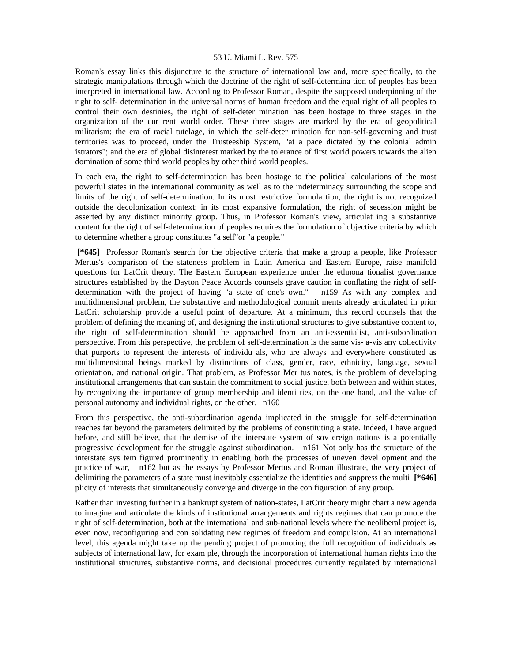Roman's essay links this disjuncture to the structure of international law and, more specifically, to the strategic manipulations through which the doctrine of the right of self-determina tion of peoples has been interpreted in international law. According to Professor Roman, despite the supposed underpinning of the right to self- determination in the universal norms of human freedom and the equal right of all peoples to control their own destinies, the right of self-deter mination has been hostage to three stages in the organization of the cur rent world order. These three stages are marked by the era of geopolitical militarism; the era of racial tutelage, in which the self-deter mination for non-self-governing and trust territories was to proceed, under the Trusteeship System, "at a pace dictated by the colonial admin istrators"; and the era of global disinterest marked by the tolerance of first world powers towards the alien domination of some third world peoples by other third world peoples.

In each era, the right to self-determination has been hostage to the political calculations of the most powerful states in the international community as well as to the indeterminacy surrounding the scope and limits of the right of self-determination. In its most restrictive formula tion, the right is not recognized outside the decolonization context; in its most expansive formulation, the right of secession might be asserted by any distinct minority group. Thus, in Professor Roman's view, articulat ing a substantive content for the right of self-determination of peoples requires the formulation of objective criteria by which to determine whether a group constitutes "a self"or "a people."

 **[\*645]** Professor Roman's search for the objective criteria that make a group a people, like Professor Mertus's comparison of the stateness problem in Latin America and Eastern Europe, raise manifold questions for LatCrit theory. The Eastern European experience under the ethnona tionalist governance structures established by the Dayton Peace Accords counsels grave caution in conflating the right of selfdetermination with the project of having "a state of one's own." n159 As with any complex and multidimensional problem, the substantive and methodological commit ments already articulated in prior LatCrit scholarship provide a useful point of departure. At a minimum, this record counsels that the problem of defining the meaning of, and designing the institutional structures to give substantive content to, the right of self-determination should be approached from an anti-essentialist, anti-subordination perspective. From this perspective, the problem of self-determination is the same vis- a-vis any collectivity that purports to represent the interests of individu als, who are always and everywhere constituted as multidimensional beings marked by distinctions of class, gender, race, ethnicity, language, sexual orientation, and national origin. That problem, as Professor Mer tus notes, is the problem of developing institutional arrangements that can sustain the commitment to social justice, both between and within states, by recognizing the importance of group membership and identi ties, on the one hand, and the value of personal autonomy and individual rights, on the other. n160

From this perspective, the anti-subordination agenda implicated in the struggle for self-determination reaches far beyond the parameters delimited by the problems of constituting a state. Indeed, I have argued before, and still believe, that the demise of the interstate system of sov ereign nations is a potentially progressive development for the struggle against subordination. n161 Not only has the structure of the interstate sys tem figured prominently in enabling both the processes of uneven devel opment and the practice of war, n162 but as the essays by Professor Mertus and Roman illustrate, the very project of delimiting the parameters of a state must inevitably essentialize the identities and suppress the multi **[\*646]**  plicity of interests that simultaneously converge and diverge in the con figuration of any group.

Rather than investing further in a bankrupt system of nation-states, LatCrit theory might chart a new agenda to imagine and articulate the kinds of institutional arrangements and rights regimes that can promote the right of self-determination, both at the international and sub-national levels where the neoliberal project is, even now, reconfiguring and con solidating new regimes of freedom and compulsion. At an international level, this agenda might take up the pending project of promoting the full recognition of individuals as subjects of international law, for exam ple, through the incorporation of international human rights into the institutional structures, substantive norms, and decisional procedures currently regulated by international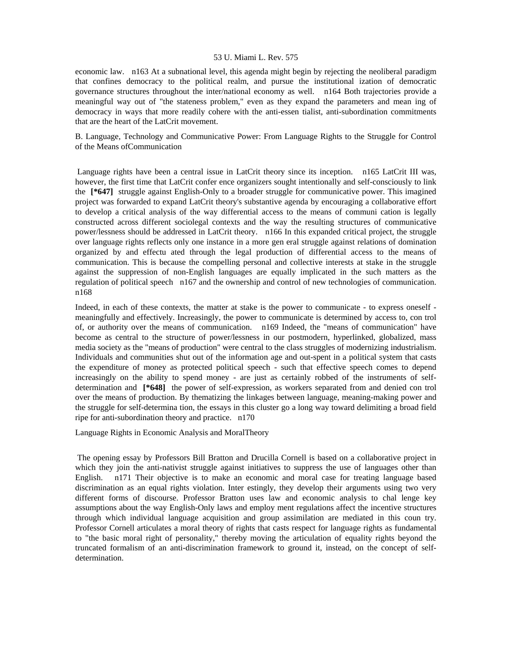economic law. n163 At a subnational level, this agenda might begin by rejecting the neoliberal paradigm that confines democracy to the political realm, and pursue the institutional ization of democratic governance structures throughout the inter/national economy as well. n164 Both trajectories provide a meaningful way out of "the stateness problem," even as they expand the parameters and mean ing of democracy in ways that more readily cohere with the anti-essen tialist, anti-subordination commitments that are the heart of the LatCrit movement.

B. Language, Technology and Communicative Power: From Language Rights to the Struggle for Control of the Means ofCommunication

 Language rights have been a central issue in LatCrit theory since its inception. n165 LatCrit III was, however, the first time that LatCrit confer ence organizers sought intentionally and self-consciously to link the **[\*647]** struggle against English-Only to a broader struggle for communicative power. This imagined project was forwarded to expand LatCrit theory's substantive agenda by encouraging a collaborative effort to develop a critical analysis of the way differential access to the means of communi cation is legally constructed across different sociolegal contexts and the way the resulting structures of communicative power/lessness should be addressed in LatCrit theory. n166 In this expanded critical project, the struggle over language rights reflects only one instance in a more gen eral struggle against relations of domination organized by and effectu ated through the legal production of differential access to the means of communication. This is because the compelling personal and collective interests at stake in the struggle against the suppression of non-English languages are equally implicated in the such matters as the regulation of political speech n167 and the ownership and control of new technologies of communication. n168

Indeed, in each of these contexts, the matter at stake is the power to communicate - to express oneself meaningfully and effectively. Increasingly, the power to communicate is determined by access to, con trol of, or authority over the means of communication. n169 Indeed, the "means of communication" have become as central to the structure of power/lessness in our postmodern, hyperlinked, globalized, mass media society as the "means of production" were central to the class struggles of modernizing industrialism. Individuals and communities shut out of the information age and out-spent in a political system that casts the expenditure of money as protected political speech - such that effective speech comes to depend increasingly on the ability to spend money - are just as certainly robbed of the instruments of selfdetermination and **[\*648]** the power of self-expression, as workers separated from and denied con trol over the means of production. By thematizing the linkages between language, meaning-making power and the struggle for self-determina tion, the essays in this cluster go a long way toward delimiting a broad field ripe for anti-subordination theory and practice. n170

Language Rights in Economic Analysis and MoralTheory

 The opening essay by Professors Bill Bratton and Drucilla Cornell is based on a collaborative project in which they join the anti-nativist struggle against initiatives to suppress the use of languages other than English. n171 Their objective is to make an economic and moral case for treating language based discrimination as an equal rights violation. Inter estingly, they develop their arguments using two very different forms of discourse. Professor Bratton uses law and economic analysis to chal lenge key assumptions about the way English-Only laws and employ ment regulations affect the incentive structures through which individual language acquisition and group assimilation are mediated in this coun try. Professor Cornell articulates a moral theory of rights that casts respect for language rights as fundamental to "the basic moral right of personality," thereby moving the articulation of equality rights beyond the truncated formalism of an anti-discrimination framework to ground it, instead, on the concept of selfdetermination.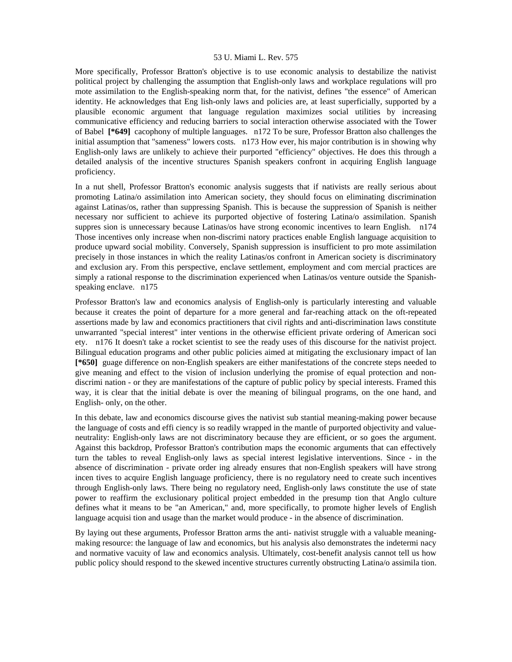More specifically, Professor Bratton's objective is to use economic analysis to destabilize the nativist political project by challenging the assumption that English-only laws and workplace regulations will pro mote assimilation to the English-speaking norm that, for the nativist, defines "the essence" of American identity. He acknowledges that Eng lish-only laws and policies are, at least superficially, supported by a plausible economic argument that language regulation maximizes social utilities by increasing communicative efficiency and reducing barriers to social interaction otherwise associated with the Tower of Babel **[\*649]** cacophony of multiple languages. n172 To be sure, Professor Bratton also challenges the initial assumption that "sameness" lowers costs. n173 How ever, his major contribution is in showing why English-only laws are unlikely to achieve their purported "efficiency" objectives. He does this through a detailed analysis of the incentive structures Spanish speakers confront in acquiring English language proficiency.

In a nut shell, Professor Bratton's economic analysis suggests that if nativists are really serious about promoting Latina/o assimilation into American society, they should focus on eliminating discrimination against Latinas/os, rather than suppressing Spanish. This is because the suppression of Spanish is neither necessary nor sufficient to achieve its purported objective of fostering Latina/o assimilation. Spanish suppres sion is unnecessary because Latinas/os have strong economic incentives to learn English. n174 Those incentives only increase when non-discrimi natory practices enable English language acquisition to produce upward social mobility. Conversely, Spanish suppression is insufficient to pro mote assimilation precisely in those instances in which the reality Latinas/os confront in American society is discriminatory and exclusion ary. From this perspective, enclave settlement, employment and com mercial practices are simply a rational response to the discrimination experienced when Latinas/os venture outside the Spanishspeaking enclave. n175

Professor Bratton's law and economics analysis of English-only is particularly interesting and valuable because it creates the point of departure for a more general and far-reaching attack on the oft-repeated assertions made by law and economics practitioners that civil rights and anti-discrimination laws constitute unwarranted "special interest" inter ventions in the otherwise efficient private ordering of American soci ety. n176 It doesn't take a rocket scientist to see the ready uses of this discourse for the nativist project. Bilingual education programs and other public policies aimed at mitigating the exclusionary impact of lan **[\*650]** guage difference on non-English speakers are either manifestations of the concrete steps needed to give meaning and effect to the vision of inclusion underlying the promise of equal protection and nondiscrimi nation - or they are manifestations of the capture of public policy by special interests. Framed this way, it is clear that the initial debate is over the meaning of bilingual programs, on the one hand, and English- only, on the other.

In this debate, law and economics discourse gives the nativist sub stantial meaning-making power because the language of costs and effi ciency is so readily wrapped in the mantle of purported objectivity and valueneutrality: English-only laws are not discriminatory because they are efficient, or so goes the argument. Against this backdrop, Professor Bratton's contribution maps the economic arguments that can effectively turn the tables to reveal English-only laws as special interest legislative interventions. Since - in the absence of discrimination - private order ing already ensures that non-English speakers will have strong incen tives to acquire English language proficiency, there is no regulatory need to create such incentives through English-only laws. There being no regulatory need, English-only laws constitute the use of state power to reaffirm the exclusionary political project embedded in the presump tion that Anglo culture defines what it means to be "an American," and, more specifically, to promote higher levels of English language acquisi tion and usage than the market would produce - in the absence of discrimination.

By laying out these arguments, Professor Bratton arms the anti- nativist struggle with a valuable meaningmaking resource: the language of law and economics, but his analysis also demonstrates the indetermi nacy and normative vacuity of law and economics analysis. Ultimately, cost-benefit analysis cannot tell us how public policy should respond to the skewed incentive structures currently obstructing Latina/o assimila tion.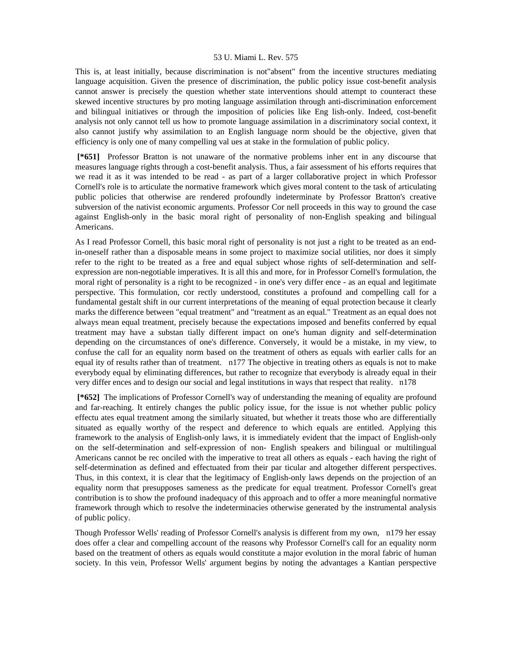This is, at least initially, because discrimination is not"absent" from the incentive structures mediating language acquisition. Given the presence of discrimination, the public policy issue cost-benefit analysis cannot answer is precisely the question whether state interventions should attempt to counteract these skewed incentive structures by pro moting language assimilation through anti-discrimination enforcement and bilingual initiatives or through the imposition of policies like Eng lish-only. Indeed, cost-benefit analysis not only cannot tell us how to promote language assimilation in a discriminatory social context, it also cannot justify why assimilation to an English language norm should be the objective, given that efficiency is only one of many compelling val ues at stake in the formulation of public policy.

 **[\*651]** Professor Bratton is not unaware of the normative problems inher ent in any discourse that measures language rights through a cost-benefit analysis. Thus, a fair assessment of his efforts requires that we read it as it was intended to be read - as part of a larger collaborative project in which Professor Cornell's role is to articulate the normative framework which gives moral content to the task of articulating public policies that otherwise are rendered profoundly indeterminate by Professor Bratton's creative subversion of the nativist economic arguments. Professor Cor nell proceeds in this way to ground the case against English-only in the basic moral right of personality of non-English speaking and bilingual Americans.

As I read Professor Cornell, this basic moral right of personality is not just a right to be treated as an endin-oneself rather than a disposable means in some project to maximize social utilities, nor does it simply refer to the right to be treated as a free and equal subject whose rights of self-determination and selfexpression are non-negotiable imperatives. It is all this and more, for in Professor Cornell's formulation, the moral right of personality is a right to be recognized - in one's very differ ence - as an equal and legitimate perspective. This formulation, cor rectly understood, constitutes a profound and compelling call for a fundamental gestalt shift in our current interpretations of the meaning of equal protection because it clearly marks the difference between "equal treatment" and "treatment as an equal." Treatment as an equal does not always mean equal treatment, precisely because the expectations imposed and benefits conferred by equal treatment may have a substan tially different impact on one's human dignity and self-determination depending on the circumstances of one's difference. Conversely, it would be a mistake, in my view, to confuse the call for an equality norm based on the treatment of others as equals with earlier calls for an equal ity of results rather than of treatment. n177 The objective in treating others as equals is not to make everybody equal by eliminating differences, but rather to recognize that everybody is already equal in their very differ ences and to design our social and legal institutions in ways that respect that reality. n178

 **[\*652]** The implications of Professor Cornell's way of understanding the meaning of equality are profound and far-reaching. It entirely changes the public policy issue, for the issue is not whether public policy effectu ates equal treatment among the similarly situated, but whether it treats those who are differentially situated as equally worthy of the respect and deference to which equals are entitled. Applying this framework to the analysis of English-only laws, it is immediately evident that the impact of English-only on the self-determination and self-expression of non- English speakers and bilingual or multilingual Americans cannot be rec onciled with the imperative to treat all others as equals - each having the right of self-determination as defined and effectuated from their par ticular and altogether different perspectives. Thus, in this context, it is clear that the legitimacy of English-only laws depends on the projection of an equality norm that presupposes sameness as the predicate for equal treatment. Professor Cornell's great contribution is to show the profound inadequacy of this approach and to offer a more meaningful normative framework through which to resolve the indeterminacies otherwise generated by the instrumental analysis of public policy.

Though Professor Wells' reading of Professor Cornell's analysis is different from my own, n179 her essay does offer a clear and compelling account of the reasons why Professor Cornell's call for an equality norm based on the treatment of others as equals would constitute a major evolution in the moral fabric of human society. In this vein, Professor Wells' argument begins by noting the advantages a Kantian perspective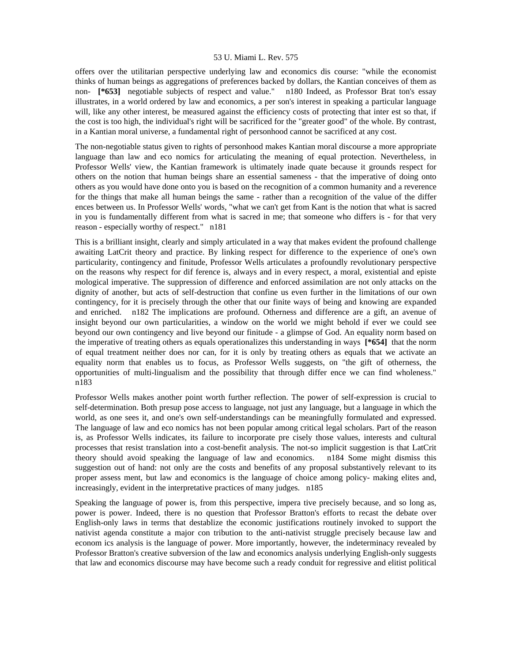offers over the utilitarian perspective underlying law and economics dis course: "while the economist thinks of human beings as aggregations of preferences backed by dollars, the Kantian conceives of them as non- **[\*653]** negotiable subjects of respect and value." n180 Indeed, as Professor Brat ton's essay illustrates, in a world ordered by law and economics, a per son's interest in speaking a particular language will, like any other interest, be measured against the efficiency costs of protecting that inter est so that, if the cost is too high, the individual's right will be sacrificed for the "greater good" of the whole. By contrast, in a Kantian moral universe, a fundamental right of personhood cannot be sacrificed at any cost.

The non-negotiable status given to rights of personhood makes Kantian moral discourse a more appropriate language than law and eco nomics for articulating the meaning of equal protection. Nevertheless, in Professor Wells' view, the Kantian framework is ultimately inade quate because it grounds respect for others on the notion that human beings share an essential sameness - that the imperative of doing onto others as you would have done onto you is based on the recognition of a common humanity and a reverence for the things that make all human beings the same - rather than a recognition of the value of the differ ences between us. In Professor Wells' words, "what we can't get from Kant is the notion that what is sacred in you is fundamentally different from what is sacred in me; that someone who differs is - for that very reason - especially worthy of respect." n181

This is a brilliant insight, clearly and simply articulated in a way that makes evident the profound challenge awaiting LatCrit theory and practice. By linking respect for difference to the experience of one's own particularity, contingency and finitude, Professor Wells articulates a profoundly revolutionary perspective on the reasons why respect for dif ference is, always and in every respect, a moral, existential and episte mological imperative. The suppression of difference and enforced assimilation are not only attacks on the dignity of another, but acts of self-destruction that confine us even further in the limitations of our own contingency, for it is precisely through the other that our finite ways of being and knowing are expanded and enriched. n182 The implications are profound. Otherness and difference are a gift, an avenue of insight beyond our own particularities, a window on the world we might behold if ever we could see beyond our own contingency and live beyond our finitude - a glimpse of God. An equality norm based on the imperative of treating others as equals operationalizes this understanding in ways **[\*654]** that the norm of equal treatment neither does nor can, for it is only by treating others as equals that we activate an equality norm that enables us to focus, as Professor Wells suggests, on "the gift of otherness, the opportunities of multi-lingualism and the possibility that through differ ence we can find wholeness." n183

Professor Wells makes another point worth further reflection. The power of self-expression is crucial to self-determination. Both presup pose access to language, not just any language, but a language in which the world, as one sees it, and one's own self-understandings can be meaningfully formulated and expressed. The language of law and eco nomics has not been popular among critical legal scholars. Part of the reason is, as Professor Wells indicates, its failure to incorporate pre cisely those values, interests and cultural processes that resist translation into a cost-benefit analysis. The not-so implicit suggestion is that LatCrit theory should avoid speaking the language of law and economics. n184 Some might dismiss this suggestion out of hand: not only are the costs and benefits of any proposal substantively relevant to its proper assess ment, but law and economics is the language of choice among policy- making elites and, increasingly, evident in the interpretative practices of many judges. n185

Speaking the language of power is, from this perspective, impera tive precisely because, and so long as, power is power. Indeed, there is no question that Professor Bratton's efforts to recast the debate over English-only laws in terms that destablize the economic justifications routinely invoked to support the nativist agenda constitute a major con tribution to the anti-nativist struggle precisely because law and econom ics analysis is the language of power. More importantly, however, the indeterminacy revealed by Professor Bratton's creative subversion of the law and economics analysis underlying English-only suggests that law and economics discourse may have become such a ready conduit for regressive and elitist political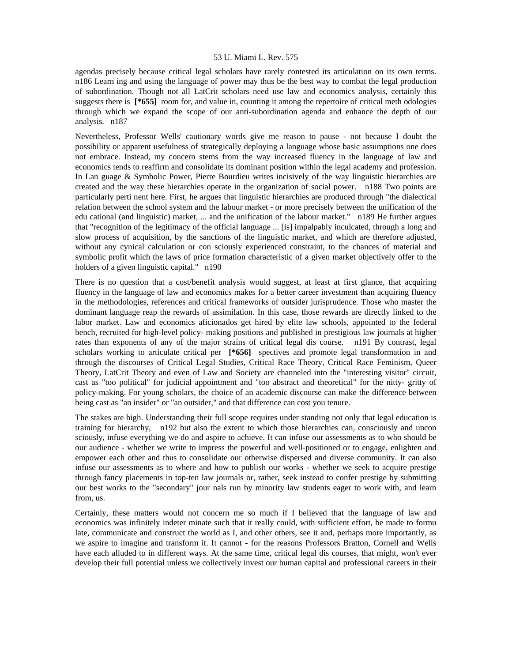agendas precisely because critical legal scholars have rarely contested its articulation on its own terms. n186 Learn ing and using the language of power may thus be the best way to combat the legal production of subordination. Though not all LatCrit scholars need use law and economics analysis, certainly this suggests there is **[\*655]** room for, and value in, counting it among the repertoire of critical meth odologies through which we expand the scope of our anti-subordination agenda and enhance the depth of our analysis. n187

Nevertheless, Professor Wells' cautionary words give me reason to pause - not because I doubt the possibility or apparent usefulness of strategically deploying a language whose basic assumptions one does not embrace. Instead, my concern stems from the way increased fluency in the language of law and economics tends to reaffirm and consolidate its dominant position within the legal academy and profession. In Lan guage & Symbolic Power, Pierre Bourdieu writes incisively of the way linguistic hierarchies are created and the way these hierarchies operate in the organization of social power. n188 Two points are particularly perti nent here. First, he argues that linguistic hierarchies are produced through "the dialectical relation between the school system and the labour market - or more precisely between the unification of the edu cational (and linguistic) market, ... and the unification of the labour market." n189 He further argues that "recognition of the legitimacy of the official language ... [is] impalpably inculcated, through a long and slow process of acquisition, by the sanctions of the linguistic market, and which are therefore adjusted, without any cynical calculation or con sciously experienced constraint, to the chances of material and symbolic profit which the laws of price formation characteristic of a given market objectively offer to the holders of a given linguistic capital." n190

There is no question that a cost/benefit analysis would suggest, at least at first glance, that acquiring fluency in the language of law and economics makes for a better career investment than acquiring fluency in the methodologies, references and critical frameworks of outsider jurisprudence. Those who master the dominant language reap the rewards of assimilation. In this case, those rewards are directly linked to the labor market. Law and economics aficionados get hired by elite law schools, appointed to the federal bench, recruited for high-level policy- making positions and published in prestigious law journals at higher rates than exponents of any of the major strains of critical legal dis course. n191 By contrast, legal scholars working to articulate critical per **[\*656]** spectives and promote legal transformation in and through the discourses of Critical Legal Studies, Critical Race Theory, Critical Race Feminism, Queer Theory, LatCrit Theory and even of Law and Society are channeled into the "interesting visitor" circuit, cast as "too political" for judicial appointment and "too abstract and theoretical" for the nitty- gritty of policy-making. For young scholars, the choice of an academic discourse can make the difference between being cast as "an insider" or "an outsider," and that difference can cost you tenure.

The stakes are high. Understanding their full scope requires under standing not only that legal education is training for hierarchy, n192 but also the extent to which those hierarchies can, consciously and uncon sciously, infuse everything we do and aspire to achieve. It can infuse our assessments as to who should be our audience - whether we write to impress the powerful and well-positioned or to engage, enlighten and empower each other and thus to consolidate our otherwise dispersed and diverse community. It can also infuse our assessments as to where and how to publish our works - whether we seek to acquire prestige through fancy placements in top-ten law journals or, rather, seek instead to confer prestige by submitting our best works to the "secondary" jour nals run by minority law students eager to work with, and learn from, us.

Certainly, these matters would not concern me so much if I believed that the language of law and economics was infinitely indeter minate such that it really could, with sufficient effort, be made to formu late, communicate and construct the world as I, and other others, see it and, perhaps more importantly, as we aspire to imagine and transform it. It cannot - for the reasons Professors Bratton, Cornell and Wells have each alluded to in different ways. At the same time, critical legal dis courses, that might, won't ever develop their full potential unless we collectively invest our human capital and professional careers in their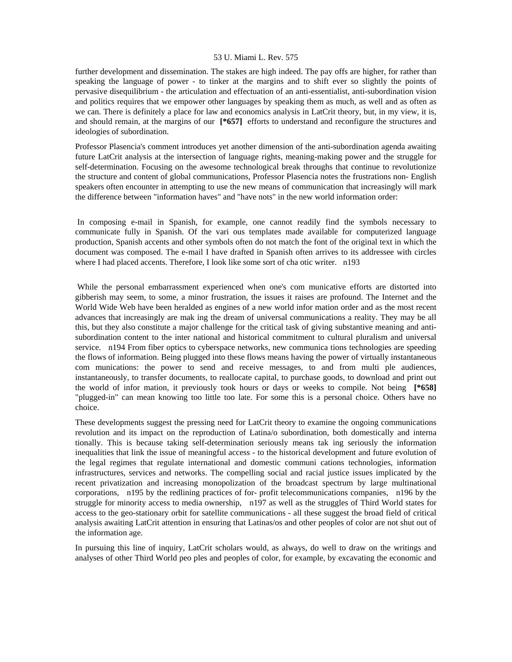further development and dissemination. The stakes are high indeed. The pay offs are higher, for rather than speaking the language of power - to tinker at the margins and to shift ever so slightly the points of pervasive disequilibrium - the articulation and effectuation of an anti-essentialist, anti-subordination vision and politics requires that we empower other languages by speaking them as much, as well and as often as we can. There is definitely a place for law and economics analysis in LatCrit theory, but, in my view, it is, and should remain, at the margins of our **[\*657]** efforts to understand and reconfigure the structures and ideologies of subordination.

Professor Plasencia's comment introduces yet another dimension of the anti-subordination agenda awaiting future LatCrit analysis at the intersection of language rights, meaning-making power and the struggle for self-determination. Focusing on the awesome technological break throughs that continue to revolutionize the structure and content of global communications, Professor Plasencia notes the frustrations non- English speakers often encounter in attempting to use the new means of communication that increasingly will mark the difference between "information haves" and "have nots" in the new world information order:

 In composing e-mail in Spanish, for example, one cannot readily find the symbols necessary to communicate fully in Spanish. Of the vari ous templates made available for computerized language production, Spanish accents and other symbols often do not match the font of the original text in which the document was composed. The e-mail I have drafted in Spanish often arrives to its addressee with circles where I had placed accents. Therefore, I look like some sort of cha otic writer. n193

 While the personal embarrassment experienced when one's com municative efforts are distorted into gibberish may seem, to some, a minor frustration, the issues it raises are profound. The Internet and the World Wide Web have been heralded as engines of a new world infor mation order and as the most recent advances that increasingly are mak ing the dream of universal communications a reality. They may be all this, but they also constitute a major challenge for the critical task of giving substantive meaning and antisubordination content to the inter national and historical commitment to cultural pluralism and universal service. n194 From fiber optics to cyberspace networks, new communica tions technologies are speeding the flows of information. Being plugged into these flows means having the power of virtually instantaneous com munications: the power to send and receive messages, to and from multi ple audiences, instantaneously, to transfer documents, to reallocate capital, to purchase goods, to download and print out the world of infor mation, it previously took hours or days or weeks to compile. Not being **[\*658]**  "plugged-in" can mean knowing too little too late. For some this is a personal choice. Others have no choice.

These developments suggest the pressing need for LatCrit theory to examine the ongoing communications revolution and its impact on the reproduction of Latina/o subordination, both domestically and interna tionally. This is because taking self-determination seriously means tak ing seriously the information inequalities that link the issue of meaningful access - to the historical development and future evolution of the legal regimes that regulate international and domestic communi cations technologies, information infrastructures, services and networks. The compelling social and racial justice issues implicated by the recent privatization and increasing monopolization of the broadcast spectrum by large multinational corporations, n195 by the redlining practices of for- profit telecommunications companies, n196 by the struggle for minority access to media ownership, n197 as well as the struggles of Third World states for access to the geo-stationary orbit for satellite communications - all these suggest the broad field of critical analysis awaiting LatCrit attention in ensuring that Latinas/os and other peoples of color are not shut out of the information age.

In pursuing this line of inquiry, LatCrit scholars would, as always, do well to draw on the writings and analyses of other Third World peo ples and peoples of color, for example, by excavating the economic and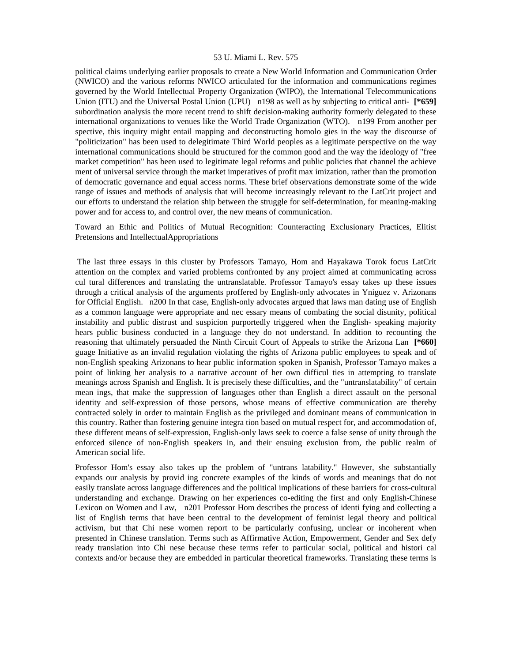political claims underlying earlier proposals to create a New World Information and Communication Order (NWICO) and the various reforms NWICO articulated for the information and communications regimes governed by the World Intellectual Property Organization (WIPO), the International Telecommunications Union (ITU) and the Universal Postal Union (UPU) n198 as well as by subjecting to critical anti- **[\*659]**  subordination analysis the more recent trend to shift decision-making authority formerly delegated to these international organizations to venues like the World Trade Organization (WTO). n199 From another per spective, this inquiry might entail mapping and deconstructing homolo gies in the way the discourse of "politicization" has been used to delegitimate Third World peoples as a legitimate perspective on the way international communications should be structured for the common good and the way the ideology of "free market competition" has been used to legitimate legal reforms and public policies that channel the achieve ment of universal service through the market imperatives of profit max imization, rather than the promotion of democratic governance and equal access norms. These brief observations demonstrate some of the wide range of issues and methods of analysis that will become increasingly relevant to the LatCrit project and our efforts to understand the relation ship between the struggle for self-determination, for meaning-making power and for access to, and control over, the new means of communication.

Toward an Ethic and Politics of Mutual Recognition: Counteracting Exclusionary Practices, Elitist Pretensions and IntellectualAppropriations

 The last three essays in this cluster by Professors Tamayo, Hom and Hayakawa Torok focus LatCrit attention on the complex and varied problems confronted by any project aimed at communicating across cul tural differences and translating the untranslatable. Professor Tamayo's essay takes up these issues through a critical analysis of the arguments proffered by English-only advocates in Yniguez v. Arizonans for Official English. n200 In that case, English-only advocates argued that laws man dating use of English as a common language were appropriate and nec essary means of combating the social disunity, political instability and public distrust and suspicion purportedly triggered when the English- speaking majority hears public business conducted in a language they do not understand. In addition to recounting the reasoning that ultimately persuaded the Ninth Circuit Court of Appeals to strike the Arizona Lan **[\*660]**  guage Initiative as an invalid regulation violating the rights of Arizona public employees to speak and of non-English speaking Arizonans to hear public information spoken in Spanish, Professor Tamayo makes a point of linking her analysis to a narrative account of her own difficul ties in attempting to translate meanings across Spanish and English. It is precisely these difficulties, and the "untranslatability" of certain mean ings, that make the suppression of languages other than English a direct assault on the personal identity and self-expression of those persons, whose means of effective communication are thereby contracted solely in order to maintain English as the privileged and dominant means of communication in this country. Rather than fostering genuine integra tion based on mutual respect for, and accommodation of, these different means of self-expression, English-only laws seek to coerce a false sense of unity through the enforced silence of non-English speakers in, and their ensuing exclusion from, the public realm of American social life.

Professor Hom's essay also takes up the problem of "untrans latability." However, she substantially expands our analysis by provid ing concrete examples of the kinds of words and meanings that do not easily translate across language differences and the political implications of these barriers for cross-cultural understanding and exchange. Drawing on her experiences co-editing the first and only English-Chinese Lexicon on Women and Law, n201 Professor Hom describes the process of identi fying and collecting a list of English terms that have been central to the development of feminist legal theory and political activism, but that Chi nese women report to be particularly confusing, unclear or incoherent when presented in Chinese translation. Terms such as Affirmative Action, Empowerment, Gender and Sex defy ready translation into Chi nese because these terms refer to particular social, political and histori cal contexts and/or because they are embedded in particular theoretical frameworks. Translating these terms is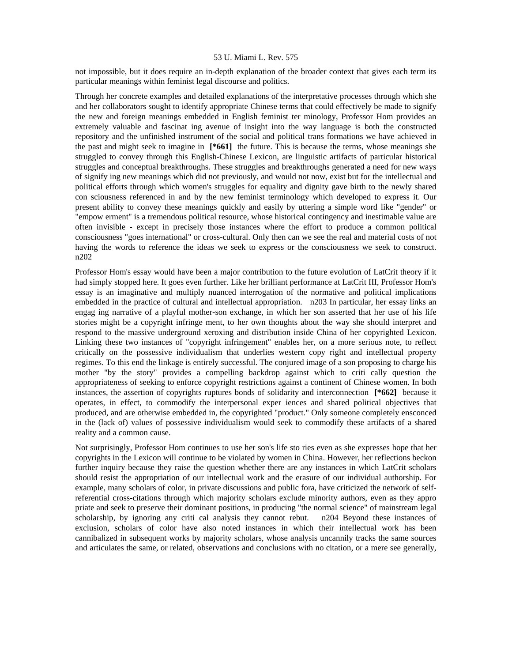not impossible, but it does require an in-depth explanation of the broader context that gives each term its particular meanings within feminist legal discourse and politics.

Through her concrete examples and detailed explanations of the interpretative processes through which she and her collaborators sought to identify appropriate Chinese terms that could effectively be made to signify the new and foreign meanings embedded in English feminist ter minology, Professor Hom provides an extremely valuable and fascinat ing avenue of insight into the way language is both the constructed repository and the unfinished instrument of the social and political trans formations we have achieved in the past and might seek to imagine in **[\*661]** the future. This is because the terms, whose meanings she struggled to convey through this English-Chinese Lexicon, are linguistic artifacts of particular historical struggles and conceptual breakthroughs. These struggles and breakthroughs generated a need for new ways of signify ing new meanings which did not previously, and would not now, exist but for the intellectual and political efforts through which women's struggles for equality and dignity gave birth to the newly shared con sciousness referenced in and by the new feminist terminology which developed to express it. Our present ability to convey these meanings quickly and easily by uttering a simple word like "gender" or "empow erment" is a tremendous political resource, whose historical contingency and inestimable value are often invisible - except in precisely those instances where the effort to produce a common political consciousness "goes international" or cross-cultural. Only then can we see the real and material costs of not having the words to reference the ideas we seek to express or the consciousness we seek to construct. n202

Professor Hom's essay would have been a major contribution to the future evolution of LatCrit theory if it had simply stopped here. It goes even further. Like her brilliant performance at LatCrit III, Professor Hom's essay is an imaginative and multiply nuanced interrogation of the normative and political implications embedded in the practice of cultural and intellectual appropriation. n203 In particular, her essay links an engag ing narrative of a playful mother-son exchange, in which her son asserted that her use of his life stories might be a copyright infringe ment, to her own thoughts about the way she should interpret and respond to the massive underground xeroxing and distribution inside China of her copyrighted Lexicon. Linking these two instances of "copyright infringement" enables her, on a more serious note, to reflect critically on the possessive individualism that underlies western copy right and intellectual property regimes. To this end the linkage is entirely successful. The conjured image of a son proposing to charge his mother "by the story" provides a compelling backdrop against which to criti cally question the appropriateness of seeking to enforce copyright restrictions against a continent of Chinese women. In both instances, the assertion of copyrights ruptures bonds of solidarity and interconnection **[\*662]** because it operates, in effect, to commodify the interpersonal exper iences and shared political objectives that produced, and are otherwise embedded in, the copyrighted "product." Only someone completely ensconced in the (lack of) values of possessive individualism would seek to commodify these artifacts of a shared reality and a common cause.

Not surprisingly, Professor Hom continues to use her son's life sto ries even as she expresses hope that her copyrights in the Lexicon will continue to be violated by women in China. However, her reflections beckon further inquiry because they raise the question whether there are any instances in which LatCrit scholars should resist the appropriation of our intellectual work and the erasure of our individual authorship. For example, many scholars of color, in private discussions and public fora, have criticized the network of selfreferential cross-citations through which majority scholars exclude minority authors, even as they appro priate and seek to preserve their dominant positions, in producing "the normal science" of mainstream legal scholarship, by ignoring any criti cal analysis they cannot rebut. n204 Beyond these instances of exclusion, scholars of color have also noted instances in which their intellectual work has been cannibalized in subsequent works by majority scholars, whose analysis uncannily tracks the same sources and articulates the same, or related, observations and conclusions with no citation, or a mere see generally,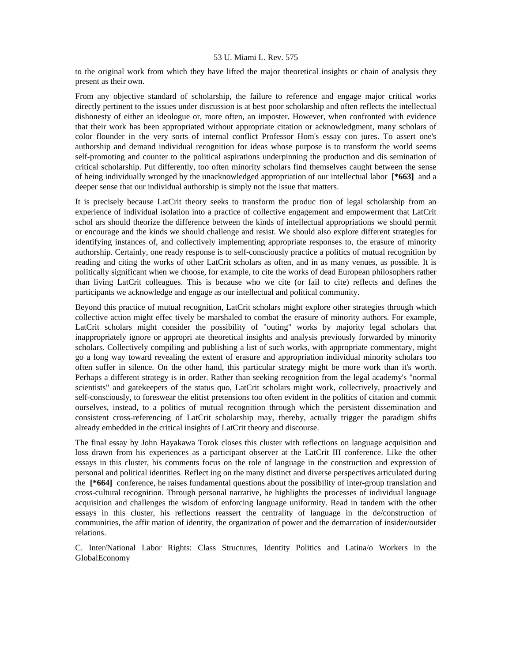to the original work from which they have lifted the major theoretical insights or chain of analysis they present as their own.

From any objective standard of scholarship, the failure to reference and engage major critical works directly pertinent to the issues under discussion is at best poor scholarship and often reflects the intellectual dishonesty of either an ideologue or, more often, an imposter. However, when confronted with evidence that their work has been appropriated without appropriate citation or acknowledgment, many scholars of color flounder in the very sorts of internal conflict Professor Hom's essay con jures. To assert one's authorship and demand individual recognition for ideas whose purpose is to transform the world seems self-promoting and counter to the political aspirations underpinning the production and dis semination of critical scholarship. Put differently, too often minority scholars find themselves caught between the sense of being individually wronged by the unacknowledged appropriation of our intellectual labor **[\*663]** and a deeper sense that our individual authorship is simply not the issue that matters.

It is precisely because LatCrit theory seeks to transform the produc tion of legal scholarship from an experience of individual isolation into a practice of collective engagement and empowerment that LatCrit schol ars should theorize the difference between the kinds of intellectual appropriations we should permit or encourage and the kinds we should challenge and resist. We should also explore different strategies for identifying instances of, and collectively implementing appropriate responses to, the erasure of minority authorship. Certainly, one ready response is to self-consciously practice a politics of mutual recognition by reading and citing the works of other LatCrit scholars as often, and in as many venues, as possible. It is politically significant when we choose, for example, to cite the works of dead European philosophers rather than living LatCrit colleagues. This is because who we cite (or fail to cite) reflects and defines the participants we acknowledge and engage as our intellectual and political community.

Beyond this practice of mutual recognition, LatCrit scholars might explore other strategies through which collective action might effec tively be marshaled to combat the erasure of minority authors. For example, LatCrit scholars might consider the possibility of "outing" works by majority legal scholars that inappropriately ignore or appropri ate theoretical insights and analysis previously forwarded by minority scholars. Collectively compiling and publishing a list of such works, with appropriate commentary, might go a long way toward revealing the extent of erasure and appropriation individual minority scholars too often suffer in silence. On the other hand, this particular strategy might be more work than it's worth. Perhaps a different strategy is in order. Rather than seeking recognition from the legal academy's "normal scientists" and gatekeepers of the status quo, LatCrit scholars might work, collectively, proactively and self-consciously, to foreswear the elitist pretensions too often evident in the politics of citation and commit ourselves, instead, to a politics of mutual recognition through which the persistent dissemination and consistent cross-referencing of LatCrit scholarship may, thereby, actually trigger the paradigm shifts already embedded in the critical insights of LatCrit theory and discourse.

The final essay by John Hayakawa Torok closes this cluster with reflections on language acquisition and loss drawn from his experiences as a participant observer at the LatCrit III conference. Like the other essays in this cluster, his comments focus on the role of language in the construction and expression of personal and political identities. Reflect ing on the many distinct and diverse perspectives articulated during the **[\*664]** conference, he raises fundamental questions about the possibility of inter-group translation and cross-cultural recognition. Through personal narrative, he highlights the processes of individual language acquisition and challenges the wisdom of enforcing language uniformity. Read in tandem with the other essays in this cluster, his reflections reassert the centrality of language in the de/construction of communities, the affir mation of identity, the organization of power and the demarcation of insider/outsider relations.

C. Inter/National Labor Rights: Class Structures, Identity Politics and Latina/o Workers in the GlobalEconomy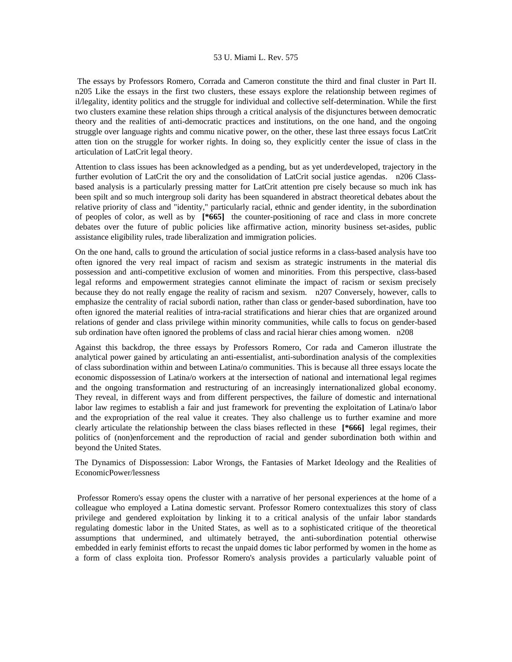The essays by Professors Romero, Corrada and Cameron constitute the third and final cluster in Part II. n205 Like the essays in the first two clusters, these essays explore the relationship between regimes of il/legality, identity politics and the struggle for individual and collective self-determination. While the first two clusters examine these relation ships through a critical analysis of the disjunctures between democratic theory and the realities of anti-democratic practices and institutions, on the one hand, and the ongoing struggle over language rights and commu nicative power, on the other, these last three essays focus LatCrit atten tion on the struggle for worker rights. In doing so, they explicitly center the issue of class in the articulation of LatCrit legal theory.

Attention to class issues has been acknowledged as a pending, but as yet underdeveloped, trajectory in the further evolution of LatCrit the ory and the consolidation of LatCrit social justice agendas. n206 Classbased analysis is a particularly pressing matter for LatCrit attention pre cisely because so much ink has been spilt and so much intergroup soli darity has been squandered in abstract theoretical debates about the relative priority of class and "identity," particularly racial, ethnic and gender identity, in the subordination of peoples of color, as well as by **[\*665]** the counter-positioning of race and class in more concrete debates over the future of public policies like affirmative action, minority business set-asides, public assistance eligibility rules, trade liberalization and immigration policies.

On the one hand, calls to ground the articulation of social justice reforms in a class-based analysis have too often ignored the very real impact of racism and sexism as strategic instruments in the material dis possession and anti-competitive exclusion of women and minorities. From this perspective, class-based legal reforms and empowerment strategies cannot eliminate the impact of racism or sexism precisely because they do not really engage the reality of racism and sexism. n207 Conversely, however, calls to emphasize the centrality of racial subordi nation, rather than class or gender-based subordination, have too often ignored the material realities of intra-racial stratifications and hierar chies that are organized around relations of gender and class privilege within minority communities, while calls to focus on gender-based sub ordination have often ignored the problems of class and racial hierar chies among women. n208

Against this backdrop, the three essays by Professors Romero, Cor rada and Cameron illustrate the analytical power gained by articulating an anti-essentialist, anti-subordination analysis of the complexities of class subordination within and between Latina/o communities. This is because all three essays locate the economic dispossession of Latina/o workers at the intersection of national and international legal regimes and the ongoing transformation and restructuring of an increasingly internationalized global economy. They reveal, in different ways and from different perspectives, the failure of domestic and international labor law regimes to establish a fair and just framework for preventing the exploitation of Latina/o labor and the expropriation of the real value it creates. They also challenge us to further examine and more clearly articulate the relationship between the class biases reflected in these **[\*666]** legal regimes, their politics of (non)enforcement and the reproduction of racial and gender subordination both within and beyond the United States.

The Dynamics of Dispossession: Labor Wrongs, the Fantasies of Market Ideology and the Realities of EconomicPower/lessness

 Professor Romero's essay opens the cluster with a narrative of her personal experiences at the home of a colleague who employed a Latina domestic servant. Professor Romero contextualizes this story of class privilege and gendered exploitation by linking it to a critical analysis of the unfair labor standards regulating domestic labor in the United States, as well as to a sophisticated critique of the theoretical assumptions that undermined, and ultimately betrayed, the anti-subordination potential otherwise embedded in early feminist efforts to recast the unpaid domes tic labor performed by women in the home as a form of class exploita tion. Professor Romero's analysis provides a particularly valuable point of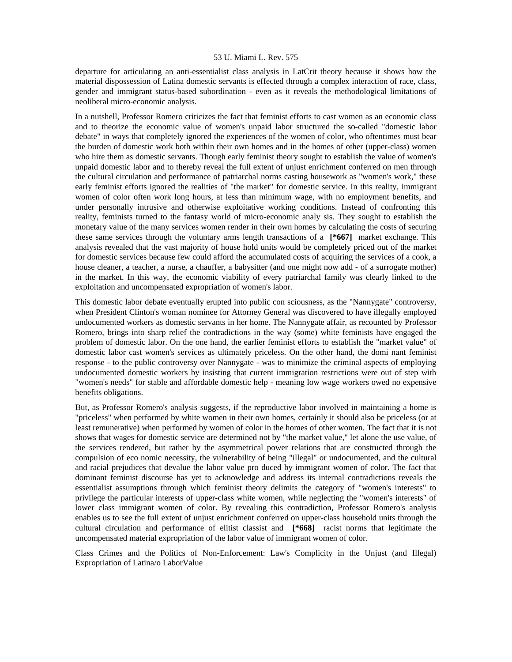departure for articulating an anti-essentialist class analysis in LatCrit theory because it shows how the material dispossession of Latina domestic servants is effected through a complex interaction of race, class, gender and immigrant status-based subordination - even as it reveals the methodological limitations of neoliberal micro-economic analysis.

In a nutshell, Professor Romero criticizes the fact that feminist efforts to cast women as an economic class and to theorize the economic value of women's unpaid labor structured the so-called "domestic labor debate" in ways that completely ignored the experiences of the women of color, who oftentimes must bear the burden of domestic work both within their own homes and in the homes of other (upper-class) women who hire them as domestic servants. Though early feminist theory sought to establish the value of women's unpaid domestic labor and to thereby reveal the full extent of unjust enrichment conferred on men through the cultural circulation and performance of patriarchal norms casting housework as "women's work," these early feminist efforts ignored the realities of "the market" for domestic service. In this reality, immigrant women of color often work long hours, at less than minimum wage, with no employment benefits, and under personally intrusive and otherwise exploitative working conditions. Instead of confronting this reality, feminists turned to the fantasy world of micro-economic analy sis. They sought to establish the monetary value of the many services women render in their own homes by calculating the costs of securing these same services through the voluntary arms length transactions of a **[\*667]** market exchange. This analysis revealed that the vast majority of house hold units would be completely priced out of the market for domestic services because few could afford the accumulated costs of acquiring the services of a cook, a house cleaner, a teacher, a nurse, a chauffer, a babysitter (and one might now add - of a surrogate mother) in the market. In this way, the economic viability of every patriarchal family was clearly linked to the exploitation and uncompensated expropriation of women's labor.

This domestic labor debate eventually erupted into public con sciousness, as the "Nannygate" controversy, when President Clinton's woman nominee for Attorney General was discovered to have illegally employed undocumented workers as domestic servants in her home. The Nannygate affair, as recounted by Professor Romero, brings into sharp relief the contradictions in the way (some) white feminists have engaged the problem of domestic labor. On the one hand, the earlier feminist efforts to establish the "market value" of domestic labor cast women's services as ultimately priceless. On the other hand, the domi nant feminist response - to the public controversy over Nannygate - was to minimize the criminal aspects of employing undocumented domestic workers by insisting that current immigration restrictions were out of step with "women's needs" for stable and affordable domestic help - meaning low wage workers owed no expensive benefits obligations.

But, as Professor Romero's analysis suggests, if the reproductive labor involved in maintaining a home is "priceless" when performed by white women in their own homes, certainly it should also be priceless (or at least remunerative) when performed by women of color in the homes of other women. The fact that it is not shows that wages for domestic service are determined not by "the market value," let alone the use value, of the services rendered, but rather by the asymmetrical power relations that are constructed through the compulsion of eco nomic necessity, the vulnerability of being "illegal" or undocumented, and the cultural and racial prejudices that devalue the labor value pro duced by immigrant women of color. The fact that dominant feminist discourse has yet to acknowledge and address its internal contradictions reveals the essentialist assumptions through which feminist theory delimits the category of "women's interests" to privilege the particular interests of upper-class white women, while neglecting the "women's interests" of lower class immigrant women of color. By revealing this contradiction, Professor Romero's analysis enables us to see the full extent of unjust enrichment conferred on upper-class household units through the cultural circulation and performance of elitist classist and **[\*668]** racist norms that legitimate the uncompensated material expropriation of the labor value of immigrant women of color.

Class Crimes and the Politics of Non-Enforcement: Law's Complicity in the Unjust (and Illegal) Expropriation of Latina/o LaborValue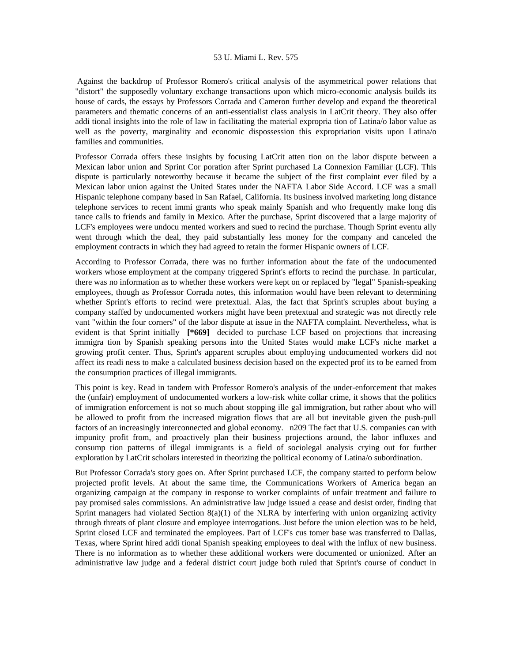Against the backdrop of Professor Romero's critical analysis of the asymmetrical power relations that "distort" the supposedly voluntary exchange transactions upon which micro-economic analysis builds its house of cards, the essays by Professors Corrada and Cameron further develop and expand the theoretical parameters and thematic concerns of an anti-essentialist class analysis in LatCrit theory. They also offer addi tional insights into the role of law in facilitating the material expropria tion of Latina/o labor value as well as the poverty, marginality and economic dispossession this expropriation visits upon Latina/o families and communities.

Professor Corrada offers these insights by focusing LatCrit atten tion on the labor dispute between a Mexican labor union and Sprint Cor poration after Sprint purchased La Connexion Familiar (LCF). This dispute is particularly noteworthy because it became the subject of the first complaint ever filed by a Mexican labor union against the United States under the NAFTA Labor Side Accord. LCF was a small Hispanic telephone company based in San Rafael, California. Its business involved marketing long distance telephone services to recent immi grants who speak mainly Spanish and who frequently make long dis tance calls to friends and family in Mexico. After the purchase, Sprint discovered that a large majority of LCF's employees were undocu mented workers and sued to recind the purchase. Though Sprint eventu ally went through which the deal, they paid substantially less money for the company and canceled the employment contracts in which they had agreed to retain the former Hispanic owners of LCF.

According to Professor Corrada, there was no further information about the fate of the undocumented workers whose employment at the company triggered Sprint's efforts to recind the purchase. In particular, there was no information as to whether these workers were kept on or replaced by "legal" Spanish-speaking employees, though as Professor Corrada notes, this information would have been relevant to determining whether Sprint's efforts to recind were pretextual. Alas, the fact that Sprint's scruples about buying a company staffed by undocumented workers might have been pretextual and strategic was not directly rele vant "within the four corners" of the labor dispute at issue in the NAFTA complaint. Nevertheless, what is evident is that Sprint initially **[\*669]** decided to purchase LCF based on projections that increasing immigra tion by Spanish speaking persons into the United States would make LCF's niche market a growing profit center. Thus, Sprint's apparent scruples about employing undocumented workers did not affect its readi ness to make a calculated business decision based on the expected prof its to be earned from the consumption practices of illegal immigrants.

This point is key. Read in tandem with Professor Romero's analysis of the under-enforcement that makes the (unfair) employment of undocumented workers a low-risk white collar crime, it shows that the politics of immigration enforcement is not so much about stopping ille gal immigration, but rather about who will be allowed to profit from the increased migration flows that are all but inevitable given the push-pull factors of an increasingly interconnected and global economy. n209 The fact that U.S. companies can with impunity profit from, and proactively plan their business projections around, the labor influxes and consump tion patterns of illegal immigrants is a field of sociolegal analysis crying out for further exploration by LatCrit scholars interested in theorizing the political economy of Latina/o subordination.

But Professor Corrada's story goes on. After Sprint purchased LCF, the company started to perform below projected profit levels. At about the same time, the Communications Workers of America began an organizing campaign at the company in response to worker complaints of unfair treatment and failure to pay promised sales commissions. An administrative law judge issued a cease and desist order, finding that Sprint managers had violated Section  $8(a)(1)$  of the NLRA by interfering with union organizing activity through threats of plant closure and employee interrogations. Just before the union election was to be held, Sprint closed LCF and terminated the employees. Part of LCF's cus tomer base was transferred to Dallas, Texas, where Sprint hired addi tional Spanish speaking employees to deal with the influx of new business. There is no information as to whether these additional workers were documented or unionized. After an administrative law judge and a federal district court judge both ruled that Sprint's course of conduct in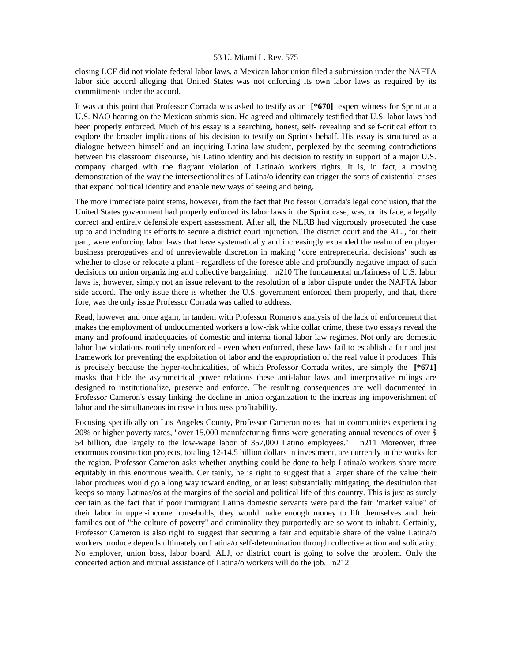closing LCF did not violate federal labor laws, a Mexican labor union filed a submission under the NAFTA labor side accord alleging that United States was not enforcing its own labor laws as required by its commitments under the accord.

It was at this point that Professor Corrada was asked to testify as an **[\*670]** expert witness for Sprint at a U.S. NAO hearing on the Mexican submis sion. He agreed and ultimately testified that U.S. labor laws had been properly enforced. Much of his essay is a searching, honest, self- revealing and self-critical effort to explore the broader implications of his decision to testify on Sprint's behalf. His essay is structured as a dialogue between himself and an inquiring Latina law student, perplexed by the seeming contradictions between his classroom discourse, his Latino identity and his decision to testify in support of a major U.S. company charged with the flagrant violation of Latina/o workers rights. It is, in fact, a moving demonstration of the way the intersectionalities of Latina/o identity can trigger the sorts of existential crises that expand political identity and enable new ways of seeing and being.

The more immediate point stems, however, from the fact that Pro fessor Corrada's legal conclusion, that the United States government had properly enforced its labor laws in the Sprint case, was, on its face, a legally correct and entirely defensible expert assessment. After all, the NLRB had vigorously prosecuted the case up to and including its efforts to secure a district court injunction. The district court and the ALJ, for their part, were enforcing labor laws that have systematically and increasingly expanded the realm of employer business prerogatives and of unreviewable discretion in making "core entrepreneurial decisions" such as whether to close or relocate a plant - regardless of the foresee able and profoundly negative impact of such decisions on union organiz ing and collective bargaining. n210 The fundamental un/fairness of U.S. labor laws is, however, simply not an issue relevant to the resolution of a labor dispute under the NAFTA labor side accord. The only issue there is whether the U.S. government enforced them properly, and that, there fore, was the only issue Professor Corrada was called to address.

Read, however and once again, in tandem with Professor Romero's analysis of the lack of enforcement that makes the employment of undocumented workers a low-risk white collar crime, these two essays reveal the many and profound inadequacies of domestic and interna tional labor law regimes. Not only are domestic labor law violations routinely unenforced - even when enforced, these laws fail to establish a fair and just framework for preventing the exploitation of labor and the expropriation of the real value it produces. This is precisely because the hyper-technicalities, of which Professor Corrada writes, are simply the **[\*671]**  masks that hide the asymmetrical power relations these anti-labor laws and interpretative rulings are designed to institutionalize, preserve and enforce. The resulting consequences are well documented in Professor Cameron's essay linking the decline in union organization to the increas ing impoverishment of labor and the simultaneous increase in business profitability.

Focusing specifically on Los Angeles County, Professor Cameron notes that in communities experiencing 20% or higher poverty rates, "over 15,000 manufacturing firms were generating annual revenues of over \$ 54 billion, due largely to the low-wage labor of 357,000 Latino employees." n211 Moreover, three enormous construction projects, totaling 12-14.5 billion dollars in investment, are currently in the works for the region. Professor Cameron asks whether anything could be done to help Latina/o workers share more equitably in this enormous wealth. Cer tainly, he is right to suggest that a larger share of the value their labor produces would go a long way toward ending, or at least substantially mitigating, the destitution that keeps so many Latinas/os at the margins of the social and political life of this country. This is just as surely cer tain as the fact that if poor immigrant Latina domestic servants were paid the fair "market value" of their labor in upper-income households, they would make enough money to lift themselves and their families out of "the culture of poverty" and criminality they purportedly are so wont to inhabit. Certainly, Professor Cameron is also right to suggest that securing a fair and equitable share of the value Latina/o workers produce depends ultimately on Latina/o self-determination through collective action and solidarity. No employer, union boss, labor board, ALJ, or district court is going to solve the problem. Only the concerted action and mutual assistance of Latina/o workers will do the job. n212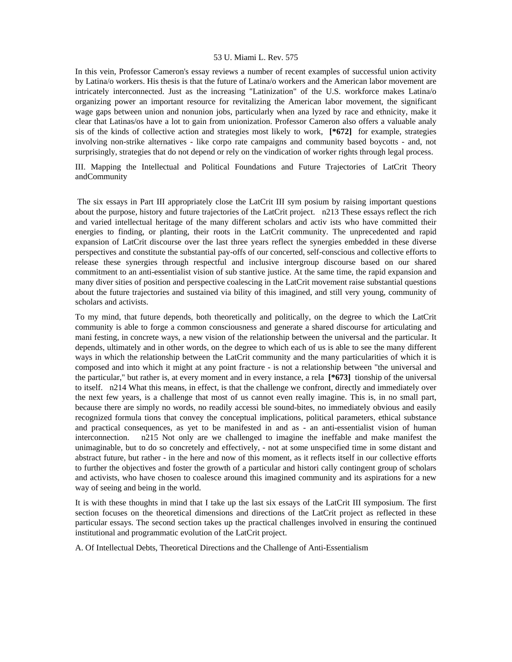In this vein, Professor Cameron's essay reviews a number of recent examples of successful union activity by Latina/o workers. His thesis is that the future of Latina/o workers and the American labor movement are intricately interconnected. Just as the increasing "Latinization" of the U.S. workforce makes Latina/o organizing power an important resource for revitalizing the American labor movement, the significant wage gaps between union and nonunion jobs, particularly when ana lyzed by race and ethnicity, make it clear that Latinas/os have a lot to gain from unionization. Professor Cameron also offers a valuable analy sis of the kinds of collective action and strategies most likely to work, **[\*672]** for example, strategies involving non-strike alternatives - like corpo rate campaigns and community based boycotts - and, not surprisingly, strategies that do not depend or rely on the vindication of worker rights through legal process.

III. Mapping the Intellectual and Political Foundations and Future Trajectories of LatCrit Theory andCommunity

 The six essays in Part III appropriately close the LatCrit III sym posium by raising important questions about the purpose, history and future trajectories of the LatCrit project. n213 These essays reflect the rich and varied intellectual heritage of the many different scholars and activ ists who have committed their energies to finding, or planting, their roots in the LatCrit community. The unprecedented and rapid expansion of LatCrit discourse over the last three years reflect the synergies embedded in these diverse perspectives and constitute the substantial pay-offs of our concerted, self-conscious and collective efforts to release these synergies through respectful and inclusive intergroup discourse based on our shared commitment to an anti-essentialist vision of sub stantive justice. At the same time, the rapid expansion and many diver sities of position and perspective coalescing in the LatCrit movement raise substantial questions about the future trajectories and sustained via bility of this imagined, and still very young, community of scholars and activists.

To my mind, that future depends, both theoretically and politically, on the degree to which the LatCrit community is able to forge a common consciousness and generate a shared discourse for articulating and mani festing, in concrete ways, a new vision of the relationship between the universal and the particular. It depends, ultimately and in other words, on the degree to which each of us is able to see the many different ways in which the relationship between the LatCrit community and the many particularities of which it is composed and into which it might at any point fracture - is not a relationship between "the universal and the particular," but rather is, at every moment and in every instance, a rela **[\*673]** tionship of the universal to itself. n214 What this means, in effect, is that the challenge we confront, directly and immediately over the next few years, is a challenge that most of us cannot even really imagine. This is, in no small part, because there are simply no words, no readily accessi ble sound-bites, no immediately obvious and easily recognized formula tions that convey the conceptual implications, political parameters, ethical substance and practical consequences, as yet to be manifested in and as - an anti-essentialist vision of human interconnection. n215 Not only are we challenged to imagine the ineffable and make manifest the unimaginable, but to do so concretely and effectively, - not at some unspecified time in some distant and abstract future, but rather - in the here and now of this moment, as it reflects itself in our collective efforts to further the objectives and foster the growth of a particular and histori cally contingent group of scholars and activists, who have chosen to coalesce around this imagined community and its aspirations for a new way of seeing and being in the world.

It is with these thoughts in mind that I take up the last six essays of the LatCrit III symposium. The first section focuses on the theoretical dimensions and directions of the LatCrit project as reflected in these particular essays. The second section takes up the practical challenges involved in ensuring the continued institutional and programmatic evolution of the LatCrit project.

A. Of Intellectual Debts, Theoretical Directions and the Challenge of Anti-Essentialism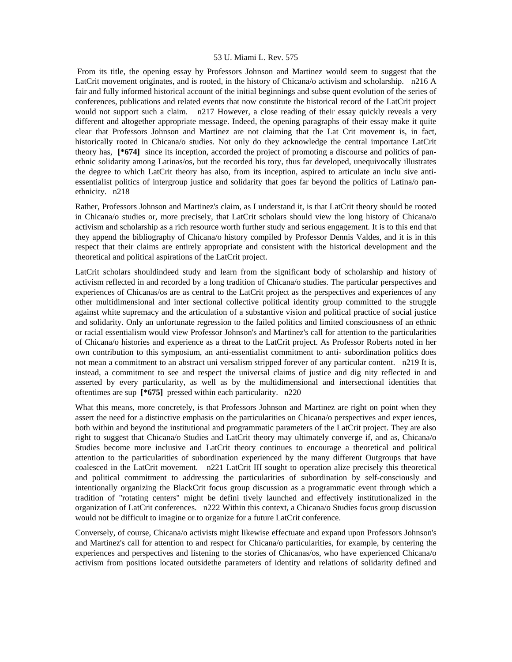From its title, the opening essay by Professors Johnson and Martinez would seem to suggest that the LatCrit movement originates, and is rooted, in the history of Chicana/o activism and scholarship. n216 A fair and fully informed historical account of the initial beginnings and subse quent evolution of the series of conferences, publications and related events that now constitute the historical record of the LatCrit project would not support such a claim. n217 However, a close reading of their essay quickly reveals a very different and altogether appropriate message. Indeed, the opening paragraphs of their essay make it quite clear that Professors Johnson and Martinez are not claiming that the Lat Crit movement is, in fact, historically rooted in Chicana/o studies. Not only do they acknowledge the central importance LatCrit theory has, **[\*674]** since its inception, accorded the project of promoting a discourse and politics of panethnic solidarity among Latinas/os, but the recorded his tory, thus far developed, unequivocally illustrates the degree to which LatCrit theory has also, from its inception, aspired to articulate an inclu sive antiessentialist politics of intergroup justice and solidarity that goes far beyond the politics of Latina/o panethnicity. n218

Rather, Professors Johnson and Martinez's claim, as I understand it, is that LatCrit theory should be rooted in Chicana/o studies or, more precisely, that LatCrit scholars should view the long history of Chicana/o activism and scholarship as a rich resource worth further study and serious engagement. It is to this end that they append the bibliography of Chicana/o history compiled by Professor Dennis Valdes, and it is in this respect that their claims are entirely appropriate and consistent with the historical development and the theoretical and political aspirations of the LatCrit project.

LatCrit scholars shouldindeed study and learn from the significant body of scholarship and history of activism reflected in and recorded by a long tradition of Chicana/o studies. The particular perspectives and experiences of Chicanas/os are as central to the LatCrit project as the perspectives and experiences of any other multidimensional and inter sectional collective political identity group committed to the struggle against white supremacy and the articulation of a substantive vision and political practice of social justice and solidarity. Only an unfortunate regression to the failed politics and limited consciousness of an ethnic or racial essentialism would view Professor Johnson's and Martinez's call for attention to the particularities of Chicana/o histories and experience as a threat to the LatCrit project. As Professor Roberts noted in her own contribution to this symposium, an anti-essentialist commitment to anti- subordination politics does not mean a commitment to an abstract uni versalism stripped forever of any particular content. n219 It is, instead, a commitment to see and respect the universal claims of justice and dig nity reflected in and asserted by every particularity, as well as by the multidimensional and intersectional identities that oftentimes are sup **[\*675]** pressed within each particularity. n220

What this means, more concretely, is that Professors Johnson and Martinez are right on point when they assert the need for a distinctive emphasis on the particularities on Chicana/o perspectives and exper iences, both within and beyond the institutional and programmatic parameters of the LatCrit project. They are also right to suggest that Chicana/o Studies and LatCrit theory may ultimately converge if, and as, Chicana/o Studies become more inclusive and LatCrit theory continues to encourage a theoretical and political attention to the particularities of subordination experienced by the many different Outgroups that have coalesced in the LatCrit movement. n221 LatCrit III sought to operation alize precisely this theoretical and political commitment to addressing the particularities of subordination by self-consciously and intentionally organizing the BlackCrit focus group discussion as a programmatic event through which a tradition of "rotating centers" might be defini tively launched and effectively institutionalized in the organization of LatCrit conferences. n222 Within this context, a Chicana/o Studies focus group discussion would not be difficult to imagine or to organize for a future LatCrit conference.

Conversely, of course, Chicana/o activists might likewise effectuate and expand upon Professors Johnson's and Martinez's call for attention to and respect for Chicana/o particularities, for example, by centering the experiences and perspectives and listening to the stories of Chicanas/os, who have experienced Chicana/o activism from positions located outsidethe parameters of identity and relations of solidarity defined and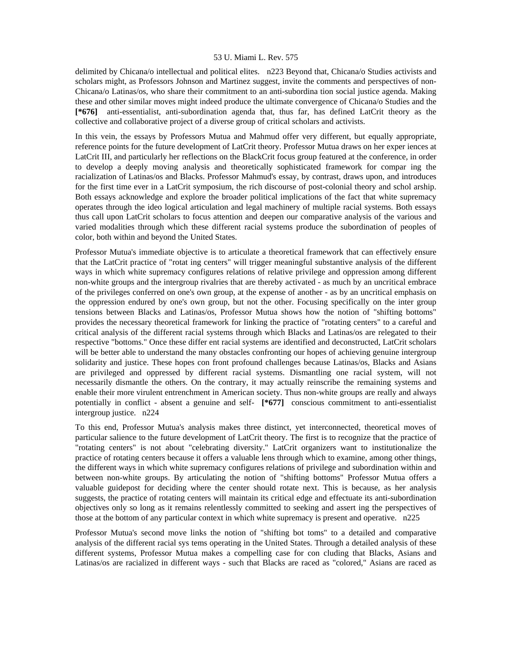delimited by Chicana/o intellectual and political elites. n223 Beyond that, Chicana/o Studies activists and scholars might, as Professors Johnson and Martinez suggest, invite the comments and perspectives of non-Chicana/o Latinas/os, who share their commitment to an anti-subordina tion social justice agenda. Making these and other similar moves might indeed produce the ultimate convergence of Chicana/o Studies and the **[\*676]** anti-essentialist, anti-subordination agenda that, thus far, has defined LatCrit theory as the collective and collaborative project of a diverse group of critical scholars and activists.

In this vein, the essays by Professors Mutua and Mahmud offer very different, but equally appropriate, reference points for the future development of LatCrit theory. Professor Mutua draws on her exper iences at LatCrit III, and particularly her reflections on the BlackCrit focus group featured at the conference, in order to develop a deeply moving analysis and theoretically sophisticated framework for compar ing the racialization of Latinas/os and Blacks. Professor Mahmud's essay, by contrast, draws upon, and introduces for the first time ever in a LatCrit symposium, the rich discourse of post-colonial theory and schol arship. Both essays acknowledge and explore the broader political implications of the fact that white supremacy operates through the ideo logical articulation and legal machinery of multiple racial systems. Both essays thus call upon LatCrit scholars to focus attention and deepen our comparative analysis of the various and varied modalities through which these different racial systems produce the subordination of peoples of color, both within and beyond the United States.

Professor Mutua's immediate objective is to articulate a theoretical framework that can effectively ensure that the LatCrit practice of "rotat ing centers" will trigger meaningful substantive analysis of the different ways in which white supremacy configures relations of relative privilege and oppression among different non-white groups and the intergroup rivalries that are thereby activated - as much by an uncritical embrace of the privileges conferred on one's own group, at the expense of another - as by an uncritical emphasis on the oppression endured by one's own group, but not the other. Focusing specifically on the inter group tensions between Blacks and Latinas/os, Professor Mutua shows how the notion of "shifting bottoms" provides the necessary theoretical framework for linking the practice of "rotating centers" to a careful and critical analysis of the different racial systems through which Blacks and Latinas/os are relegated to their respective "bottoms." Once these differ ent racial systems are identified and deconstructed, LatCrit scholars will be better able to understand the many obstacles confronting our hopes of achieving genuine intergroup solidarity and justice. These hopes con front profound challenges because Latinas/os, Blacks and Asians are privileged and oppressed by different racial systems. Dismantling one racial system, will not necessarily dismantle the others. On the contrary, it may actually reinscribe the remaining systems and enable their more virulent entrenchment in American society. Thus non-white groups are really and always potentially in conflict - absent a genuine and self- **[\*677]** conscious commitment to anti-essentialist intergroup justice. n224

To this end, Professor Mutua's analysis makes three distinct, yet interconnected, theoretical moves of particular salience to the future development of LatCrit theory. The first is to recognize that the practice of "rotating centers" is not about "celebrating diversity." LatCrit organizers want to institutionalize the practice of rotating centers because it offers a valuable lens through which to examine, among other things, the different ways in which white supremacy configures relations of privilege and subordination within and between non-white groups. By articulating the notion of "shifting bottoms" Professor Mutua offers a valuable guidepost for deciding where the center should rotate next. This is because, as her analysis suggests, the practice of rotating centers will maintain its critical edge and effectuate its anti-subordination objectives only so long as it remains relentlessly committed to seeking and assert ing the perspectives of those at the bottom of any particular context in which white supremacy is present and operative. n225

Professor Mutua's second move links the notion of "shifting bot toms" to a detailed and comparative analysis of the different racial sys tems operating in the United States. Through a detailed analysis of these different systems, Professor Mutua makes a compelling case for con cluding that Blacks, Asians and Latinas/os are racialized in different ways - such that Blacks are raced as "colored," Asians are raced as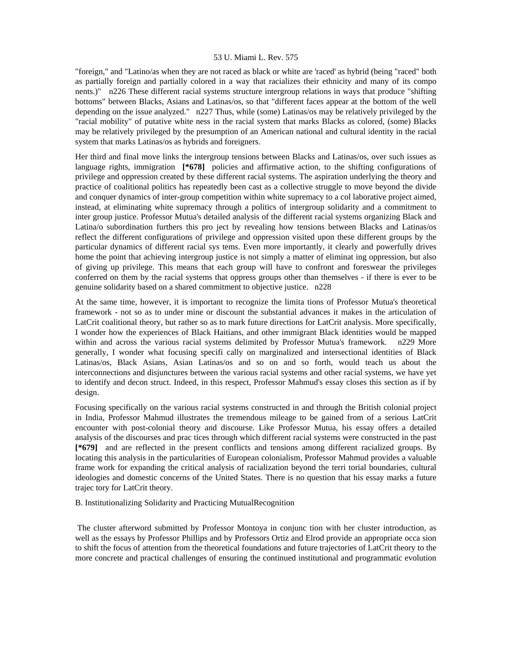"foreign," and "Latino/as when they are not raced as black or white are 'raced' as hybrid (being "raced" both as partially foreign and partially colored in a way that racializes their ethnicity and many of its compo nents.)" n226 These different racial systems structure intergroup relations in ways that produce "shifting bottoms" between Blacks, Asians and Latinas/os, so that "different faces appear at the bottom of the well depending on the issue analyzed." n227 Thus, while (some) Latinas/os may be relatively privileged by the "racial mobility" of putative white ness in the racial system that marks Blacks as colored, (some) Blacks may be relatively privileged by the presumption of an American national and cultural identity in the racial system that marks Latinas/os as hybrids and foreigners.

Her third and final move links the intergroup tensions between Blacks and Latinas/os, over such issues as language rights, immigration **[\*678]** policies and affirmative action, to the shifting configurations of privilege and oppression created by these different racial systems. The aspiration underlying the theory and practice of coalitional politics has repeatedly been cast as a collective struggle to move beyond the divide and conquer dynamics of inter-group competition within white supremacy to a col laborative project aimed, instead, at eliminating white supremacy through a politics of intergroup solidarity and a commitment to inter group justice. Professor Mutua's detailed analysis of the different racial systems organizing Black and Latina/o subordination furthers this pro ject by revealing how tensions between Blacks and Latinas/os reflect the different configurations of privilege and oppression visited upon these different groups by the particular dynamics of different racial sys tems. Even more importantly, it clearly and powerfully drives home the point that achieving intergroup justice is not simply a matter of eliminat ing oppression, but also of giving up privilege. This means that each group will have to confront and foreswear the privileges conferred on them by the racial systems that oppress groups other than themselves - if there is ever to be genuine solidarity based on a shared commitment to objective justice. n228

At the same time, however, it is important to recognize the limita tions of Professor Mutua's theoretical framework - not so as to under mine or discount the substantial advances it makes in the articulation of LatCrit coalitional theory, but rather so as to mark future directions for LatCrit analysis. More specifically, I wonder how the experiences of Black Haitians, and other immigrant Black identities would be mapped within and across the various racial systems delimited by Professor Mutua's framework. n229 More generally, I wonder what focusing specifi cally on marginalized and intersectional identities of Black Latinas/os, Black Asians, Asian Latinas/os and so on and so forth, would teach us about the interconnections and disjunctures between the various racial systems and other racial systems, we have yet to identify and decon struct. Indeed, in this respect, Professor Mahmud's essay closes this section as if by design.

Focusing specifically on the various racial systems constructed in and through the British colonial project in India, Professor Mahmud illustrates the tremendous mileage to be gained from of a serious LatCrit encounter with post-colonial theory and discourse. Like Professor Mutua, his essay offers a detailed analysis of the discourses and prac tices through which different racial systems were constructed in the past **[\*679]** and are reflected in the present conflicts and tensions among different racialized groups. By locating this analysis in the particularities of European colonialism, Professor Mahmud provides a valuable frame work for expanding the critical analysis of racialization beyond the terri torial boundaries, cultural ideologies and domestic concerns of the United States. There is no question that his essay marks a future trajec tory for LatCrit theory.

B. Institutionalizing Solidarity and Practicing MutualRecognition

 The cluster afterword submitted by Professor Montoya in conjunc tion with her cluster introduction, as well as the essays by Professor Phillips and by Professors Ortiz and Elrod provide an appropriate occa sion to shift the focus of attention from the theoretical foundations and future trajectories of LatCrit theory to the more concrete and practical challenges of ensuring the continued institutional and programmatic evolution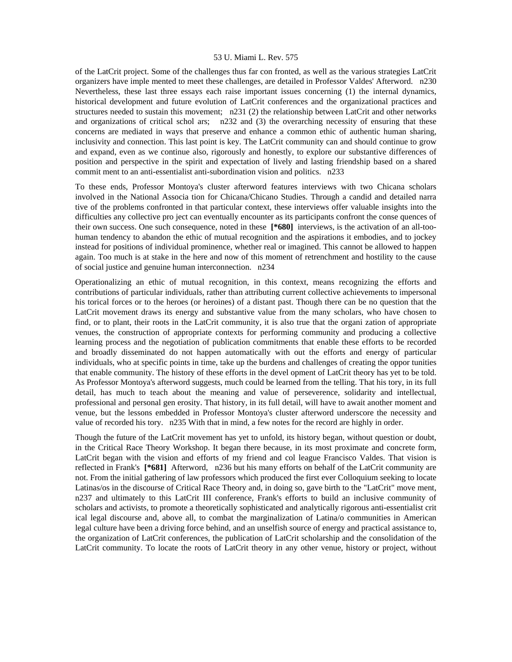of the LatCrit project. Some of the challenges thus far con fronted, as well as the various strategies LatCrit organizers have imple mented to meet these challenges, are detailed in Professor Valdes' Afterword. n230 Nevertheless, these last three essays each raise important issues concerning (1) the internal dynamics, historical development and future evolution of LatCrit conferences and the organizational practices and structures needed to sustain this movement; n231 (2) the relationship between LatCrit and other networks and organizations of critical schol ars; n232 and (3) the overarching necessity of ensuring that these concerns are mediated in ways that preserve and enhance a common ethic of authentic human sharing, inclusivity and connection. This last point is key. The LatCrit community can and should continue to grow and expand, even as we continue also, rigorously and honestly, to explore our substantive differences of position and perspective in the spirit and expectation of lively and lasting friendship based on a shared commit ment to an anti-essentialist anti-subordination vision and politics. n233

To these ends, Professor Montoya's cluster afterword features interviews with two Chicana scholars involved in the National Associa tion for Chicana/Chicano Studies. Through a candid and detailed narra tive of the problems confronted in that particular context, these interviews offer valuable insights into the difficulties any collective pro ject can eventually encounter as its participants confront the conse quences of their own success. One such consequence, noted in these **[\*680]** interviews, is the activation of an all-toohuman tendency to abandon the ethic of mutual recognition and the aspirations it embodies, and to jockey instead for positions of individual prominence, whether real or imagined. This cannot be allowed to happen again. Too much is at stake in the here and now of this moment of retrenchment and hostility to the cause of social justice and genuine human interconnection. n234

Operationalizing an ethic of mutual recognition, in this context, means recognizing the efforts and contributions of particular individuals, rather than attributing current collective achievements to impersonal his torical forces or to the heroes (or heroines) of a distant past. Though there can be no question that the LatCrit movement draws its energy and substantive value from the many scholars, who have chosen to find, or to plant, their roots in the LatCrit community, it is also true that the organi zation of appropriate venues, the construction of appropriate contexts for performing community and producing a collective learning process and the negotiation of publication commitments that enable these efforts to be recorded and broadly disseminated do not happen automatically with out the efforts and energy of particular individuals, who at specific points in time, take up the burdens and challenges of creating the oppor tunities that enable community. The history of these efforts in the devel opment of LatCrit theory has yet to be told. As Professor Montoya's afterword suggests, much could be learned from the telling. That his tory, in its full detail, has much to teach about the meaning and value of perseverence, solidarity and intellectual, professional and personal gen erosity. That history, in its full detail, will have to await another moment and venue, but the lessons embedded in Professor Montoya's cluster afterword underscore the necessity and value of recorded his tory. n235 With that in mind, a few notes for the record are highly in order.

Though the future of the LatCrit movement has yet to unfold, its history began, without question or doubt, in the Critical Race Theory Workshop. It began there because, in its most proximate and concrete form, LatCrit began with the vision and efforts of my friend and col league Francisco Valdes. That vision is reflected in Frank's **[\*681]** Afterword, n236 but his many efforts on behalf of the LatCrit community are not. From the initial gathering of law professors which produced the first ever Colloquium seeking to locate Latinas/os in the discourse of Critical Race Theory and, in doing so, gave birth to the "LatCrit" move ment, n237 and ultimately to this LatCrit III conference, Frank's efforts to build an inclusive community of scholars and activists, to promote a theoretically sophisticated and analytically rigorous anti-essentialist crit ical legal discourse and, above all, to combat the marginalization of Latina/o communities in American legal culture have been a driving force behind, and an unselfish source of energy and practical assistance to, the organization of LatCrit conferences, the publication of LatCrit scholarship and the consolidation of the LatCrit community. To locate the roots of LatCrit theory in any other venue, history or project, without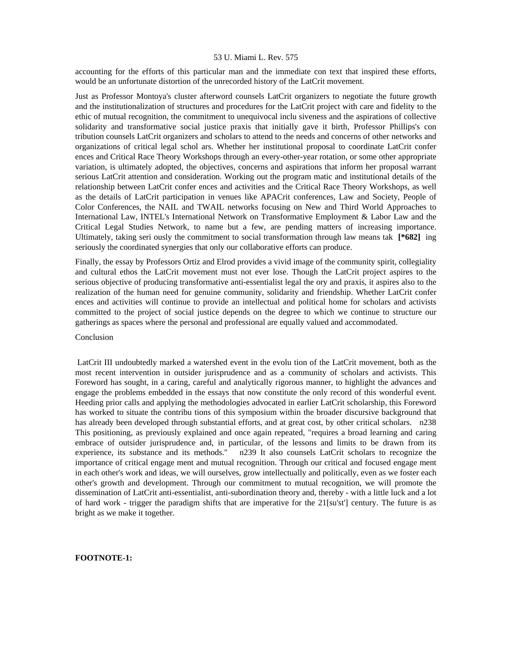accounting for the efforts of this particular man and the immediate con text that inspired these efforts, would be an unfortunate distortion of the unrecorded history of the LatCrit movement.

Just as Professor Montoya's cluster afterword counsels LatCrit organizers to negotiate the future growth and the institutionalization of structures and procedures for the LatCrit project with care and fidelity to the ethic of mutual recognition, the commitment to unequivocal inclu siveness and the aspirations of collective solidarity and transformative social justice praxis that initially gave it birth, Professor Phillips's con tribution counsels LatCrit organizers and scholars to attend to the needs and concerns of other networks and organizations of critical legal schol ars. Whether her institutional proposal to coordinate LatCrit confer ences and Critical Race Theory Workshops through an every-other-year rotation, or some other appropriate variation, is ultimately adopted, the objectives, concerns and aspirations that inform her proposal warrant serious LatCrit attention and consideration. Working out the program matic and institutional details of the relationship between LatCrit confer ences and activities and the Critical Race Theory Workshops, as well as the details of LatCrit participation in venues like APACrit conferences, Law and Society, People of Color Conferences, the NAIL and TWAIL networks focusing on New and Third World Approaches to International Law, INTEL's International Network on Transformative Employment & Labor Law and the Critical Legal Studies Network, to name but a few, are pending matters of increasing importance. Ultimately, taking seri ously the commitment to social transformation through law means tak **[\*682]** ing seriously the coordinated synergies that only our collaborative efforts can produce.

Finally, the essay by Professors Ortiz and Elrod provides a vivid image of the community spirit, collegiality and cultural ethos the LatCrit movement must not ever lose. Though the LatCrit project aspires to the serious objective of producing transformative anti-essentialist legal the ory and praxis, it aspires also to the realization of the human need for genuine community, solidarity and friendship. Whether LatCrit confer ences and activities will continue to provide an intellectual and political home for scholars and activists committed to the project of social justice depends on the degree to which we continue to structure our gatherings as spaces where the personal and professional are equally valued and accommodated.

#### Conclusion

 LatCrit III undoubtedly marked a watershed event in the evolu tion of the LatCrit movement, both as the most recent intervention in outsider jurisprudence and as a community of scholars and activists. This Foreword has sought, in a caring, careful and analytically rigorous manner, to highlight the advances and engage the problems embedded in the essays that now constitute the only record of this wonderful event. Heeding prior calls and applying the methodologies advocated in earlier LatCrit scholarship, this Foreword has worked to situate the contribu tions of this symposium within the broader discursive background that has already been developed through substantial efforts, and at great cost, by other critical scholars. n238 This positioning, as previously explained and once again repeated, "requires a broad learning and caring embrace of outsider jurisprudence and, in particular, of the lessons and limits to be drawn from its experience, its substance and its methods." n239 It also counsels LatCrit scholars to recognize the importance of critical engage ment and mutual recognition. Through our critical and focused engage ment in each other's work and ideas, we will ourselves, grow intellectually and politically, even as we foster each other's growth and development. Through our commitment to mutual recognition, we will promote the dissemination of LatCrit anti-essentialist, anti-subordination theory and, thereby - with a little luck and a lot of hard work - trigger the paradigm shifts that are imperative for the 21[su'st'] century. The future is as bright as we make it together.

## **FOOTNOTE-1:**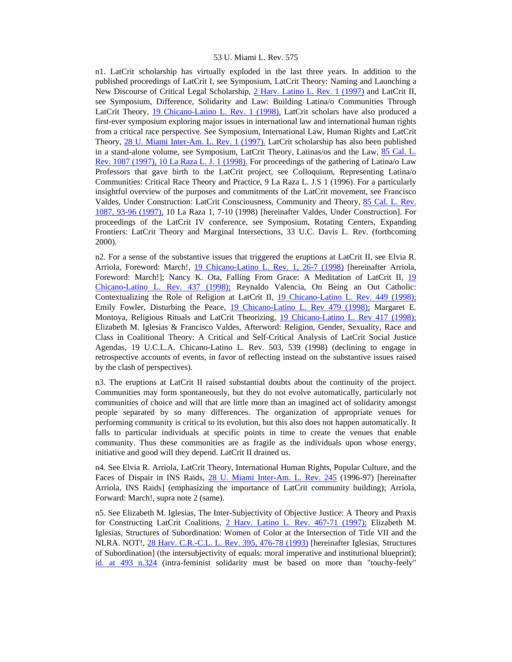n1. LatCrit scholarship has virtually exploded in the last three years. In addition to the published proceedings of LatCrit I, see Symposium, LatCrit Theory: Naming and Launching a New Discourse of Critical Legal Scholarship, [2 Harv. Latino L. Rev. 1 \(1997\)](http://www.lexis.com/research/xlink?searchtype=get&search=2%20Harv.%20Latino%20L.%20Rev.%201) and LatCrit II, see Symposium, Difference, Solidarity and Law: Building Latina/o Communities Through LatCrit Theory, [19 Chicano-Latino L. Rev. 1 \(1998\),](http://www.lexis.com/research/xlink?searchtype=get&search=19%20Chicano-Latino%20L.%20Rev.%201) LatCrit scholars have also produced a first-ever symposium exploring major issues in international law and international human rights from a critical race perspective. See Symposium, International Law, Human Rights and LatCrit Theory, [28 U. Miami Inter-Am. L. Rev. 1 \(1997\).](http://www.lexis.com/research/xlink?searchtype=get&search=28%20U.%20Miami%20Inter-Am.%20L.%20Rev.%201) LatCrit scholarship has also been published in a stand-alone volume, see Symposium, LatCrit Theory, Latinas/os and the Law, [85 Cal. L.](http://www.lexis.com/research/xlink?searchtype=get&search=85%20Calif.%20L.%20Rev.%201087)  [Rev. 1087 \(1997\), 10 La Raza L. J. 1 \(1998\).](http://www.lexis.com/research/xlink?searchtype=get&search=85%20Calif.%20L.%20Rev.%201087) For proceedings of the gathering of Latina/o Law Professors that gave birth to the LatCrit project, see Colloquium, Representing Latina/o Communities: Critical Race Theory and Practice, 9 La Raza L. J.S 1 (1996). For a particularly insightful overview of the purposes and commitments of the LatCrit movement, see Francisco Valdes, Under Construction: LatCrit Consciousness, Community and Theory, [85 Cal. L. Rev.](http://www.lexis.com/research/xlink?searchtype=get&search=85%20Calif.%20L.%20Rev.%201087,at%2093)  [1087, 93-96 \(1997\),](http://www.lexis.com/research/xlink?searchtype=get&search=85%20Calif.%20L.%20Rev.%201087,at%2093) 10 La Raza 1, 7-10 (1998) [hereinafter Valdes, Under Construction]. For proceedings of the LatCrit IV conference, see Symposium, Rotating Centers, Expanding Frontiers: LatCrit Theory and Marginal Intersections, 33 U.C. Davis L. Rev. (forthcoming 2000).

n2. For a sense of the substantive issues that triggered the eruptions at LatCrit II, see Elvia R. Arriola, Foreword: March!, [19 Chicano-Latino L. Rev. 1, 26-7 \(1998\)](http://www.lexis.com/research/xlink?searchtype=get&search=19%20Chicano-Latino%20L.%20Rev.%201,at%2026) [hereinafter Arriola, Foreword: March!]; Nancy K. Ota, Falling From Grace: A Meditation of LatCrit II, [19](http://www.lexis.com/research/xlink?searchtype=get&search=19%20Chicano-Latino%20L.%20Rev.%20437)  [Chicano-Latino L. Rev. 437 \(1998\);](http://www.lexis.com/research/xlink?searchtype=get&search=19%20Chicano-Latino%20L.%20Rev.%20437) Reynaldo Valencia, On Being an Out Catholic: Contextualizing the Role of Religion at LatCrit II, [19 Chicano-Latino L. Rev. 449 \(1998\);](http://www.lexis.com/research/xlink?searchtype=get&search=19%20Chicano-Latino%20L.%20Rev.%20449) Emily Fowler, Disturbing the Peace, [19 Chicano-Latino L. Rev 479 \(1998\);](http://www.lexis.com/research/xlink?searchtype=get&search=19%20Chicano-Latino%20L.%20Rev.%20479) Margaret E. Montoya, Religious Rituals and LatCrit Theorizing, [19 Chicano-Latino L. Rev 417 \(1998\);](http://www.lexis.com/research/xlink?searchtype=get&search=19%20Chicano-Latino%20L.%20Rev.%20417) Elizabeth M. Iglesias & Francisco Valdes, Afterword: Religion, Gender, Sexuality, Race and Class in Coalitional Theory: A Critical and Self-Critical Analysis of LatCrit Social Justice Agendas, 19 U.C.L.A. Chicano-Latino L. Rev. 503, 539 (1998) (declining to engage in retrospective accounts of events, in favor of reflecting instead on the substantive issues raised by the clash of perspectives).

n3. The eruptions at LatCrit II raised substantial doubts about the continuity of the project. Communities may form spontaneously, but they do not evolve automatically, particularly not communities of choice and will that are little more than an imagined act of solidarity amongst people separated by so many differences. The organization of appropriate venues for performing community is critical to its evolution, but this also does not happen automatically. It falls to particular individuals at specific points in time to create the venues that enable community. Thus these communities are as fragile as the individuals upon whose energy, initiative and good will they depend. LatCrit II drained us.

n4. See Elvia R. Arriola, LatCrit Theory, International Human Rights, Popular Culture, and the Faces of Dispair in INS Raids, [28 U. Miami Inter-Am. L. Rev. 245](http://www.lexis.com/research/xlink?searchtype=get&search=28%20U.%20Miami%20Inter-Am.%20L.%20Rev.%20245) (1996-97) [hereinafter Arriola, INS Raids] (emphasizing the importance of LatCrit community building); Arriola, Forward: March!, supra note 2 (same).

n5. See Elizabeth M. Iglesias, The Inter-Subjectivity of Objective Justice: A Theory and Praxis for Constructing LatCrit Coalitions, [2 Harv. Latino L. Rev. 467-71 \(1997\);](http://www.lexis.com/research/xlink?searchtype=get&search=2%20Harv.%20Latino%20L.%20Rev.%20467) Elizabeth M. Iglesias, Structures of Subordination: Women of Color at the Intersection of Title VII and the NLRA. NOT!, [28 Harv. C.R.-C.L. L. Rev. 395, 476-78 \(1993\)](http://www.lexis.com/research/xlink?searchtype=get&search=28%20Harv.%20C.R.-C.L.%20L.%20Rev.%20395,at%20476) [hereinafter Iglesias, Structures of Subordination] (the intersubjectivity of equals: moral imperative and institutional blueprint); [id. at 493 n.324](http://www.lexis.com/research/xlink?searchtype=get&search=28%20Harv.%20C.R.-C.L.%20L.%20Rev.%20395,at%20493) (intra-feminist solidarity must be based on more than "touchy-feely"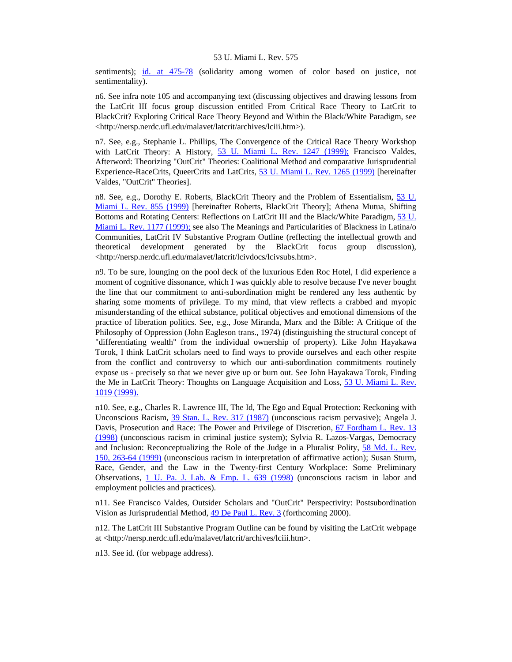sentiments); [id. at 475-78](http://www.lexis.com/research/xlink?searchtype=get&search=28%20Harv.%20C.R.-C.L.%20L.%20Rev.%20395,at%20475) (solidarity among women of color based on justice, not sentimentality).

n6. See infra note 105 and accompanying text (discussing objectives and drawing lessons from the LatCrit III focus group discussion entitled From Critical Race Theory to LatCrit to BlackCrit? Exploring Critical Race Theory Beyond and Within the Black/White Paradigm, see <http://nersp.nerdc.ufl.edu/malavet/latcrit/archives/lciii.htm>).

n7. See, e.g., Stephanie L. Phillips, The Convergence of the Critical Race Theory Workshop with LatCrit Theory: A History, [53 U. Miami L. Rev. 1247 \(1999\);](http://www.lexis.com/research/xlink?searchtype=get&search=53%20U.%20Miami%20L.%20Rev.%201247) Francisco Valdes, Afterword: Theorizing "OutCrit" Theories: Coalitional Method and comparative Jurisprudential Experience-RaceCrits, QueerCrits and LatCrits, [53 U. Miami L. Rev. 1265 \(1999\)](http://www.lexis.com/research/xlink?searchtype=get&search=53%20U.%20Miami%20L.%20Rev.%201265) [hereinafter Valdes, "OutCrit" Theories].

n8. See, e.g., Dorothy E. Roberts, BlackCrit Theory and the Problem of Essentialism, [53 U.](http://www.lexis.com/research/xlink?searchtype=get&search=53%20U.%20Miami%20L.%20Rev.%20855)  [Miami L. Rev. 855 \(1999\)](http://www.lexis.com/research/xlink?searchtype=get&search=53%20U.%20Miami%20L.%20Rev.%20855) [hereinafter Roberts, BlackCrit Theory]; Athena Mutua, Shifting Bottoms and Rotating Centers: Reflections on LatCrit III and the Black/White Paradigm, [53 U.](http://www.lexis.com/research/xlink?searchtype=get&search=53%20U.%20Miami%20L.%20Rev.%201177)  [Miami L. Rev. 1177 \(1999\);](http://www.lexis.com/research/xlink?searchtype=get&search=53%20U.%20Miami%20L.%20Rev.%201177) see also The Meanings and Particularities of Blackness in Latina/o Communities, LatCrit IV Substantive Program Outline (reflecting the intellectual growth and theoretical development generated by the BlackCrit focus group discussion), <http://nersp.nerdc.ufl.edu/malavet/latcrit/lcivdocs/lcivsubs.htm>.

n9. To be sure, lounging on the pool deck of the luxurious Eden Roc Hotel, I did experience a moment of cognitive dissonance, which I was quickly able to resolve because I've never bought the line that our commitment to anti-subordination might be rendered any less authentic by sharing some moments of privilege. To my mind, that view reflects a crabbed and myopic misunderstanding of the ethical substance, political objectives and emotional dimensions of the practice of liberation politics. See, e.g., Jose Miranda, Marx and the Bible: A Critique of the Philosophy of Oppression (John Eagleson trans., 1974) (distinguishing the structural concept of "differentiating wealth" from the individual ownership of property). Like John Hayakawa Torok, I think LatCrit scholars need to find ways to provide ourselves and each other respite from the conflict and controversy to which our anti-subordination commitments routinely expose us - precisely so that we never give up or burn out. See John Hayakawa Torok, Finding the Me in LatCrit Theory: Thoughts on Language Acquisition and Loss, [53 U. Miami L. Rev.](http://www.lexis.com/research/xlink?searchtype=get&search=53%20U.%20Miami%20L.%20Rev.%201019)  [1019 \(1999\).](http://www.lexis.com/research/xlink?searchtype=get&search=53%20U.%20Miami%20L.%20Rev.%201019)

n10. See, e.g., Charles R. Lawrence III, The Id, The Ego and Equal Protection: Reckoning with Unconscious Racism, [39 Stan. L. Rev. 317 \(1987\)](http://www.lexis.com/research/xlink?searchtype=get&search=39%20Stan.%20L.%20Rev.%20317) (unconscious racism pervasive); Angela J. Davis, Prosecution and Race: The Power and Privilege of Discretion, [67 Fordham L. Rev. 13](http://www.lexis.com/research/xlink?searchtype=get&search=67%20Fordham%20L.%20Rev.%2013)  [\(1998\)](http://www.lexis.com/research/xlink?searchtype=get&search=67%20Fordham%20L.%20Rev.%2013) (unconscious racism in criminal justice system); Sylvia R. Lazos-Vargas, Democracy and Inclusion: Reconceptualizing the Role of the Judge in a Pluralist Polity, [58 Md. L. Rev.](http://www.lexis.com/research/xlink?searchtype=get&search=58%20Md.%20L.%20Rev.%20150,at%20263)  [150, 263-64 \(1999\)](http://www.lexis.com/research/xlink?searchtype=get&search=58%20Md.%20L.%20Rev.%20150,at%20263) (unconscious racism in interpretation of affirmative action); Susan Sturm, Race, Gender, and the Law in the Twenty-first Century Workplace: Some Preliminary Observations, [1 U. Pa. J. Lab. & Emp. L. 639 \(1998\)](http://www.lexis.com/research/xlink?searchtype=get&search=1%20U.%20Pa.%20J.%20Lab.%20%26%20Emp.%20L.%20639) (unconscious racism in labor and employment policies and practices).

n11. See Francisco Valdes, Outsider Scholars and "OutCrit" Perspectivity: Postsubordination Vision as Jurisprudential Method, [49 De Paul L. Rev. 3](http://www.lexis.com/research/xlink?searchtype=get&search=49%20DePaul%20L.%20Rev.%203) (forthcoming 2000).

n12. The LatCrit III Substantive Program Outline can be found by visiting the LatCrit webpage at <http://nersp.nerdc.ufl.edu/malavet/latcrit/archives/lciii.htm>.

n13. See id. (for webpage address).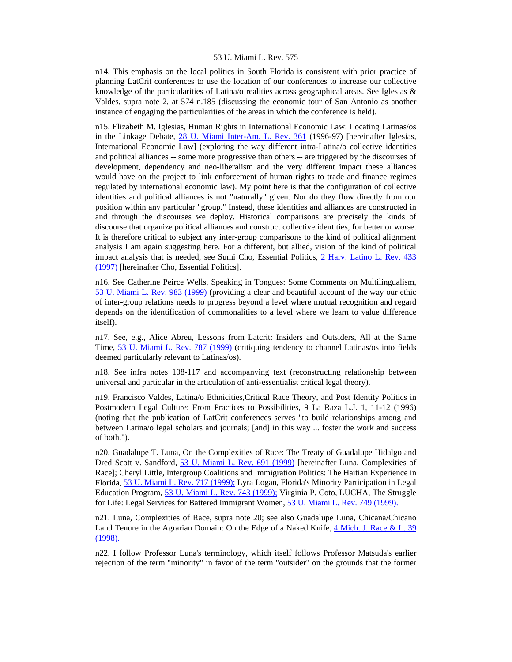n14. This emphasis on the local politics in South Florida is consistent with prior practice of planning LatCrit conferences to use the location of our conferences to increase our collective knowledge of the particularities of Latina/o realities across geographical areas. See Iglesias & Valdes, supra note 2, at 574 n.185 (discussing the economic tour of San Antonio as another instance of engaging the particularities of the areas in which the conference is held).

n15. Elizabeth M. Iglesias, Human Rights in International Economic Law: Locating Latinas/os in the Linkage Debate, [28 U. Miami Inter-Am. L. Rev. 361](http://www.lexis.com/research/xlink?searchtype=get&search=28%20U.%20Miami%20Inter-Am.%20L.%20Rev.%20361) (1996-97) [hereinafter Iglesias, International Economic Law] (exploring the way different intra-Latina/o collective identities and political alliances -- some more progressive than others -- are triggered by the discourses of development, dependency and neo-liberalism and the very different impact these alliances would have on the project to link enforcement of human rights to trade and finance regimes regulated by international economic law). My point here is that the configuration of collective identities and political alliances is not "naturally" given. Nor do they flow directly from our position within any particular "group." Instead, these identities and alliances are constructed in and through the discourses we deploy. Historical comparisons are precisely the kinds of discourse that organize political alliances and construct collective identities, for better or worse. It is therefore critical to subject any inter-group comparisons to the kind of political alignment analysis I am again suggesting here. For a different, but allied, vision of the kind of political impact analysis that is needed, see Sumi Cho, Essential Politics, [2 Harv. Latino L. Rev. 433](http://www.lexis.com/research/xlink?searchtype=get&search=2%20Harv.%20Latino%20L.%20Rev.%20433)  [\(1997\)](http://www.lexis.com/research/xlink?searchtype=get&search=2%20Harv.%20Latino%20L.%20Rev.%20433) [hereinafter Cho, Essential Politics].

n16. See Catherine Peirce Wells, Speaking in Tongues: Some Comments on Multilingualism, [53 U. Miami L. Rev. 983 \(1999\)](http://www.lexis.com/research/xlink?searchtype=get&search=53%20U.%20Miami%20L.%20Rev.%20983) (providing a clear and beautiful account of the way our ethic of inter-group relations needs to progress beyond a level where mutual recognition and regard depends on the identification of commonalities to a level where we learn to value difference itself).

n17. See, e.g., Alice Abreu, Lessons from Latcrit: Insiders and Outsiders, All at the Same Time, [53 U. Miami L. Rev. 787 \(1999\)](http://www.lexis.com/research/xlink?searchtype=get&search=53%20U.%20Miami%20L.%20Rev.%20787) (critiquing tendency to channel Latinas/os into fields deemed particularly relevant to Latinas/os).

n18. See infra notes 108-117 and accompanying text (reconstructing relationship between universal and particular in the articulation of anti-essentialist critical legal theory).

n19. Francisco Valdes, Latina/o Ethnicities,Critical Race Theory, and Post Identity Politics in Postmodern Legal Culture: From Practices to Possibilities, 9 La Raza L.J. 1, 11-12 (1996) (noting that the publication of LatCrit conferences serves "to build relationships among and between Latina/o legal scholars and journals; [and] in this way ... foster the work and success of both.").

n20. Guadalupe T. Luna, On the Complexities of Race: The Treaty of Guadalupe Hidalgo and Dred Scott v. Sandford, [53 U. Miami L. Rev. 691 \(1999\)](http://www.lexis.com/research/xlink?searchtype=get&search=53%20U.%20Miami%20L.%20Rev.%20691) [hereinafter Luna, Complexities of Race]; Cheryl Little, Intergroup Coalitions and Immigration Politics: The Haitian Experience in Florida, [53 U. Miami L. Rev. 717 \(1999\);](http://www.lexis.com/research/xlink?searchtype=get&search=53%20U.%20Miami%20L.%20Rev.%20717) Lyra Logan, Florida's Minority Participation in Legal Education Program, [53 U. Miami L. Rev. 743 \(1999\);](http://www.lexis.com/research/xlink?searchtype=get&search=53%20U.%20Miami%20L.%20Rev.%20743) Virginia P. Coto, LUCHA, The Struggle for Life: Legal Services for Battered Immigrant Women, [53 U. Miami L. Rev. 749 \(1999\).](http://www.lexis.com/research/xlink?searchtype=get&search=53%20U.%20Miami%20L.%20Rev.%20749)

n21. Luna, Complexities of Race, supra note 20; see also Guadalupe Luna, Chicana/Chicano Land Tenure in the Agrarian Domain: On the Edge of a Naked Knife, 4 Mich. J. Race & L. 39 [\(1998\).](http://www.lexis.com/research/xlink?searchtype=get&search=4%20Mich.%20J.%20Race%20%26%20L.%2039)

n22. I follow Professor Luna's terminology, which itself follows Professor Matsuda's earlier rejection of the term "minority" in favor of the term "outsider" on the grounds that the former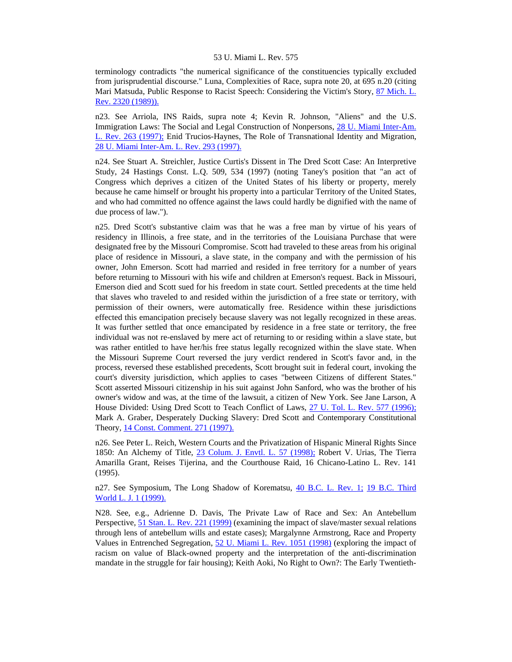terminology contradicts "the numerical significance of the constituencies typically excluded from jurisprudential discourse." Luna, Complexities of Race, supra note 20, at 695 n.20 (citing Mari Matsuda, Public Response to Racist Speech: Considering the Victim's Story, 87 Mich. L. [Rev. 2320 \(1989\)\).](http://www.lexis.com/research/xlink?searchtype=get&search=87%20Mich.%20L.%20Rev.%202320)

n23. See Arriola, INS Raids, supra note 4; Kevin R. Johnson, "Aliens" and the U.S. Immigration Laws: The Social and Legal Construction of Nonpersons, [28 U. Miami Inter-Am.](http://www.lexis.com/research/xlink?searchtype=get&search=28%20U.%20Miami%20Inter-Am.%20L.%20Rev.%20263)  [L. Rev. 263 \(1997\);](http://www.lexis.com/research/xlink?searchtype=get&search=28%20U.%20Miami%20Inter-Am.%20L.%20Rev.%20263) Enid Trucios-Haynes, The Role of Transnational Identity and Migration, [28 U. Miami Inter-Am. L. Rev. 293 \(1997\).](http://www.lexis.com/research/xlink?searchtype=get&search=28%20U.%20Miami%20Inter-Am.%20L.%20Rev.%20293)

n24. See Stuart A. Streichler, Justice Curtis's Dissent in The Dred Scott Case: An Interpretive Study, 24 Hastings Const. L.Q. 509, 534 (1997) (noting Taney's position that "an act of Congress which deprives a citizen of the United States of his liberty or property, merely because he came himself or brought his property into a particular Territory of the United States, and who had committed no offence against the laws could hardly be dignified with the name of due process of law.").

n25. Dred Scott's substantive claim was that he was a free man by virtue of his years of residency in Illinois, a free state, and in the territories of the Louisiana Purchase that were designated free by the Missouri Compromise. Scott had traveled to these areas from his original place of residence in Missouri, a slave state, in the company and with the permission of his owner, John Emerson. Scott had married and resided in free territory for a number of years before returning to Missouri with his wife and children at Emerson's request. Back in Missouri, Emerson died and Scott sued for his freedom in state court. Settled precedents at the time held that slaves who traveled to and resided within the jurisdiction of a free state or territory, with permission of their owners, were automatically free. Residence within these jurisdictions effected this emancipation precisely because slavery was not legally recognized in these areas. It was further settled that once emancipated by residence in a free state or territory, the free individual was not re-enslaved by mere act of returning to or residing within a slave state, but was rather entitled to have her/his free status legally recognized within the slave state. When the Missouri Supreme Court reversed the jury verdict rendered in Scott's favor and, in the process, reversed these established precedents, Scott brought suit in federal court, invoking the court's diversity jurisdiction, which applies to cases "between Citizens of different States." Scott asserted Missouri citizenship in his suit against John Sanford, who was the brother of his owner's widow and was, at the time of the lawsuit, a citizen of New York. See Jane Larson, A House Divided: Using Dred Scott to Teach Conflict of Laws, [27 U. Tol. L. Rev. 577 \(1996\);](http://www.lexis.com/research/xlink?searchtype=get&search=27%20U.%20Tol.%20L.%20Rev.%20577) Mark A. Graber, Desperately Ducking Slavery: Dred Scott and Contemporary Constitutional Theory, [14 Const. Comment. 271 \(1997\).](http://www.lexis.com/research/xlink?searchtype=get&search=14%20Const.%20Commentary%20271)

n26. See Peter L. Reich, Western Courts and the Privatization of Hispanic Mineral Rights Since 1850: An Alchemy of Title, [23 Colum. J. Envtl. L. 57 \(1998\);](http://www.lexis.com/research/xlink?searchtype=get&search=23%20Colum.%20J.%20Envtl.%20L.%2057) Robert V. Urias, The Tierra Amarilla Grant, Reises Tijerina, and the Courthouse Raid, 16 Chicano-Latino L. Rev. 141 (1995).

n27. See Symposium, The Long Shadow of Korematsu, [40 B.C. L. Rev. 1;](http://www.lexis.com/research/xlink?searchtype=get&search=40%20B.C.%20L.%20Rev%201) [19 B.C. Third](http://www.lexis.com/research/xlink?searchtype=get&search=19%20B.C.%20Third%20World%20L.J.%201)  [World L. J. 1 \(1999\).](http://www.lexis.com/research/xlink?searchtype=get&search=19%20B.C.%20Third%20World%20L.J.%201)

N28. See, e.g., Adrienne D. Davis, The Private Law of Race and Sex: An Antebellum Perspective, [51 Stan. L. Rev. 221 \(1999\)](http://www.lexis.com/research/xlink?searchtype=get&search=51%20Stan.%20L.%20Rev.%20221) (examining the impact of slave/master sexual relations through lens of antebellum wills and estate cases); Margalynne Armstrong, Race and Property Values in Entrenched Segregation, [52 U. Miami L. Rev. 1051 \(1998\)](http://www.lexis.com/research/xlink?searchtype=get&search=52%20U.%20Miami%20L.%20Rev.%201051) (exploring the impact of racism on value of Black-owned property and the interpretation of the anti-discrimination mandate in the struggle for fair housing); Keith Aoki, No Right to Own?: The Early Twentieth-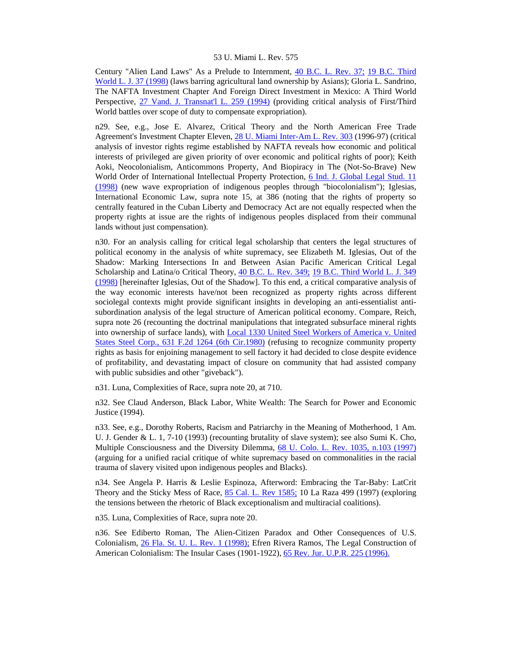Century "Alien Land Laws" As a Prelude to Internment, [40 B.C. L. Rev. 37;](http://www.lexis.com/research/xlink?searchtype=get&search=40%20B.C.%20L.%20Rev%2037) [19 B.C. Third](http://www.lexis.com/research/xlink?searchtype=get&search=19%20B.C.%20Third%20World%20L.J.%2037)  [World L. J. 37 \(1998\)](http://www.lexis.com/research/xlink?searchtype=get&search=19%20B.C.%20Third%20World%20L.J.%2037) (laws barring agricultural land ownership by Asians); Gloria L. Sandrino, The NAFTA Investment Chapter And Foreign Direct Investment in Mexico: A Third World Perspective, [27 Vand. J. Transnat'l L. 259 \(1994\)](http://www.lexis.com/research/xlink?searchtype=get&search=27%20Vand.%20J.%20Transnat) (providing critical analysis of First/Third World battles over scope of duty to compensate expropriation).

n29. See, e.g., Jose E. Alvarez, Critical Theory and the North American Free Trade Agreement's Investment Chapter Eleven, [28 U. Miami Inter-Am L. Rev. 303](http://www.lexis.com/research/xlink?searchtype=get&search=28%20U.%20Miami%20Inter-Am.%20L.%20Rev.%20303) (1996-97) (critical analysis of investor rights regime established by NAFTA reveals how economic and political interests of privileged are given priority of over economic and political rights of poor); Keith Aoki, Neocolonialism, Anticommons Property, And Biopiracy in The (Not-So-Brave) New World Order of International Intellectual Property Protection, [6 Ind. J. Global Legal Stud. 11](http://www.lexis.com/research/xlink?searchtype=get&search=6%20Ind.%20J.%20Global%20Leg.%20Stud.%2011)  [\(1998\)](http://www.lexis.com/research/xlink?searchtype=get&search=6%20Ind.%20J.%20Global%20Leg.%20Stud.%2011) (new wave expropriation of indigenous peoples through "biocolonialism"); Iglesias, International Economic Law, supra note 15, at 386 (noting that the rights of property so centrally featured in the Cuban Liberty and Democracy Act are not equally respected when the property rights at issue are the rights of indigenous peoples displaced from their communal lands without just compensation).

n30. For an analysis calling for critical legal scholarship that centers the legal structures of political economy in the analysis of white supremacy, see Elizabeth M. Iglesias, Out of the Shadow: Marking Intersections In and Between Asian Pacific American Critical Legal Scholarship and Latina/o Critical Theory, [40 B.C. L. Rev. 349;](http://www.lexis.com/research/xlink?searchtype=get&search=40%20B.C.%20L.%20Rev%20349) [19 B.C. Third World L. J. 349](http://www.lexis.com/research/xlink?searchtype=get&search=19%20B.C.%20Third%20World%20L.J.%20349)  [\(1998\)](http://www.lexis.com/research/xlink?searchtype=get&search=19%20B.C.%20Third%20World%20L.J.%20349) [hereinafter Iglesias, Out of the Shadow]. To this end, a critical comparative analysis of the way economic interests have/not been recognized as property rights across different sociolegal contexts might provide significant insights in developing an anti-essentialist antisubordination analysis of the legal structure of American political economy. Compare, Reich, supra note 26 (recounting the doctrinal manipulations that integrated subsurface mineral rights into ownership of surface lands), with [Local 1330 United Steel Workers of America v. United](http://www.lexis.com/research/xlink?searchtype=get&search=631%20F.2d%201264)  [States Steel Corp., 631 F.2d 1264 \(6th Cir.1980\)](http://www.lexis.com/research/xlink?searchtype=get&search=631%20F.2d%201264) (refusing to recognize community property rights as basis for enjoining management to sell factory it had decided to close despite evidence of profitability, and devastating impact of closure on community that had assisted company with public subsidies and other "giveback").

n31. Luna, Complexities of Race, supra note 20, at 710.

n32. See Claud Anderson, Black Labor, White Wealth: The Search for Power and Economic Justice (1994).

n33. See, e.g., Dorothy Roberts, Racism and Patriarchy in the Meaning of Motherhood, 1 Am. U. J. Gender & L. 1, 7-10 (1993) (recounting brutality of slave system); see also Sumi K. Cho, Multiple Consciousness and the Diversity Dilemma, [68 U. Colo. L. Rev. 1035, n.103 \(1997\)](http://www.lexis.com/research/xlink?searchtype=get&search=68%20U.%20Colo.%20L.%20Rev.%201035) (arguing for a unified racial critique of white supremacy based on commonalities in the racial trauma of slavery visited upon indigenous peoples and Blacks).

n34. See Angela P. Harris & Leslie Espinoza, Afterword: Embracing the Tar-Baby: LatCrit Theory and the Sticky Mess of Race, [85 Cal. L. Rev 1585;](http://www.lexis.com/research/xlink?searchtype=get&search=85%20Calif.%20L.%20Rev.%201585) 10 La Raza 499 (1997) (exploring the tensions between the rhetoric of Black exceptionalism and multiracial coalitions).

n35. Luna, Complexities of Race, supra note 20.

n36. See Ediberto Roman, The Alien-Citizen Paradox and Other Consequences of U.S. Colonialism, [26 Fla. St. U. L. Rev. 1 \(1998\);](http://www.lexis.com/research/xlink?searchtype=get&search=26%20Fla.%20St.%20U.L.%20Rev.%201) Efren Rivera Ramos, The Legal Construction of American Colonialism: The Insular Cases (1901-1922), [65 Rev. Jur. U.P.R. 225 \(1996\).](http://www.lexis.com/research/xlink?searchtype=get&search=65%20Rev.%20Jur.%20U.P.R.%20225)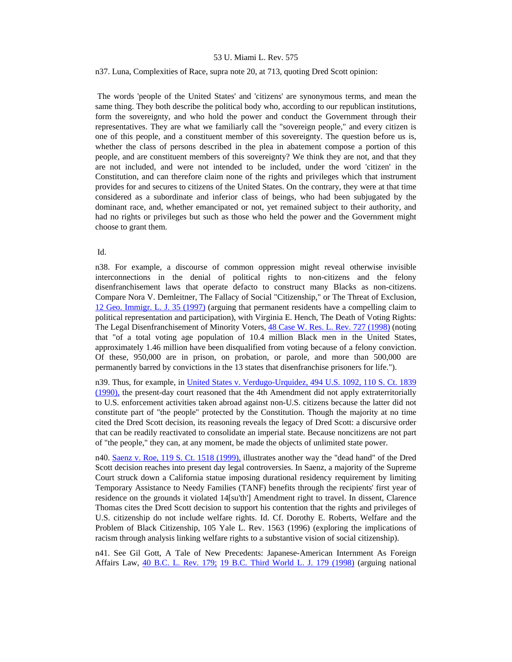#### n37. Luna, Complexities of Race, supra note 20, at 713, quoting Dred Scott opinion:

 The words 'people of the United States' and 'citizens' are synonymous terms, and mean the same thing. They both describe the political body who, according to our republican institutions, form the sovereignty, and who hold the power and conduct the Government through their representatives. They are what we familiarly call the "sovereign people," and every citizen is one of this people, and a constituent member of this sovereignty. The question before us is, whether the class of persons described in the plea in abatement compose a portion of this people, and are constituent members of this sovereignty? We think they are not, and that they are not included, and were not intended to be included, under the word 'citizen' in the Constitution, and can therefore claim none of the rights and privileges which that instrument provides for and secures to citizens of the United States. On the contrary, they were at that time considered as a subordinate and inferior class of beings, who had been subjugated by the dominant race, and, whether emancipated or not, yet remained subject to their authority, and had no rights or privileges but such as those who held the power and the Government might choose to grant them.

#### Id.

n38. For example, a discourse of common oppression might reveal otherwise invisible interconnections in the denial of political rights to non-citizens and the felony disenfranchisement laws that operate defacto to construct many Blacks as non-citizens. Compare Nora V. Demleitner, The Fallacy of Social "Citizenship," or The Threat of Exclusion, [12 Geo. Immigr. L. J. 35 \(1997\)](http://www.lexis.com/research/xlink?searchtype=get&search=12%20Geo.%20Immigr.%20L.J.%2035) (arguing that permanent residents have a compelling claim to political representation and participation), with Virginia E. Hench, The Death of Voting Rights: The Legal Disenfranchisement of Minority Voters, [48 Case W. Res. L. Rev. 727 \(1998\)](http://www.lexis.com/research/xlink?searchtype=get&search=48%20Case%20W.%20Res.%20727) (noting that "of a total voting age population of 10.4 million Black men in the United States, approximately 1.46 million have been disqualified from voting because of a felony conviction. Of these, 950,000 are in prison, on probation, or parole, and more than 500,000 are permanently barred by convictions in the 13 states that disenfranchise prisoners for life.").

n39. Thus, for example, in [United States v. Verdugo-Urquidez, 494 U.S. 1092, 110 S. Ct. 1839](http://www.lexis.com/research/xlink?searchtype=get&search=494%20U.S.%201092)  [\(1990\),](http://www.lexis.com/research/xlink?searchtype=get&search=494%20U.S.%201092) the present-day court reasoned that the 4th Amendment did not apply extraterritorially to U.S. enforcement activities taken abroad against non-U.S. citizens because the latter did not constitute part of "the people" protected by the Constitution. Though the majority at no time cited the Dred Scott decision, its reasoning reveals the legacy of Dred Scott: a discursive order that can be readily reactivated to consolidate an imperial state. Because noncitizens are not part of "the people," they can, at any moment, be made the objects of unlimited state power.

n40. [Saenz v. Roe, 119 S. Ct. 1518 \(1999\),](http://www.lexis.com/research/xlink?searchtype=get&search=119%20S.%20Ct.%201518) illustrates another way the "dead hand" of the Dred Scott decision reaches into present day legal controversies. In Saenz, a majority of the Supreme Court struck down a California statue imposing durational residency requirement by limiting Temporary Assistance to Needy Families (TANF) benefits through the recipients' first year of residence on the grounds it violated 14[su'th'] Amendment right to travel. In dissent, Clarence Thomas cites the Dred Scott decision to support his contention that the rights and privileges of U.S. citizenship do not include welfare rights. Id. Cf. Dorothy E. Roberts, Welfare and the Problem of Black Citizenship, 105 Yale L. Rev. 1563 (1996) (exploring the implications of racism through analysis linking welfare rights to a substantive vision of social citizenship).

n41. See Gil Gott, A Tale of New Precedents: Japanese-American Internment As Foreign Affairs Law, [40 B.C. L. Rev. 179;](http://www.lexis.com/research/xlink?searchtype=get&search=40%20B.C.%20L.%20Rev%20179) [19 B.C. Third World L. J. 179 \(1998\)](http://www.lexis.com/research/xlink?searchtype=get&search=19%20B.C.%20Third%20World%20L.J.%20179) (arguing national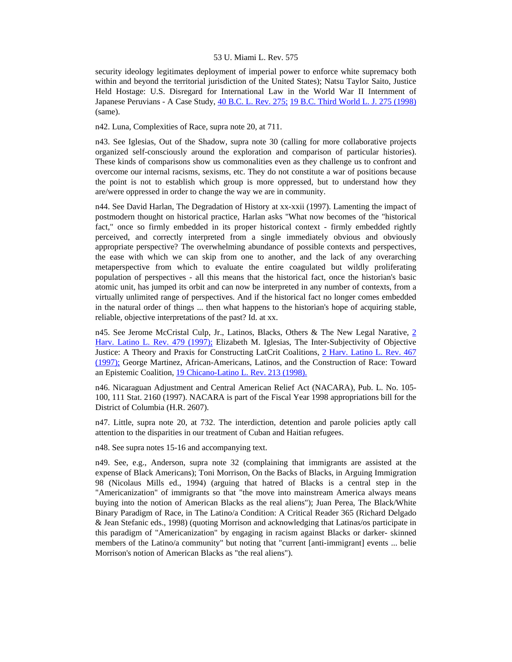security ideology legitimates deployment of imperial power to enforce white supremacy both within and beyond the territorial jurisdiction of the United States); Natsu Taylor Saito, Justice Held Hostage: U.S. Disregard for International Law in the World War II Internment of Japanese Peruvians - A Case Study, [40 B.C. L. Rev. 275;](http://www.lexis.com/research/xlink?searchtype=get&search=40%20B.C.%20L.%20Rev%20275) [19 B.C. Third World L. J. 275 \(1998\)](http://www.lexis.com/research/xlink?searchtype=get&search=19%20B.C.%20Third%20World%20L.J.%20275) (same).

n42. Luna, Complexities of Race, supra note 20, at 711.

n43. See Iglesias, Out of the Shadow, supra note 30 (calling for more collaborative projects organized self-consciously around the exploration and comparison of particular histories). These kinds of comparisons show us commonalities even as they challenge us to confront and overcome our internal racisms, sexisms, etc. They do not constitute a war of positions because the point is not to establish which group is more oppressed, but to understand how they are/were oppressed in order to change the way we are in community.

n44. See David Harlan, The Degradation of History at xx-xxii (1997). Lamenting the impact of postmodern thought on historical practice, Harlan asks "What now becomes of the "historical fact," once so firmly embedded in its proper historical context - firmly embedded rightly perceived, and correctly interpreted from a single immediately obvious and obviously appropriate perspective? The overwhelming abundance of possible contexts and perspectives, the ease with which we can skip from one to another, and the lack of any overarching metaperspective from which to evaluate the entire coagulated but wildly proliferating population of perspectives - all this means that the historical fact, once the historian's basic atomic unit, has jumped its orbit and can now be interpreted in any number of contexts, from a virtually unlimited range of perspectives. And if the historical fact no longer comes embedded in the natural order of things ... then what happens to the historian's hope of acquiring stable, reliable, objective interpretations of the past? Id. at xx.

n45. See Jerome McCristal Culp, Jr., Latinos, Blacks, Others & The New Legal Narative, [2](http://www.lexis.com/research/xlink?searchtype=get&search=2%20Harv.%20Latino%20L.%20Rev.%20479)  [Harv. Latino L. Rev. 479 \(1997\);](http://www.lexis.com/research/xlink?searchtype=get&search=2%20Harv.%20Latino%20L.%20Rev.%20479) Elizabeth M. Iglesias, The Inter-Subjectivity of Objective Justice: A Theory and Praxis for Constructing LatCrit Coalitions, [2 Harv. Latino L. Rev. 467](http://www.lexis.com/research/xlink?searchtype=get&search=2%20Harv.%20Latino%20L.%20Rev.%20467)  [\(1997\);](http://www.lexis.com/research/xlink?searchtype=get&search=2%20Harv.%20Latino%20L.%20Rev.%20467) George Martinez, African-Americans, Latinos, and the Construction of Race: Toward an Epistemic Coalition, [19 Chicano-Latino L. Rev. 213 \(1998\).](http://www.lexis.com/research/xlink?searchtype=get&search=19%20Chicano-Latino%20L.%20Rev.%20213)

n46. Nicaraguan Adjustment and Central American Relief Act (NACARA), Pub. L. No. 105- 100, 111 Stat. 2160 (1997). NACARA is part of the Fiscal Year 1998 appropriations bill for the District of Columbia (H.R. 2607).

n47. Little, supra note 20, at 732. The interdiction, detention and parole policies aptly call attention to the disparities in our treatment of Cuban and Haitian refugees.

n48. See supra notes 15-16 and accompanying text.

n49. See, e.g., Anderson, supra note 32 (complaining that immigrants are assisted at the expense of Black Americans); Toni Morrison, On the Backs of Blacks, in Arguing Immigration 98 (Nicolaus Mills ed., 1994) (arguing that hatred of Blacks is a central step in the "Americanization" of immigrants so that "the move into mainstream America always means buying into the notion of American Blacks as the real aliens"); Juan Perea, The Black/White Binary Paradigm of Race, in The Latino/a Condition: A Critical Reader 365 (Richard Delgado & Jean Stefanic eds., 1998) (quoting Morrison and acknowledging that Latinas/os participate in this paradigm of "Americanization" by engaging in racism against Blacks or darker- skinned members of the Latino/a community" but noting that "current [anti-immigrant] events ... belie Morrison's notion of American Blacks as "the real aliens").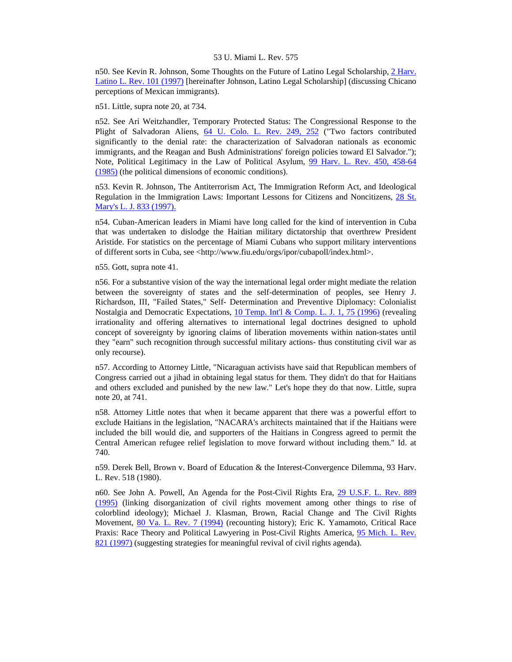n50. See Kevin R. Johnson, Some Thoughts on the Future of Latino Legal Scholarship, [2 Harv.](http://www.lexis.com/research/xlink?searchtype=get&search=2%20Harv.%20Latino%20L.%20Rev.%20101)  [Latino L. Rev. 101 \(1997\)](http://www.lexis.com/research/xlink?searchtype=get&search=2%20Harv.%20Latino%20L.%20Rev.%20101) [hereinafter Johnson, Latino Legal Scholarship] (discussing Chicano perceptions of Mexican immigrants).

n51. Little, supra note 20, at 734.

n52. See Ari Weitzhandler, Temporary Protected Status: The Congressional Response to the Plight of Salvadoran Aliens, [64 U. Colo. L. Rev. 249, 252](http://www.lexis.com/research/xlink?searchtype=get&search=64%20U.%20Colo.%20L.%20Rev.%20249,at%20252) ("Two factors contributed significantly to the denial rate: the characterization of Salvadoran nationals as economic immigrants, and the Reagan and Bush Administrations' foreign policies toward El Salvador."); Note, Political Legitimacy in the Law of Political Asylum, [99 Harv. L. Rev. 450, 458-64](http://www.lexis.com/research/xlink?searchtype=get&search=99%20Harv.%20L.%20Rev.%20450,at%20458)  [\(1985\)](http://www.lexis.com/research/xlink?searchtype=get&search=99%20Harv.%20L.%20Rev.%20450,at%20458) (the political dimensions of economic conditions).

n53. Kevin R. Johnson, The Antiterrorism Act, The Immigration Reform Act, and Ideological Regulation in the Immigration Laws: Important Lessons for Citizens and Noncitizens, [28 St.](http://www.lexis.com/research/xlink?searchtype=get&search=28%20St.%20Mary)  [Mary's L. J. 833 \(1997\).](http://www.lexis.com/research/xlink?searchtype=get&search=28%20St.%20Mary)

n54. Cuban-American leaders in Miami have long called for the kind of intervention in Cuba that was undertaken to dislodge the Haitian military dictatorship that overthrew President Aristide. For statistics on the percentage of Miami Cubans who support military interventions of different sorts in Cuba, see <http://www.fiu.edu/orgs/ipor/cubapoll/index.html>.

n55. Gott, supra note 41.

n56. For a substantive vision of the way the international legal order might mediate the relation between the sovereignty of states and the self-determination of peoples, see Henry J. Richardson, III, "Failed States," Self- Determination and Preventive Diplomacy: Colonialist Nostalgia and Democratic Expectations, [10 Temp. Int'l & Comp. L. J. 1, 75 \(1996\)](http://www.lexis.com/research/xlink?searchtype=get&search=10%20Temp.%20Int) (revealing irrationality and offering alternatives to international legal doctrines designed to uphold concept of sovereignty by ignoring claims of liberation movements within nation-states until they "earn" such recognition through successful military actions- thus constituting civil war as only recourse).

n57. According to Attorney Little, "Nicaraguan activists have said that Republican members of Congress carried out a jihad in obtaining legal status for them. They didn't do that for Haitians and others excluded and punished by the new law." Let's hope they do that now. Little, supra note 20, at 741.

n58. Attorney Little notes that when it became apparent that there was a powerful effort to exclude Haitians in the legislation, "NACARA's architects maintained that if the Haitians were included the bill would die, and supporters of the Haitians in Congress agreed to permit the Central American refugee relief legislation to move forward without including them." Id. at 740.

n59. Derek Bell, Brown v. Board of Education & the Interest-Convergence Dilemma, 93 Harv. L. Rev. 518 (1980).

n60. See John A. Powell, An Agenda for the Post-Civil Rights Era, [29 U.S.F. L. Rev. 889](http://www.lexis.com/research/xlink?searchtype=get&search=29%20U.S.F.L.%20Rev.%20889)  [\(1995\)](http://www.lexis.com/research/xlink?searchtype=get&search=29%20U.S.F.L.%20Rev.%20889) (linking disorganization of civil rights movement among other things to rise of colorblind ideology); Michael J. Klasman, Brown, Racial Change and The Civil Rights Movement, [80 Va. L. Rev. 7 \(1994\)](http://www.lexis.com/research/xlink?searchtype=get&search=80%20Va.%20L.%20Rev.%207) (recounting history); Eric K. Yamamoto, Critical Race Praxis: Race Theory and Political Lawyering in Post-Civil Rights America, [95 Mich. L. Rev.](http://www.lexis.com/research/xlink?searchtype=get&search=95%20Mich.%20L.%20Rev.%20821)  [821 \(1997\)](http://www.lexis.com/research/xlink?searchtype=get&search=95%20Mich.%20L.%20Rev.%20821) (suggesting strategies for meaningful revival of civil rights agenda).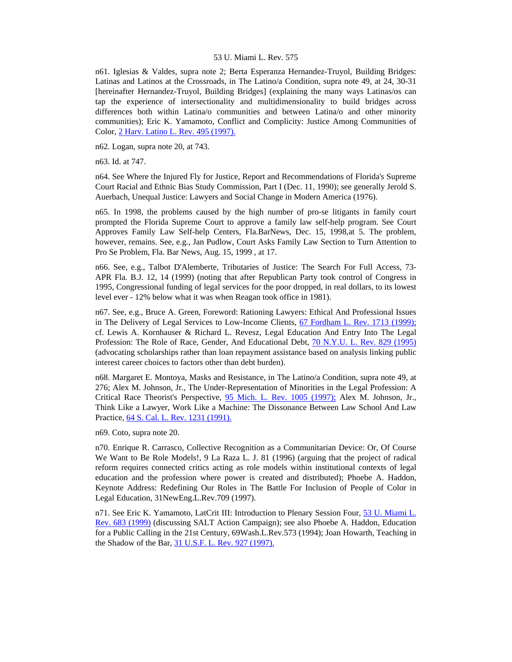n61. Iglesias & Valdes, supra note 2; Berta Esperanza Hernandez-Truyol, Building Bridges: Latinas and Latinos at the Crossroads, in The Latino/a Condition, supra note 49, at 24, 30-31 [hereinafter Hernandez-Truyol, Building Bridges] (explaining the many ways Latinas/os can tap the experience of intersectionality and multidimensionality to build bridges across differences both within Latina/o communities and between Latina/o and other minority communities); Eric K. Yamamoto, Conflict and Complicity: Justice Among Communities of Color, [2 Harv. Latino L. Rev. 495 \(1997\).](http://www.lexis.com/research/xlink?searchtype=get&search=2%20Harv.%20Latino%20L.%20Rev.%20495)

n62. Logan, supra note 20, at 743.

n63. Id. at 747.

n64. See Where the Injured Fly for Justice, Report and Recommendations of Florida's Supreme Court Racial and Ethnic Bias Study Commission, Part I (Dec. 11, 1990); see generally Jerold S. Auerbach, Unequal Justice: Lawyers and Social Change in Modern America (1976).

n65. In 1998, the problems caused by the high number of pro-se litigants in family court prompted the Florida Supreme Court to approve a family law self-help program. See Court Approves Family Law Self-help Centers, Fla.BarNews, Dec. 15, 1998,at 5. The problem, however, remains. See, e.g., Jan Pudlow, Court Asks Family Law Section to Turn Attention to Pro Se Problem, Fla. Bar News, Aug. 15, 1999 , at 17.

n66. See, e.g., Talbot D'Alemberte, Tributaries of Justice: The Search For Full Access, 73- APR Fla. B.J. 12, 14 (1999) (noting that after Republican Party took control of Congress in 1995, Congressional funding of legal services for the poor dropped, in real dollars, to its lowest level ever - 12% below what it was when Reagan took office in 1981).

n67. See, e.g., Bruce A. Green, Foreword: Rationing Lawyers: Ethical And Professional Issues in The Delivery of Legal Services to Low-Income Clients, [67 Fordham L. Rev. 1713 \(1999\);](http://www.lexis.com/research/xlink?searchtype=get&search=67%20Fordham%20L.%20Rev.%201713) cf. Lewis A. Kornhauser & Richard L. Revesz, Legal Education And Entry Into The Legal Profession: The Role of Race, Gender, And Educational Debt, [70 N.Y.U. L. Rev. 829 \(1995\)](http://www.lexis.com/research/xlink?searchtype=get&search=70%20N.Y.U.L.%20Rev.%20829) (advocating scholarships rather than loan repayment assistance based on analysis linking public interest career choices to factors other than debt burden).

n68. Margaret E. Montoya, Masks and Resistance, in The Latino/a Condition, supra note 49, at 276; Alex M. Johnson, Jr., The Under-Representation of Minorities in the Legal Profession: A Critical Race Theorist's Perspective, [95 Mich. L. Rev. 1005 \(1997\);](http://www.lexis.com/research/xlink?searchtype=get&search=95%20Mich.%20L.%20Rev.%201005) Alex M. Johnson, Jr., Think Like a Lawyer, Work Like a Machine: The Dissonance Between Law School And Law Practice, [64 S. Cal. L. Rev. 1231 \(1991\).](http://www.lexis.com/research/xlink?searchtype=get&search=64%20S.%20Cal.%20L.%20Rev.%201231)

n69. Coto, supra note 20.

n70. Enrique R. Carrasco, Collective Recognition as a Communitarian Device: Or, Of Course We Want to Be Role Models!, 9 La Raza L. J. 81 (1996) (arguing that the project of radical reform requires connected critics acting as role models within institutional contexts of legal education and the profession where power is created and distributed); Phoebe A. Haddon, Keynote Address: Redefining Our Roles in The Battle For Inclusion of People of Color in Legal Education, 31NewEng.L.Rev.709 (1997).

n71. See Eric K. Yamamoto, LatCrit III: Introduction to Plenary Session Four, [53 U. Miami L.](http://www.lexis.com/research/xlink?searchtype=get&search=53%20U.%20Miami%20L.%20Rev.%20683)  [Rev. 683 \(1999\)](http://www.lexis.com/research/xlink?searchtype=get&search=53%20U.%20Miami%20L.%20Rev.%20683) (discussing SALT Action Campaign); see also Phoebe A. Haddon, Education for a Public Calling in the 21st Century, 69Wash.L.Rev.573 (1994); Joan Howarth, Teaching in the Shadow of the Bar, [31 U.S.F. L. Rev. 927 \(1997\).](http://www.lexis.com/research/xlink?searchtype=get&search=31%20U.S.F.L.%20Rev.%20927)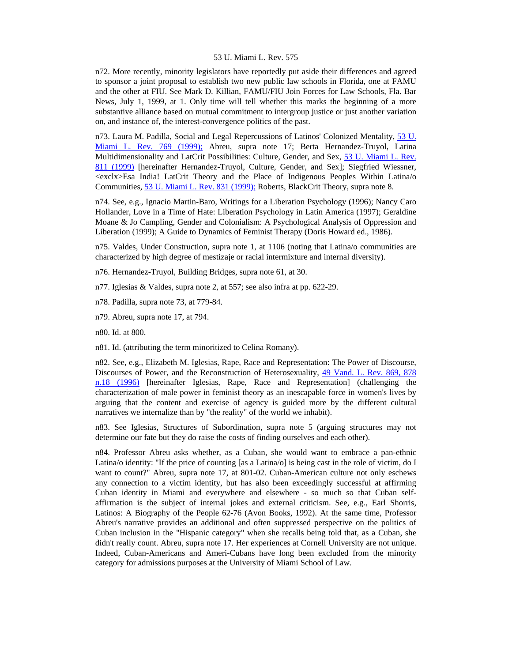n72. More recently, minority legislators have reportedly put aside their differences and agreed to sponsor a joint proposal to establish two new public law schools in Florida, one at FAMU and the other at FIU. See Mark D. Killian, FAMU/FIU Join Forces for Law Schools, Fla. Bar News, July 1, 1999, at 1. Only time will tell whether this marks the beginning of a more substantive alliance based on mutual commitment to intergroup justice or just another variation on, and instance of, the interest-convergence politics of the past.

n73. Laura M. Padilla, Social and Legal Repercussions of Latinos' Colonized Mentality, [53 U.](http://www.lexis.com/research/xlink?searchtype=get&search=53%20U.%20Miami%20L.%20Rev.%20769)  [Miami L. Rev. 769 \(1999\);](http://www.lexis.com/research/xlink?searchtype=get&search=53%20U.%20Miami%20L.%20Rev.%20769) Abreu, supra note 17; Berta Hernandez-Truyol, Latina Multidimensionality and LatCrit Possibilities: Culture, Gender, and Sex, 53 U. Miami L. Rev. [811 \(1999\)](http://www.lexis.com/research/xlink?searchtype=get&search=53%20U.%20Miami%20L.%20Rev.%20811) [hereinafter Hernandez-Truyol, Culture, Gender, and Sex]; Siegfried Wiessner, <exclx>Esa India! LatCrit Theory and the Place of Indigenous Peoples Within Latina/o Communities, [53 U. Miami L. Rev. 831 \(1999\);](http://www.lexis.com/research/xlink?searchtype=get&search=53%20U.%20Miami%20L.%20Rev.%20831) Roberts, BlackCrit Theory, supra note 8.

n74. See, e.g., Ignacio Martin-Baro, Writings for a Liberation Psychology (1996); Nancy Caro Hollander, Love in a Time of Hate: Liberation Psychology in Latin America (1997); Geraldine Moane & Jo Campling, Gender and Colonialism: A Psychological Analysis of Oppression and Liberation (1999); A Guide to Dynamics of Feminist Therapy (Doris Howard ed., 1986).

n75. Valdes, Under Construction, supra note 1, at 1106 (noting that Latina/o communities are characterized by high degree of mestizaje or racial intermixture and internal diversity).

n76. Hernandez-Truyol, Building Bridges, supra note 61, at 30.

n77. Iglesias & Valdes, supra note 2, at 557; see also infra at pp. 622-29.

n78. Padilla, supra note 73, at 779-84.

n79. Abreu, supra note 17, at 794.

n80. Id. at 800.

n81. Id. (attributing the term minoritized to Celina Romany).

n82. See, e.g., Elizabeth M. Iglesias, Rape, Race and Representation: The Power of Discourse, Discourses of Power, and the Reconstruction of Heterosexuality, [49 Vand. L. Rev. 869, 878](http://www.lexis.com/research/xlink?searchtype=get&search=49%20Vand.%20L.%20Rev.%20869,at%20878)  [n.18 \(1996\)](http://www.lexis.com/research/xlink?searchtype=get&search=49%20Vand.%20L.%20Rev.%20869,at%20878) [hereinafter Iglesias, Rape, Race and Representation] (challenging the characterization of male power in feminist theory as an inescapable force in women's lives by arguing that the content and exercise of agency is guided more by the different cultural narratives we internalize than by "the reality" of the world we inhabit).

n83. See Iglesias, Structures of Subordination, supra note 5 (arguing structures may not determine our fate but they do raise the costs of finding ourselves and each other).

n84. Professor Abreu asks whether, as a Cuban, she would want to embrace a pan-ethnic Latina/o identity: "If the price of counting [as a Latina/o] is being cast in the role of victim, do I want to count?" Abreu, supra note 17, at 801-02. Cuban-American culture not only eschews any connection to a victim identity, but has also been exceedingly successful at affirming Cuban identity in Miami and everywhere and elsewhere - so much so that Cuban selfaffirmation is the subject of internal jokes and external criticism. See, e.g., Earl Shorris, Latinos: A Biography of the People 62-76 (Avon Books, 1992). At the same time, Professor Abreu's narrative provides an additional and often suppressed perspective on the politics of Cuban inclusion in the "Hispanic category" when she recalls being told that, as a Cuban, she didn't really count. Abreu, supra note 17. Her experiences at Cornell University are not unique. Indeed, Cuban-Americans and Ameri-Cubans have long been excluded from the minority category for admissions purposes at the University of Miami School of Law.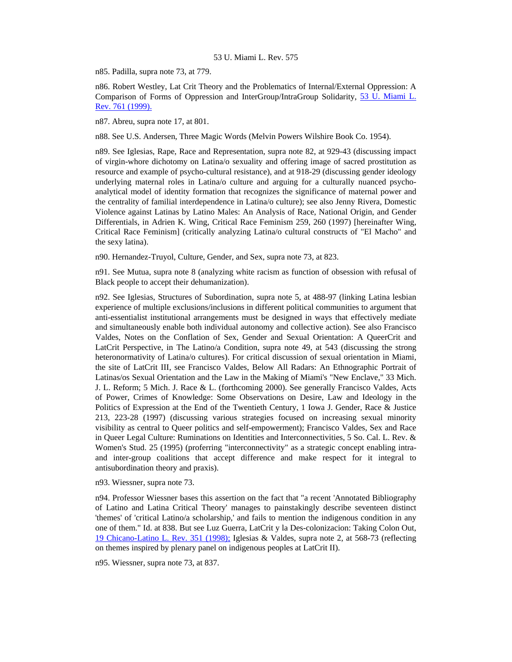n85. Padilla, supra note 73, at 779.

n86. Robert Westley, Lat Crit Theory and the Problematics of Internal/External Oppression: A Comparison of Forms of Oppression and InterGroup/IntraGroup Solidarity, [53 U. Miami L.](http://www.lexis.com/research/xlink?searchtype=get&search=53%20U.%20Miami%20L.%20Rev.%20761)  [Rev. 761 \(1999\).](http://www.lexis.com/research/xlink?searchtype=get&search=53%20U.%20Miami%20L.%20Rev.%20761)

n87. Abreu, supra note 17, at 801.

n88. See U.S. Andersen, Three Magic Words (Melvin Powers Wilshire Book Co. 1954).

n89. See Iglesias, Rape, Race and Representation, supra note 82, at 929-43 (discussing impact of virgin-whore dichotomy on Latina/o sexuality and offering image of sacred prostitution as resource and example of psycho-cultural resistance), and at 918-29 (discussing gender ideology underlying maternal roles in Latina/o culture and arguing for a culturally nuanced psychoanalytical model of identity formation that recognizes the significance of maternal power and the centrality of familial interdependence in Latina/o culture); see also Jenny Rivera, Domestic Violence against Latinas by Latino Males: An Analysis of Race, National Origin, and Gender Differentials, in Adrien K. Wing, Critical Race Feminism 259, 260 (1997) [hereinafter Wing, Critical Race Feminism] (critically analyzing Latina/o cultural constructs of "El Macho" and the sexy latina).

n90. Hernandez-Truyol, Culture, Gender, and Sex, supra note 73, at 823.

n91. See Mutua, supra note 8 (analyzing white racism as function of obsession with refusal of Black people to accept their dehumanization).

n92. See Iglesias, Structures of Subordination, supra note 5, at 488-97 (linking Latina lesbian experience of multiple exclusions/inclusions in different political communities to argument that anti-essentialist institutional arrangements must be designed in ways that effectively mediate and simultaneously enable both individual autonomy and collective action). See also Francisco Valdes, Notes on the Conflation of Sex, Gender and Sexual Orientation: A QueerCrit and LatCrit Perspective, in The Latino/a Condition, supra note 49, at 543 (discussing the strong heteronormativity of Latina/o cultures). For critical discussion of sexual orientation in Miami, the site of LatCrit III, see Francisco Valdes, Below All Radars: An Ethnographic Portrait of Latinas/os Sexual Orientation and the Law in the Making of Miami's "New Enclave," 33 Mich. J. L. Reform; 5 Mich. J. Race & L. (forthcoming 2000). See generally Francisco Valdes, Acts of Power, Crimes of Knowledge: Some Observations on Desire, Law and Ideology in the Politics of Expression at the End of the Twentieth Century, 1 Iowa J. Gender, Race & Justice 213, 223-28 (1997) (discussing various strategies focused on increasing sexual minority visibility as central to Queer politics and self-empowerment); Francisco Valdes, Sex and Race in Queer Legal Culture: Ruminations on Identities and Interconnectivities, 5 So. Cal. L. Rev. & Women's Stud. 25 (1995) (proferring "interconnectivity" as a strategic concept enabling intraand inter-group coalitions that accept difference and make respect for it integral to antisubordination theory and praxis).

n93. Wiessner, supra note 73.

n94. Professor Wiessner bases this assertion on the fact that "a recent 'Annotated Bibliography of Latino and Latina Critical Theory' manages to painstakingly describe seventeen distinct 'themes' of 'critical Latino/a scholarship,' and fails to mention the indigenous condition in any one of them." Id. at 838. But see Luz Guerra, LatCrit y la Des-colonizacion: Taking Colon Out, [19 Chicano-Latino L. Rev. 351 \(1998\);](http://www.lexis.com/research/xlink?searchtype=get&search=19%20Chicano-Latino%20L.%20Rev.%20351) Iglesias & Valdes, supra note 2, at 568-73 (reflecting on themes inspired by plenary panel on indigenous peoples at LatCrit II).

n95. Wiessner, supra note 73, at 837.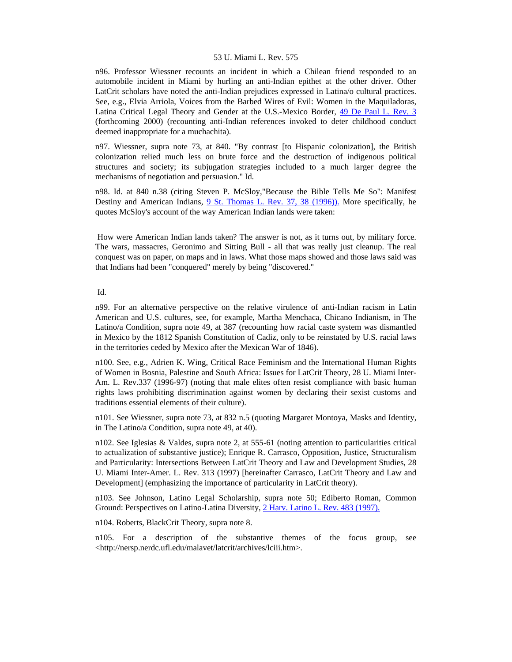n96. Professor Wiessner recounts an incident in which a Chilean friend responded to an automobile incident in Miami by hurling an anti-Indian epithet at the other driver. Other LatCrit scholars have noted the anti-Indian prejudices expressed in Latina/o cultural practices. See, e.g., Elvia Arriola, Voices from the Barbed Wires of Evil: Women in the Maquiladoras, Latina Critical Legal Theory and Gender at the U.S.-Mexico Border, [49 De Paul L. Rev. 3](http://www.lexis.com/research/xlink?searchtype=get&search=49%20DePaul%20L.%20Rev.%203) (forthcoming 2000) (recounting anti-Indian references invoked to deter childhood conduct deemed inappropriate for a muchachita).

n97. Wiessner, supra note 73, at 840. "By contrast [to Hispanic colonization], the British colonization relied much less on brute force and the destruction of indigenous political structures and society; its subjugation strategies included to a much larger degree the mechanisms of negotiation and persuasion." Id.

n98. Id. at 840 n.38 (citing Steven P. McSloy,"Because the Bible Tells Me So": Manifest Destiny and American Indians, [9 St. Thomas L. Rev. 37, 38 \(1996\)\).](http://www.lexis.com/research/xlink?searchtype=get&search=9%20St.%20Thomas%20L.%20Rev.%2037,at%2038) More specifically, he quotes McSloy's account of the way American Indian lands were taken:

 How were American Indian lands taken? The answer is not, as it turns out, by military force. The wars, massacres, Geronimo and Sitting Bull - all that was really just cleanup. The real conquest was on paper, on maps and in laws. What those maps showed and those laws said was that Indians had been "conquered" merely by being "discovered."

#### Id.

n99. For an alternative perspective on the relative virulence of anti-Indian racism in Latin American and U.S. cultures, see, for example, Martha Menchaca, Chicano Indianism, in The Latino/a Condition, supra note 49, at 387 (recounting how racial caste system was dismantled in Mexico by the 1812 Spanish Constitution of Cadiz, only to be reinstated by U.S. racial laws in the territories ceded by Mexico after the Mexican War of 1846).

n100. See, e.g., Adrien K. Wing, Critical Race Feminism and the International Human Rights of Women in Bosnia, Palestine and South Africa: Issues for LatCrit Theory, 28 U. Miami Inter-Am. L. Rev.337 (1996-97) (noting that male elites often resist compliance with basic human rights laws prohibiting discrimination against women by declaring their sexist customs and traditions essential elements of their culture).

n101. See Wiessner, supra note 73, at 832 n.5 (quoting Margaret Montoya, Masks and Identity, in The Latino/a Condition, supra note 49, at 40).

n102. See Iglesias & Valdes, supra note 2, at 555-61 (noting attention to particularities critical to actualization of substantive justice); Enrique R. Carrasco, Opposition, Justice, Structuralism and Particularity: Intersections Between LatCrit Theory and Law and Development Studies, 28 U. Miami Inter-Amer. L. Rev. 313 (1997) [hereinafter Carrasco, LatCrit Theory and Law and Development] (emphasizing the importance of particularity in LatCrit theory).

n103. See Johnson, Latino Legal Scholarship, supra note 50; Ediberto Roman, Common Ground: Perspectives on Latino-Latina Diversity, [2 Harv. Latino L. Rev. 483 \(1997\).](http://www.lexis.com/research/xlink?searchtype=get&search=2%20Harv.%20Latino%20L.%20Rev.%20483)

n104. Roberts, BlackCrit Theory, supra note 8.

n105. For a description of the substantive themes of the focus group, see <http://nersp.nerdc.ufl.edu/malavet/latcrit/archives/lciii.htm>.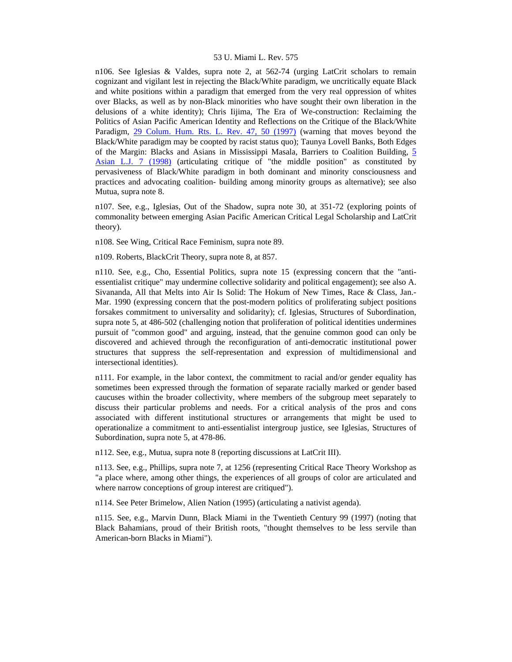n106. See Iglesias & Valdes, supra note 2, at 562-74 (urging LatCrit scholars to remain cognizant and vigilant lest in rejecting the Black/White paradigm, we uncritically equate Black and white positions within a paradigm that emerged from the very real oppression of whites over Blacks, as well as by non-Black minorities who have sought their own liberation in the delusions of a white identity); Chris Iijima, The Era of We-construction: Reclaiming the Politics of Asian Pacific American Identity and Reflections on the Critique of the Black/White Paradigm, [29 Colum. Hum. Rts. L. Rev. 47, 50 \(1997\)](http://www.lexis.com/research/xlink?searchtype=get&search=29%20Colum.%20Human%20Rights%20L.%20Rev.%2047,at%2050) (warning that moves beyond the Black/White paradigm may be coopted by racist status quo); Taunya Lovell Banks, Both Edges of the Margin: Blacks and Asians in Mississippi Masala, Barriers to Coalition Building, [5](http://www.lexis.com/research/xlink?searchtype=get&search=5%20Asian%20L.J.%207)  [Asian L.J. 7 \(1998\)](http://www.lexis.com/research/xlink?searchtype=get&search=5%20Asian%20L.J.%207) (articulating critique of "the middle position" as constituted by pervasiveness of Black/White paradigm in both dominant and minority consciousness and practices and advocating coalition- building among minority groups as alternative); see also Mutua, supra note 8.

n107. See, e.g., Iglesias, Out of the Shadow, supra note 30, at 351-72 (exploring points of commonality between emerging Asian Pacific American Critical Legal Scholarship and LatCrit theory).

n108. See Wing, Critical Race Feminism, supra note 89.

n109. Roberts, BlackCrit Theory, supra note 8, at 857.

n110. See, e.g., Cho, Essential Politics, supra note 15 (expressing concern that the "antiessentialist critique" may undermine collective solidarity and political engagement); see also A. Sivananda, All that Melts into Air Is Solid: The Hokum of New Times, Race & Class, Jan.- Mar. 1990 (expressing concern that the post-modern politics of proliferating subject positions forsakes commitment to universality and solidarity); cf. Iglesias, Structures of Subordination, supra note 5, at 486-502 (challenging notion that proliferation of political identities undermines pursuit of "common good" and arguing, instead, that the genuine common good can only be discovered and achieved through the reconfiguration of anti-democratic institutional power structures that suppress the self-representation and expression of multidimensional and intersectional identities).

n111. For example, in the labor context, the commitment to racial and/or gender equality has sometimes been expressed through the formation of separate racially marked or gender based caucuses within the broader collectivity, where members of the subgroup meet separately to discuss their particular problems and needs. For a critical analysis of the pros and cons associated with different institutional structures or arrangements that might be used to operationalize a commitment to anti-essentialist intergroup justice, see Iglesias, Structures of Subordination, supra note 5, at 478-86.

n112. See, e.g., Mutua, supra note 8 (reporting discussions at LatCrit III).

n113. See, e.g., Phillips, supra note 7, at 1256 (representing Critical Race Theory Workshop as "a place where, among other things, the experiences of all groups of color are articulated and where narrow conceptions of group interest are critiqued").

n114. See Peter Brimelow, Alien Nation (1995) (articulating a nativist agenda).

n115. See, e.g., Marvin Dunn, Black Miami in the Twentieth Century 99 (1997) (noting that Black Bahamians, proud of their British roots, "thought themselves to be less servile than American-born Blacks in Miami").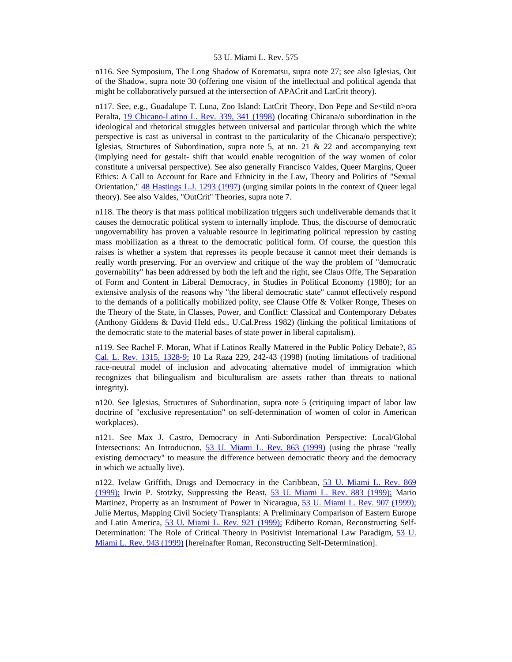n116. See Symposium, The Long Shadow of Korematsu, supra note 27; see also Iglesias, Out of the Shadow, supra note 30 (offering one vision of the intellectual and political agenda that might be collaboratively pursued at the intersection of APACrit and LatCrit theory).

n117. See, e.g., Guadalupe T. Luna, Zoo Island: LatCrit Theory, Don Pepe and Se<tild n>ora Peralta, [19 Chicano-Latino L. Rev. 339, 341 \(1998\)](http://www.lexis.com/research/xlink?searchtype=get&search=19%20Chicano-Latino%20L.%20Rev.%20339,at%20341) (locating Chicana/o subordination in the ideological and rhetorical struggles between universal and particular through which the white perspective is cast as universal in contrast to the particularity of the Chicana/o perspective); Iglesias, Structures of Subordination, supra note 5, at nn. 21 & 22 and accompanying text (implying need for gestalt- shift that would enable recognition of the way women of color constitute a universal perspective). See also generally Francisco Valdes, Queer Margins, Queer Ethics: A Call to Account for Race and Ethnicity in the Law, Theory and Politics of "Sexual Orientation," [48 Hastings L.J. 1293 \(1997\)](http://www.lexis.com/research/xlink?searchtype=get&search=48%20Hastings%20L.J.%201293) (urging similar points in the context of Queer legal theory). See also Valdes, "OutCrit" Theories, supra note 7.

n118. The theory is that mass political mobilization triggers such undeliverable demands that it causes the democratic political system to internally implode. Thus, the discourse of democratic ungovernability has proven a valuable resource in legitimating political repression by casting mass mobilization as a threat to the democratic political form. Of course, the question this raises is whether a system that represses its people because it cannot meet their demands is really worth preserving. For an overview and critique of the way the problem of "democratic governability" has been addressed by both the left and the right, see Claus Offe, The Separation of Form and Content in Liberal Democracy, in Studies in Political Economy (1980); for an extensive analysis of the reasons why "the liberal democratic state" cannot effectively respond to the demands of a politically mobilized polity, see Clause Offe & Volker Ronge, Theses on the Theory of the State, in Classes, Power, and Conflict: Classical and Contemporary Debates (Anthony Giddens & David Held eds., U.Cal.Press 1982) (linking the political limitations of the democratic state to the material bases of state power in liberal capitalism).

n119. See Rachel F. Moran, What if Latinos Really Mattered in the Public Policy Debate?, [85](http://www.lexis.com/research/xlink?searchtype=get&search=85%20Calif.%20L.%20Rev.%201315,at%201328)  [Cal. L. Rev. 1315, 1328-9;](http://www.lexis.com/research/xlink?searchtype=get&search=85%20Calif.%20L.%20Rev.%201315,at%201328) 10 La Raza 229, 242-43 (1998) (noting limitations of traditional race-neutral model of inclusion and advocating alternative model of immigration which recognizes that bilingualism and biculturalism are assets rather than threats to national integrity).

n120. See Iglesias, Structures of Subordination, supra note 5 (critiquing impact of labor law doctrine of "exclusive representation" on self-determination of women of color in American workplaces).

n121. See Max J. Castro, Democracy in Anti-Subordination Perspective: Local/Global Intersections: An Introduction, [53 U. Miami L. Rev. 863 \(1999\)](http://www.lexis.com/research/xlink?searchtype=get&search=53%20U.%20Miami%20L.%20Rev.%20863) (using the phrase "really existing democracy" to measure the difference between democratic theory and the democracy in which we actually live).

n122. Ivelaw Griffith, Drugs and Democracy in the Caribbean, [53 U. Miami L. Rev. 869](http://www.lexis.com/research/xlink?searchtype=get&search=53%20U.%20Miami%20L.%20Rev.%20869)  [\(1999\);](http://www.lexis.com/research/xlink?searchtype=get&search=53%20U.%20Miami%20L.%20Rev.%20869) Irwin P. Stotzky, Suppressing the Beast, [53 U. Miami L. Rev. 883 \(1999\);](http://www.lexis.com/research/xlink?searchtype=get&search=53%20U.%20Miami%20L.%20Rev.%20883) Mario Martinez, Property as an Instrument of Power in Nicaragua, [53 U. Miami L. Rev. 907 \(1999\);](http://www.lexis.com/research/xlink?searchtype=get&search=53%20U.%20Miami%20L.%20Rev.%20907) Julie Mertus, Mapping Civil Society Transplants: A Preliminary Comparison of Eastern Europe and Latin America, [53 U. Miami L. Rev. 921 \(1999\);](http://www.lexis.com/research/xlink?searchtype=get&search=53%20U.%20Miami%20L.%20Rev.%20921) Ediberto Roman, Reconstructing Self-Determination: The Role of Critical Theory in Positivist International Law Paradigm, [53 U.](http://www.lexis.com/research/xlink?searchtype=get&search=53%20U.%20Miami%20L.%20Rev.%20943)  [Miami L. Rev. 943 \(1999\)](http://www.lexis.com/research/xlink?searchtype=get&search=53%20U.%20Miami%20L.%20Rev.%20943) [hereinafter Roman, Reconstructing Self-Determination].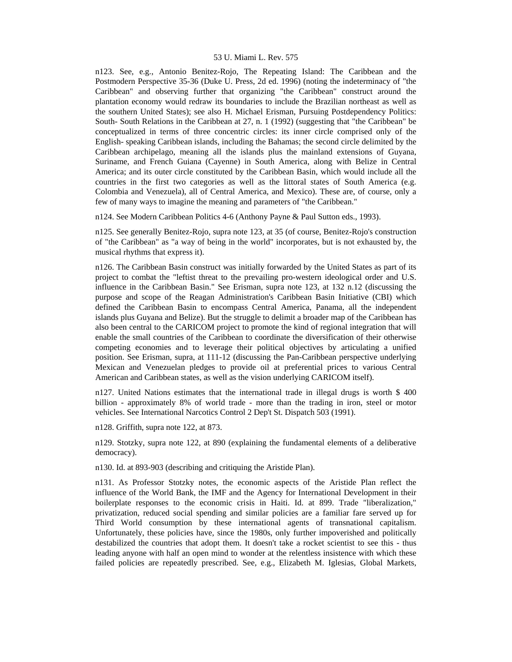n123. See, e.g., Antonio Benitez-Rojo, The Repeating Island: The Caribbean and the Postmodern Perspective 35-36 (Duke U. Press, 2d ed. 1996) (noting the indeterminacy of "the Caribbean" and observing further that organizing "the Caribbean" construct around the plantation economy would redraw its boundaries to include the Brazilian northeast as well as the southern United States); see also H. Michael Erisman, Pursuing Postdependency Politics: South- South Relations in the Caribbean at 27, n. 1 (1992) (suggesting that "the Caribbean" be conceptualized in terms of three concentric circles: its inner circle comprised only of the English- speaking Caribbean islands, including the Bahamas; the second circle delimited by the Caribbean archipelago, meaning all the islands plus the mainland extensions of Guyana, Suriname, and French Guiana (Cayenne) in South America, along with Belize in Central America; and its outer circle constituted by the Caribbean Basin, which would include all the countries in the first two categories as well as the littoral states of South America (e.g. Colombia and Venezuela), all of Central America, and Mexico). These are, of course, only a few of many ways to imagine the meaning and parameters of "the Caribbean."

n124. See Modern Caribbean Politics 4-6 (Anthony Payne & Paul Sutton eds., 1993).

n125. See generally Benitez-Rojo, supra note 123, at 35 (of course, Benitez-Rojo's construction of "the Caribbean" as "a way of being in the world" incorporates, but is not exhausted by, the musical rhythms that express it).

n126. The Caribbean Basin construct was initially forwarded by the United States as part of its project to combat the "leftist threat to the prevailing pro-western ideological order and U.S. influence in the Caribbean Basin." See Erisman, supra note 123, at 132 n.12 (discussing the purpose and scope of the Reagan Administration's Caribbean Basin Initiative (CBI) which defined the Caribbean Basin to encompass Central America, Panama, all the independent islands plus Guyana and Belize). But the struggle to delimit a broader map of the Caribbean has also been central to the CARICOM project to promote the kind of regional integration that will enable the small countries of the Caribbean to coordinate the diversification of their otherwise competing economies and to leverage their political objectives by articulating a unified position. See Erisman, supra, at 111-12 (discussing the Pan-Caribbean perspective underlying Mexican and Venezuelan pledges to provide oil at preferential prices to various Central American and Caribbean states, as well as the vision underlying CARICOM itself).

n127. United Nations estimates that the international trade in illegal drugs is worth \$ 400 billion - approximately 8% of world trade - more than the trading in iron, steel or motor vehicles. See International Narcotics Control 2 Dep't St. Dispatch 503 (1991).

n128. Griffith, supra note 122, at 873.

n129. Stotzky, supra note 122, at 890 (explaining the fundamental elements of a deliberative democracy).

n130. Id. at 893-903 (describing and critiquing the Aristide Plan).

n131. As Professor Stotzky notes, the economic aspects of the Aristide Plan reflect the influence of the World Bank, the IMF and the Agency for International Development in their boilerplate responses to the economic crisis in Haiti. Id. at 899. Trade "liberalization," privatization, reduced social spending and similar policies are a familiar fare served up for Third World consumption by these international agents of transnational capitalism. Unfortunately, these policies have, since the 1980s, only further impoverished and politically destabilized the countries that adopt them. It doesn't take a rocket scientist to see this - thus leading anyone with half an open mind to wonder at the relentless insistence with which these failed policies are repeatedly prescribed. See, e.g., Elizabeth M. Iglesias, Global Markets,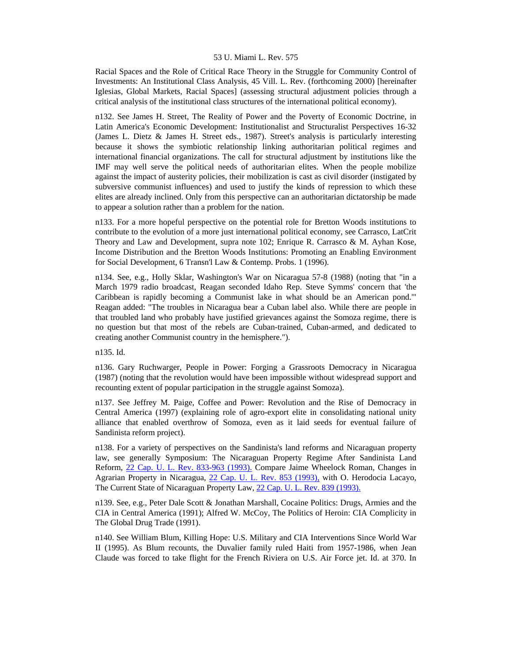Racial Spaces and the Role of Critical Race Theory in the Struggle for Community Control of Investments: An Institutional Class Analysis, 45 Vill. L. Rev. (forthcoming 2000) [hereinafter Iglesias, Global Markets, Racial Spaces] (assessing structural adjustment policies through a critical analysis of the institutional class structures of the international political economy).

n132. See James H. Street, The Reality of Power and the Poverty of Economic Doctrine, in Latin America's Economic Development: Institutionalist and Structuralist Perspectives 16-32 (James L. Dietz & James H. Street eds., 1987). Street's analysis is particularly interesting because it shows the symbiotic relationship linking authoritarian political regimes and international financial organizations. The call for structural adjustment by institutions like the IMF may well serve the political needs of authoritarian elites. When the people mobilize against the impact of austerity policies, their mobilization is cast as civil disorder (instigated by subversive communist influences) and used to justify the kinds of repression to which these elites are already inclined. Only from this perspective can an authoritarian dictatorship be made to appear a solution rather than a problem for the nation.

n133. For a more hopeful perspective on the potential role for Bretton Woods institutions to contribute to the evolution of a more just international political economy, see Carrasco, LatCrit Theory and Law and Development, supra note 102; Enrique R. Carrasco & M. Ayhan Kose, Income Distribution and the Bretton Woods Institutions: Promoting an Enabling Environment for Social Development, 6 Transn'l Law & Contemp. Probs. 1 (1996).

n134. See, e.g., Holly Sklar, Washington's War on Nicaragua 57-8 (1988) (noting that "in a March 1979 radio broadcast, Reagan seconded Idaho Rep. Steve Symms' concern that 'the Caribbean is rapidly becoming a Communist lake in what should be an American pond.'" Reagan added: "The troubles in Nicaragua bear a Cuban label also. While there are people in that troubled land who probably have justified grievances against the Somoza regime, there is no question but that most of the rebels are Cuban-trained, Cuban-armed, and dedicated to creating another Communist country in the hemisphere.").

n135. Id.

n136. Gary Ruchwarger, People in Power: Forging a Grassroots Democracy in Nicaragua (1987) (noting that the revolution would have been impossible without widespread support and recounting extent of popular participation in the struggle against Somoza).

n137. See Jeffrey M. Paige, Coffee and Power: Revolution and the Rise of Democracy in Central America (1997) (explaining role of agro-export elite in consolidating national unity alliance that enabled overthrow of Somoza, even as it laid seeds for eventual failure of Sandinista reform project).

n138. For a variety of perspectives on the Sandinista's land reforms and Nicaraguan property law, see generally Symposium: The Nicaraguan Property Regime After Sandinista Land Reform, [22 Cap. U. L. Rev. 833-963 \(1993\).](http://www.lexis.com/research/xlink?searchtype=get&search=22%20Cap.%20U.L.%20Rev.%20833) Compare Jaime Wheelock Roman, Changes in Agrarian Property in Nicaragua, [22 Cap. U. L. Rev. 853 \(1993\),](http://www.lexis.com/research/xlink?searchtype=get&search=22%20Cap.%20U.L.%20Rev.%20853) with O. Herodocia Lacayo, The Current State of Nicaraguan Property Law, [22 Cap. U. L. Rev. 839 \(1993\).](http://www.lexis.com/research/xlink?searchtype=get&search=22%20Cap.%20U.L.%20Rev.%20839)

n139. See, e.g., Peter Dale Scott & Jonathan Marshall, Cocaine Politics: Drugs, Armies and the CIA in Central America (1991); Alfred W. McCoy, The Politics of Heroin: CIA Complicity in The Global Drug Trade (1991).

n140. See William Blum, Killing Hope: U.S. Military and CIA Interventions Since World War II (1995). As Blum recounts, the Duvalier family ruled Haiti from 1957-1986, when Jean Claude was forced to take flight for the French Riviera on U.S. Air Force jet. Id. at 370. In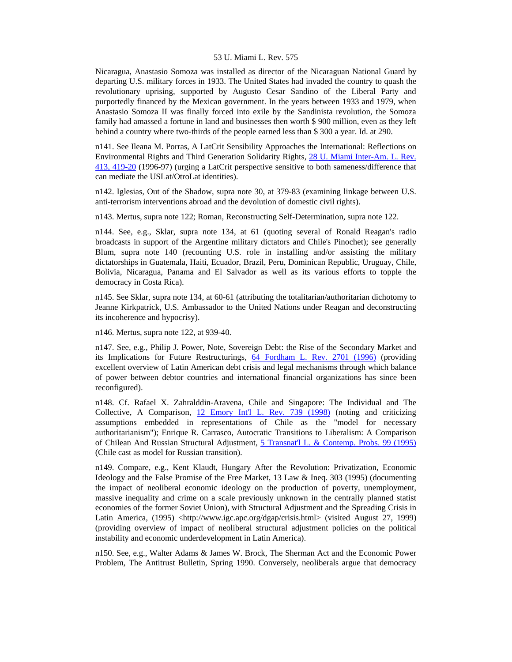Nicaragua, Anastasio Somoza was installed as director of the Nicaraguan National Guard by departing U.S. military forces in 1933. The United States had invaded the country to quash the revolutionary uprising, supported by Augusto Cesar Sandino of the Liberal Party and purportedly financed by the Mexican government. In the years between 1933 and 1979, when Anastasio Somoza II was finally forced into exile by the Sandinista revolution, the Somoza family had amassed a fortune in land and businesses then worth \$ 900 million, even as they left behind a country where two-thirds of the people earned less than \$ 300 a year. Id. at 290.

n141. See Ileana M. Porras, A LatCrit Sensibility Approaches the International: Reflections on Environmental Rights and Third Generation Solidarity Rights, [28 U. Miami Inter-Am. L. Rev.](http://www.lexis.com/research/xlink?searchtype=get&search=28%20U.%20Miami%20Inter-Am.%20L.%20Rev.%20413,at%20419)  [413, 419-20](http://www.lexis.com/research/xlink?searchtype=get&search=28%20U.%20Miami%20Inter-Am.%20L.%20Rev.%20413,at%20419) (1996-97) (urging a LatCrit perspective sensitive to both sameness/difference that can mediate the USLat/OtroLat identities).

n142. Iglesias, Out of the Shadow, supra note 30, at 379-83 (examining linkage between U.S. anti-terrorism interventions abroad and the devolution of domestic civil rights).

n143. Mertus, supra note 122; Roman, Reconstructing Self-Determination, supra note 122.

n144. See, e.g., Sklar, supra note 134, at 61 (quoting several of Ronald Reagan's radio broadcasts in support of the Argentine military dictators and Chile's Pinochet); see generally Blum, supra note 140 (recounting U.S. role in installing and/or assisting the military dictatorships in Guatemala, Haiti, Ecuador, Brazil, Peru, Dominican Republic, Uruguay, Chile, Bolivia, Nicaragua, Panama and El Salvador as well as its various efforts to topple the democracy in Costa Rica).

n145. See Sklar, supra note 134, at 60-61 (attributing the totalitarian/authoritarian dichotomy to Jeanne Kirkpatrick, U.S. Ambassador to the United Nations under Reagan and deconstructing its incoherence and hypocrisy).

n146. Mertus, supra note 122, at 939-40.

n147. See, e.g., Philip J. Power, Note, Sovereign Debt: the Rise of the Secondary Market and its Implications for Future Restructurings, [64 Fordham L. Rev. 2701 \(1996\)](http://www.lexis.com/research/xlink?searchtype=get&search=64%20Fordham%20L.%20Rev.%202701) (providing excellent overview of Latin American debt crisis and legal mechanisms through which balance of power between debtor countries and international financial organizations has since been reconfigured).

n148. Cf. Rafael X. Zahralddin-Aravena, Chile and Singapore: The Individual and The Collective, A Comparison, [12 Emory Int'l L. Rev. 739 \(1998\)](http://www.lexis.com/research/xlink?searchtype=get&search=12%20Emory%20Int) (noting and criticizing assumptions embedded in representations of Chile as the "model for necessary authoritarianism"); Enrique R. Carrasco, Autocratic Transitions to Liberalism: A Comparison of Chilean And Russian Structural Adjustment, [5 Transnat'l L. & Contemp. Probs. 99 \(1995\)](http://www.lexis.com/research/xlink?searchtype=get&search=5%20Transnat) (Chile cast as model for Russian transition).

n149. Compare, e.g., Kent Klaudt, Hungary After the Revolution: Privatization, Economic Ideology and the False Promise of the Free Market, 13 Law & Ineq. 303 (1995) (documenting the impact of neoliberal economic ideology on the production of poverty, unemployment, massive inequality and crime on a scale previously unknown in the centrally planned statist economies of the former Soviet Union), with Structural Adjustment and the Spreading Crisis in Latin America, (1995) <http://www.igc.apc.org/dgap/crisis.html> (visited August 27, 1999) (providing overview of impact of neoliberal structural adjustment policies on the political instability and economic underdevelopment in Latin America).

n150. See, e.g., Walter Adams & James W. Brock, The Sherman Act and the Economic Power Problem, The Antitrust Bulletin, Spring 1990. Conversely, neoliberals argue that democracy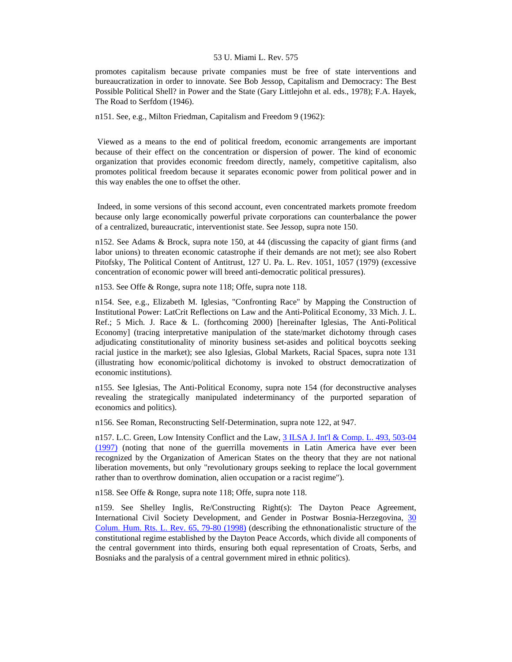promotes capitalism because private companies must be free of state interventions and bureaucratization in order to innovate. See Bob Jessop, Capitalism and Democracy: The Best Possible Political Shell? in Power and the State (Gary Littlejohn et al. eds., 1978); F.A. Hayek, The Road to Serfdom (1946).

n151. See, e.g., Milton Friedman, Capitalism and Freedom 9 (1962):

 Viewed as a means to the end of political freedom, economic arrangements are important because of their effect on the concentration or dispersion of power. The kind of economic organization that provides economic freedom directly, namely, competitive capitalism, also promotes political freedom because it separates economic power from political power and in this way enables the one to offset the other.

 Indeed, in some versions of this second account, even concentrated markets promote freedom because only large economically powerful private corporations can counterbalance the power of a centralized, bureaucratic, interventionist state. See Jessop, supra note 150.

n152. See Adams & Brock, supra note 150, at 44 (discussing the capacity of giant firms (and labor unions) to threaten economic catastrophe if their demands are not met); see also Robert Pitofsky, The Political Content of Antitrust, 127 U. Pa. L. Rev. 1051, 1057 (1979) (excessive concentration of economic power will breed anti-democratic political pressures).

n153. See Offe & Ronge, supra note 118; Offe, supra note 118.

n154. See, e.g., Elizabeth M. Iglesias, "Confronting Race" by Mapping the Construction of Institutional Power: LatCrit Reflections on Law and the Anti-Political Economy, 33 Mich. J. L. Ref.; 5 Mich. J. Race & L. (forthcoming 2000) [hereinafter Iglesias, The Anti-Political Economy] (tracing interpretative manipulation of the state/market dichotomy through cases adjudicating constitutionality of minority business set-asides and political boycotts seeking racial justice in the market); see also Iglesias, Global Markets, Racial Spaces, supra note 131 (illustrating how economic/political dichotomy is invoked to obstruct democratization of economic institutions).

n155. See Iglesias, The Anti-Political Economy, supra note 154 (for deconstructive analyses revealing the strategically manipulated indeterminancy of the purported separation of economics and politics).

n156. See Roman, Reconstructing Self-Determination, supra note 122, at 947.

n157. L.C. Green, Low Intensity Conflict and the Law, 3 ILSA J. Int'l & Comp. L. 493, 503-04 [\(1997\)](http://www.lexis.com/research/xlink?searchtype=get&search=3%20ILSA%20J%20Int) (noting that none of the guerrilla movements in Latin America have ever been recognized by the Organization of American States on the theory that they are not national liberation movements, but only "revolutionary groups seeking to replace the local government rather than to overthrow domination, alien occupation or a racist regime").

n158. See Offe & Ronge, supra note 118; Offe, supra note 118.

n159. See Shelley Inglis, Re/Constructing Right(s): The Dayton Peace Agreement, International Civil Society Development, and Gender in Postwar Bosnia-Herzegovina, [30](http://www.lexis.com/research/xlink?searchtype=get&search=30%20Colum.%20Human%20Rights%20L.%20Rev.%2065,at%2079)  [Colum. Hum. Rts. L. Rev. 65, 79-80 \(1998\)](http://www.lexis.com/research/xlink?searchtype=get&search=30%20Colum.%20Human%20Rights%20L.%20Rev.%2065,at%2079) (describing the ethnonationalistic structure of the constitutional regime established by the Dayton Peace Accords, which divide all components of the central government into thirds, ensuring both equal representation of Croats, Serbs, and Bosniaks and the paralysis of a central government mired in ethnic politics).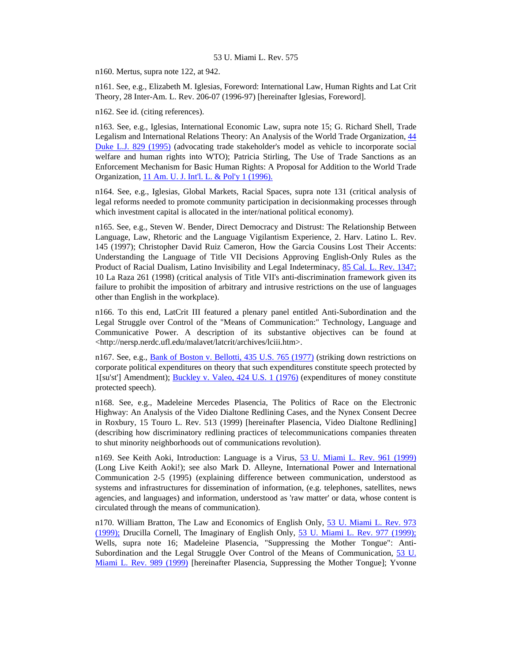n160. Mertus, supra note 122, at 942.

n161. See, e.g., Elizabeth M. Iglesias, Foreword: International Law, Human Rights and Lat Crit Theory, 28 Inter-Am. L. Rev. 206-07 (1996-97) [hereinafter Iglesias, Foreword].

n162. See id. (citing references).

n163. See, e.g., Iglesias, International Economic Law, supra note 15; G. Richard Shell, Trade Legalism and International Relations Theory: An Analysis of the World Trade Organization, [44](http://www.lexis.com/research/xlink?searchtype=get&search=44%20Duke%20L.J.%20829)  [Duke L.J. 829 \(1995\)](http://www.lexis.com/research/xlink?searchtype=get&search=44%20Duke%20L.J.%20829) (advocating trade stakeholder's model as vehicle to incorporate social welfare and human rights into WTO); Patricia Stirling, The Use of Trade Sanctions as an Enforcement Mechanism for Basic Human Rights: A Proposal for Addition to the World Trade Organization, [11 Am. U. J. Int'l. L. & Pol'y 1 \(1996\).](http://www.lexis.com/research/xlink?searchtype=get&search=11%20Am.%20U.J.%20Int)

n164. See, e.g., Iglesias, Global Markets, Racial Spaces, supra note 131 (critical analysis of legal reforms needed to promote community participation in decisionmaking processes through which investment capital is allocated in the inter/national political economy).

n165. See, e.g., Steven W. Bender, Direct Democracy and Distrust: The Relationship Between Language, Law, Rhetoric and the Language Vigilantism Experience, 2. Harv. Latino L. Rev. 145 (1997); Christopher David Ruiz Cameron, How the Garcia Cousins Lost Their Accents: Understanding the Language of Title VII Decisions Approving English-Only Rules as the Product of Racial Dualism, Latino Invisibility and Legal Indeterminacy, [85 Cal. L. Rev. 1347;](http://www.lexis.com/research/xlink?searchtype=get&search=85%20Calif.%20L.%20Rev.%201347) 10 La Raza 261 (1998) (critical analysis of Title VII's anti-discrimination framework given its failure to prohibit the imposition of arbitrary and intrusive restrictions on the use of languages other than English in the workplace).

n166. To this end, LatCrit III featured a plenary panel entitled Anti-Subordination and the Legal Struggle over Control of the "Means of Communication:" Technology, Language and Communicative Power. A description of its substantive objectives can be found at <http://nersp.nerdc.ufl.edu/malavet/latcrit/archives/lciii.htm>.

n167. See, e.g., [Bank of Boston v. Bellotti, 435 U.S. 765 \(1977\)](http://www.lexis.com/research/xlink?searchtype=get&search=435%20U.S.%20765) (striking down restrictions on corporate political expenditures on theory that such expenditures constitute speech protected by 1[su'st'] Amendment); [Buckley v. Valeo, 424 U.S. 1 \(1976\)](http://www.lexis.com/research/xlink?searchtype=get&search=424%20U.S.%201) (expenditures of money constitute protected speech).

n168. See, e.g., Madeleine Mercedes Plasencia, The Politics of Race on the Electronic Highway: An Analysis of the Video Dialtone Redlining Cases, and the Nynex Consent Decree in Roxbury, 15 Touro L. Rev. 513 (1999) [hereinafter Plasencia, Video Dialtone Redlining] (describing how discriminatory redlining practices of telecommunications companies threaten to shut minority neighborhoods out of communications revolution).

n169. See Keith Aoki, Introduction: Language is a Virus, [53 U. Miami L. Rev. 961 \(1999\)](http://www.lexis.com/research/xlink?searchtype=get&search=53%20U.%20Miami%20L.%20Rev.%20961) (Long Live Keith Aoki!); see also Mark D. Alleyne, International Power and International Communication 2-5 (1995) (explaining difference between communication, understood as systems and infrastructures for dissemination of information, (e.g. telephones, satellites, news agencies, and languages) and information, understood as 'raw matter' or data, whose content is circulated through the means of communication).

n170. William Bratton, The Law and Economics of English Only, [53 U. Miami L. Rev. 973](http://www.lexis.com/research/xlink?searchtype=get&search=53%20U.%20Miami%20L.%20Rev.%20973)  [\(1999\);](http://www.lexis.com/research/xlink?searchtype=get&search=53%20U.%20Miami%20L.%20Rev.%20973) Drucilla Cornell, The Imaginary of English Only, [53 U. Miami L. Rev. 977 \(1999\);](http://www.lexis.com/research/xlink?searchtype=get&search=53%20U.%20Miami%20L.%20Rev.%20977) Wells, supra note 16; Madeleine Plasencia, "Suppressing the Mother Tongue": Anti-Subordination and the Legal Struggle Over Control of the Means of Communication, [53 U.](http://www.lexis.com/research/xlink?searchtype=get&search=53%20U.%20Miami%20L.%20Rev.%20989)  [Miami L. Rev. 989 \(1999\)](http://www.lexis.com/research/xlink?searchtype=get&search=53%20U.%20Miami%20L.%20Rev.%20989) [hereinafter Plasencia, Suppressing the Mother Tongue]; Yvonne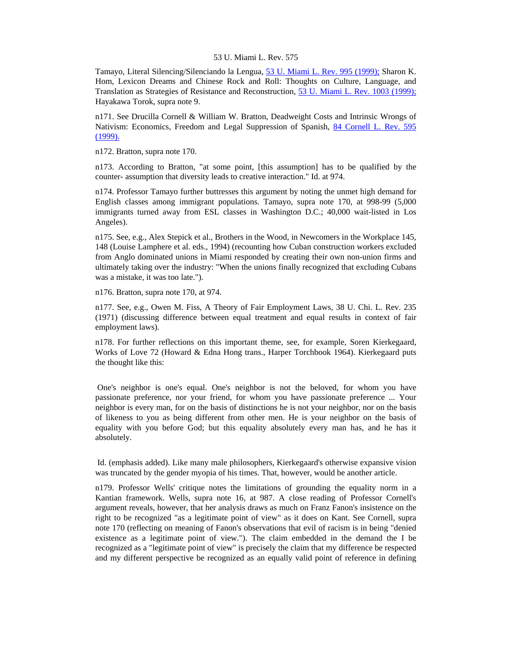Tamayo, Literal Silencing/Silenciando la Lengua, [53 U. Miami L. Rev. 995 \(1999\);](http://www.lexis.com/research/xlink?searchtype=get&search=53%20U.%20Miami%20L.%20Rev.%20995) Sharon K. Hom, Lexicon Dreams and Chinese Rock and Roll: Thoughts on Culture, Language, and Translation as Strategies of Resistance and Reconstruction, [53 U. Miami L. Rev. 1003 \(1999\);](http://www.lexis.com/research/xlink?searchtype=get&search=53%20U.%20Miami%20L.%20Rev.%201003) Hayakawa Torok, supra note 9.

n171. See Drucilla Cornell & William W. Bratton, Deadweight Costs and Intrinsic Wrongs of Nativism: Economics, Freedom and Legal Suppression of Spanish, [84 Cornell L. Rev. 595](http://www.lexis.com/research/xlink?searchtype=get&search=84%20Cornell%20L.%20Rev.%20595)  [\(1999\).](http://www.lexis.com/research/xlink?searchtype=get&search=84%20Cornell%20L.%20Rev.%20595)

n172. Bratton, supra note 170.

n173. According to Bratton, "at some point, [this assumption] has to be qualified by the counter- assumption that diversity leads to creative interaction." Id. at 974.

n174. Professor Tamayo further buttresses this argument by noting the unmet high demand for English classes among immigrant populations. Tamayo, supra note 170, at 998-99 (5,000 immigrants turned away from ESL classes in Washington D.C.; 40,000 wait-listed in Los Angeles).

n175. See, e.g., Alex Stepick et al., Brothers in the Wood, in Newcomers in the Workplace 145, 148 (Louise Lamphere et al. eds., 1994) (recounting how Cuban construction workers excluded from Anglo dominated unions in Miami responded by creating their own non-union firms and ultimately taking over the industry: "When the unions finally recognized that excluding Cubans was a mistake, it was too late.").

n176. Bratton, supra note 170, at 974.

n177. See, e.g., Owen M. Fiss, A Theory of Fair Employment Laws, 38 U. Chi. L. Rev. 235 (1971) (discussing difference between equal treatment and equal results in context of fair employment laws).

n178. For further reflections on this important theme, see, for example, Soren Kierkegaard, Works of Love 72 (Howard & Edna Hong trans., Harper Torchbook 1964). Kierkegaard puts the thought like this:

 One's neighbor is one's equal. One's neighbor is not the beloved, for whom you have passionate preference, nor your friend, for whom you have passionate preference ... Your neighbor is every man, for on the basis of distinctions he is not your neighbor, nor on the basis of likeness to you as being different from other men. He is your neighbor on the basis of equality with you before God; but this equality absolutely every man has, and he has it absolutely.

 Id. (emphasis added). Like many male philosophers, Kierkegaard's otherwise expansive vision was truncated by the gender myopia of his times. That, however, would be another article.

n179. Professor Wells' critique notes the limitations of grounding the equality norm in a Kantian framework. Wells, supra note 16, at 987. A close reading of Professor Cornell's argument reveals, however, that her analysis draws as much on Franz Fanon's insistence on the right to be recognized "as a legitimate point of view" as it does on Kant. See Cornell, supra note 170 (reflecting on meaning of Fanon's observations that evil of racism is in being "denied existence as a legitimate point of view."). The claim embedded in the demand the I be recognized as a "legitimate point of view" is precisely the claim that my difference be respected and my different perspective be recognized as an equally valid point of reference in defining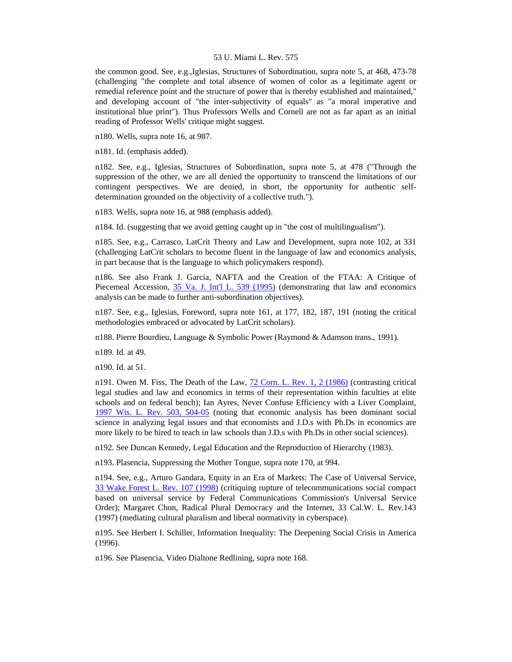the common good. See, e.g.,Iglesias, Structures of Subordination, supra note 5, at 468, 473-78 (challenging "the complete and total absence of women of color as a legitimate agent or remedial reference point and the structure of power that is thereby established and maintained," and developing account of "the inter-subjectivity of equals" as "a moral imperative and institutional blue print"). Thus Professors Wells and Cornell are not as far apart as an initial reading of Professor Wells' critique might suggest.

n180. Wells, supra note 16, at 987.

n181. Id. (emphasis added).

n182. See, e.g., Iglesias, Structures of Subordination, supra note 5, at 478 ("Through the suppression of the other, we are all denied the opportunity to transcend the limitations of our contingent perspectives. We are denied, in short, the opportunity for authentic selfdetermination grounded on the objectivity of a collective truth.").

n183. Wells, supra note 16, at 988 (emphasis added).

n184. Id. (suggesting that we avoid getting caught up in "the cost of multilingualism").

n185. See, e.g., Carrasco, LatCrit Theory and Law and Development, supra note 102, at 331 (challenging LatCrit scholars to become fluent in the language of law and economics analysis, in part because that is the language to which policymakers respond).

n186. See also Frank J. Garcia, NAFTA and the Creation of the FTAA: A Critique of Piecemeal Accession, [35 Va. J. Int'l L. 539 \(1995\)](http://www.lexis.com/research/xlink?searchtype=get&search=35%20Va.%20J.%20Int) (demonstrating that law and economics analysis can be made to further anti-subordination objectives).

n187. See, e.g., Iglesias, Foreword, supra note 161, at 177, 182, 187, 191 (noting the critical methodologies embraced or advocated by LatCrit scholars).

n188. Pierre Bourdieu, Language & Symbolic Power (Raymond & Adamson trans., 1991).

n189. Id. at 49.

n190. Id. at 51.

n191. Owen M. Fiss, The Death of the Law, [72 Corn. L. Rev. 1, 2 \(1986\)](http://www.lexis.com/research/xlink?searchtype=get&search=72%20Cornell%20L.%20Rev.%201,at%202) (contrasting critical legal studies and law and economics in terms of their representation within faculties at elite schools and on federal bench); Ian Ayres, Never Confuse Efficiency with a Liver Complaint, [1997 Wis. L. Rev. 503, 504-05](http://www.lexis.com/research/xlink?searchtype=get&search=1997%20Wis.%20L.%20Rev.%20503,at%20504) (noting that economic analysis has been dominant social science in analyzing legal issues and that economists and J.D.s with Ph.Ds in economics are more likely to be hired to teach in law schools than J.D.s with Ph.Ds in other social sciences).

n192. See Duncan Kennedy, Legal Education and the Reproduction of Hierarchy (1983).

n193. Plasencia, Suppressing the Mother Tongue, supra note 170, at 994.

n194. See, e.g., Arturo Gandara, Equity in an Era of Markets: The Case of Universal Service, [33 Wake Forest L. Rev. 107 \(1998\)](http://www.lexis.com/research/xlink?searchtype=get&search=33%20Wake%20Forest%20L.%20Rev.%20107) (critiquing rupture of telecommunications social compact based on universal service by Federal Communications Commission's Universal Service Order); Margaret Chon, Radical Plural Democracy and the Internet, 33 Cal.W. L. Rev.143 (1997) (mediating cultural pluralism and liberal normativity in cyberspace).

n195. See Herbert I. Schiller, Information Inequality: The Deepening Social Crisis in America (1996).

n196. See Plasencia, Video Dialtone Redlining, supra note 168.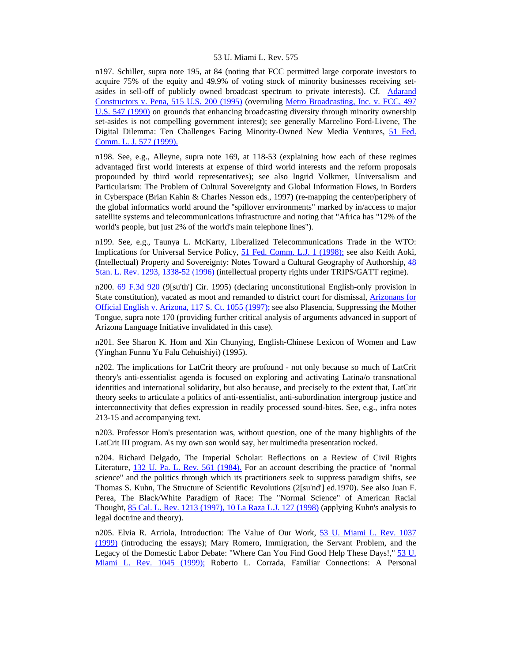n197. Schiller, supra note 195, at 84 (noting that FCC permitted large corporate investors to acquire 75% of the equity and 49.9% of voting stock of minority businesses receiving setasides in sell-off of publicly owned broadcast spectrum to private interests). Cf. [Adarand](http://www.lexis.com/research/xlink?searchtype=get&search=515%20U.S.%20200)  [Constructors v. Pena, 515 U.S. 200 \(1995\)](http://www.lexis.com/research/xlink?searchtype=get&search=515%20U.S.%20200) (overruling [Metro Broadcasting, Inc. v. FCC, 497](http://www.lexis.com/research/xlink?searchtype=get&search=497%20U.S.%20547)  [U.S. 547 \(1990\)](http://www.lexis.com/research/xlink?searchtype=get&search=497%20U.S.%20547) on grounds that enhancing broadcasting diversity through minority ownership set-asides is not compelling government interest); see generally Marcelino Ford-Livene, The Digital Dilemma: Ten Challenges Facing Minority-Owned New Media Ventures, [51 Fed.](http://www.lexis.com/research/xlink?searchtype=get&search=51%20Fed.%20Comm.%20L.J.%20577)  [Comm. L. J. 577 \(1999\).](http://www.lexis.com/research/xlink?searchtype=get&search=51%20Fed.%20Comm.%20L.J.%20577)

n198. See, e.g., Alleyne, supra note 169, at 118-53 (explaining how each of these regimes advantaged first world interests at expense of third world interests and the reform proposals propounded by third world representatives); see also Ingrid Volkmer, Universalism and Particularism: The Problem of Cultural Sovereignty and Global Information Flows, in Borders in Cyberspace (Brian Kahin & Charles Nesson eds., 1997) (re-mapping the center/periphery of the global informatics world around the "spillover environments" marked by in/access to major satellite systems and telecommunications infrastructure and noting that "Africa has "12% of the world's people, but just 2% of the world's main telephone lines").

n199. See, e.g., Taunya L. McKarty, Liberalized Telecommunications Trade in the WTO: Implications for Universal Service Policy, [51 Fed. Comm. L.J. 1 \(1998\);](http://www.lexis.com/research/xlink?searchtype=get&search=51%20Fed.%20Comm.%20L.J.%201) see also Keith Aoki, (Intellectual) Property and Sovereignty: Notes Toward a Cultural Geography of Authorship, [48](http://www.lexis.com/research/xlink?searchtype=get&search=48%20Stan.%20L.%20Rev.%201293,at%201338)  [Stan. L. Rev. 1293, 1338-52 \(1996\)](http://www.lexis.com/research/xlink?searchtype=get&search=48%20Stan.%20L.%20Rev.%201293,at%201338) (intellectual property rights under TRIPS/GATT regime).

n200. [69 F.3d 920](http://www.lexis.com/research/xlink?searchtype=get&search=69%20F.3d%20920) (9[su'th'] Cir. 1995) (declaring unconstitutional English-only provision in State constitution), vacated as moot and remanded to district court for dismissal, [Arizonans for](http://www.lexis.com/research/xlink?searchtype=get&search=117%20S.%20Ct.%201055)  [Official English v. Arizona, 117 S. Ct. 1055 \(1997\);](http://www.lexis.com/research/xlink?searchtype=get&search=117%20S.%20Ct.%201055) see also Plasencia, Suppressing the Mother Tongue, supra note 170 (providing further critical analysis of arguments advanced in support of Arizona Language Initiative invalidated in this case).

n201. See Sharon K. Hom and Xin Chunying, English-Chinese Lexicon of Women and Law (Yinghan Funnu Yu Falu Cehuishiyi) (1995).

n202. The implications for LatCrit theory are profound - not only because so much of LatCrit theory's anti-essentialist agenda is focused on exploring and activating Latina/o transnational identities and international solidarity, but also because, and precisely to the extent that, LatCrit theory seeks to articulate a politics of anti-essentialist, anti-subordination intergroup justice and interconnectivity that defies expression in readily processed sound-bites. See, e.g., infra notes 213-15 and accompanying text.

n203. Professor Hom's presentation was, without question, one of the many highlights of the LatCrit III program. As my own son would say, her multimedia presentation rocked.

n204. Richard Delgado, The Imperial Scholar: Reflections on a Review of Civil Rights Literature, [132 U. Pa. L. Rev. 561 \(1984\).](http://www.lexis.com/research/xlink?searchtype=get&search=132%20U.%20Pa.%20L.%20Rev.%20561) For an account describing the practice of "normal science" and the politics through which its practitioners seek to suppress paradigm shifts, see Thomas S. Kuhn, The Structure of Scientific Revolutions (2[su'nd'] ed.1970). See also Juan F. Perea, The Black/White Paradigm of Race: The "Normal Science" of American Racial Thought, [85 Cal. L. Rev. 1213 \(1997\), 10 La Raza L.J. 127 \(1998\)](http://www.lexis.com/research/xlink?searchtype=get&search=85%20Calif.%20L.%20Rev.%201213) (applying Kuhn's analysis to legal doctrine and theory).

n205. Elvia R. Arriola, Introduction: The Value of Our Work, [53 U. Miami L. Rev. 1037](http://www.lexis.com/research/xlink?searchtype=get&search=53%20U.%20Miami%20L.%20Rev.%201037) [\(1999\)](http://www.lexis.com/research/xlink?searchtype=get&search=53%20U.%20Miami%20L.%20Rev.%201037) (introducing the essays); Mary Romero, Immigration, the Servant Problem, and the Legacy of the Domestic Labor Debate: "Where Can You Find Good Help These Days!," [53 U.](http://www.lexis.com/research/xlink?searchtype=get&search=53%20U.%20Miami%20L.%20Rev.%201045)  [Miami L. Rev. 1045 \(1999\);](http://www.lexis.com/research/xlink?searchtype=get&search=53%20U.%20Miami%20L.%20Rev.%201045) Roberto L. Corrada, Familiar Connections: A Personal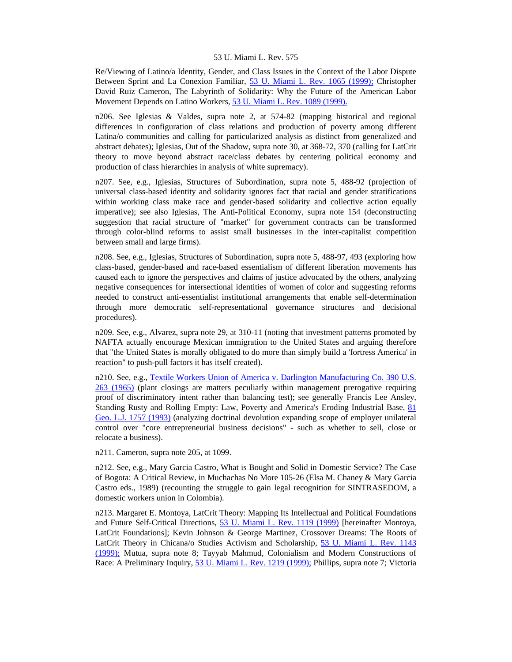Re/Viewing of Latino/a Identity, Gender, and Class Issues in the Context of the Labor Dispute Between Sprint and La Conexion Familiar, [53 U. Miami L. Rev. 1065 \(1999\);](http://www.lexis.com/research/xlink?searchtype=get&search=53%20U.%20Miami%20L.%20Rev.%201065) Christopher David Ruiz Cameron, The Labyrinth of Solidarity: Why the Future of the American Labor Movement Depends on Latino Workers, [53 U. Miami L. Rev. 1089 \(1999\).](http://www.lexis.com/research/xlink?searchtype=get&search=53%20U.%20Miami%20L.%20Rev.%201089)

n206. See Iglesias & Valdes, supra note 2, at 574-82 (mapping historical and regional differences in configuration of class relations and production of poverty among different Latina/o communities and calling for particularized analysis as distinct from generalized and abstract debates); Iglesias, Out of the Shadow, supra note 30, at 368-72, 370 (calling for LatCrit theory to move beyond abstract race/class debates by centering political economy and production of class hierarchies in analysis of white supremacy).

n207. See, e.g., Iglesias, Structures of Subordination, supra note 5, 488-92 (projection of universal class-based identity and solidarity ignores fact that racial and gender stratifications within working class make race and gender-based solidarity and collective action equally imperative); see also Iglesias, The Anti-Political Economy, supra note 154 (deconstructing suggestion that racial structure of "market" for government contracts can be transformed through color-blind reforms to assist small businesses in the inter-capitalist competition between small and large firms).

n208. See, e.g., Iglesias, Structures of Subordination, supra note 5, 488-97, 493 (exploring how class-based, gender-based and race-based essentialism of different liberation movements has caused each to ignore the perspectives and claims of justice advocated by the others, analyzing negative consequences for intersectional identities of women of color and suggesting reforms needed to construct anti-essentialist institutional arrangements that enable self-determination through more democratic self-representational governance structures and decisional procedures).

n209. See, e.g., Alvarez, supra note 29, at 310-11 (noting that investment patterns promoted by NAFTA actually encourage Mexican immigration to the United States and arguing therefore that "the United States is morally obligated to do more than simply build a 'fortress America' in reaction" to push-pull factors it has itself created).

n210. See, e.g., Textile Workers Union of America v. Darlington Manufacturing Co. 390 U.S. [263 \(1965\)](http://www.lexis.com/research/xlink?searchtype=get&search=390%20U.S.%20263) (plant closings are matters peculiarly within management prerogative requiring proof of discriminatory intent rather than balancing test); see generally Francis Lee Ansley, Standing Rusty and Rolling Empty: Law, Poverty and America's Eroding Industrial Base, [81](http://www.lexis.com/research/xlink?searchtype=get&search=81%20Geo.%20L.J.%201757)  [Geo. L.J. 1757 \(1993\)](http://www.lexis.com/research/xlink?searchtype=get&search=81%20Geo.%20L.J.%201757) (analyzing doctrinal devolution expanding scope of employer unilateral control over "core entrepreneurial business decisions" - such as whether to sell, close or relocate a business).

n211. Cameron, supra note 205, at 1099.

n212. See, e.g., Mary Garcia Castro, What is Bought and Solid in Domestic Service? The Case of Bogota: A Critical Review, in Muchachas No More 105-26 (Elsa M. Chaney & Mary Garcia Castro eds., 1989) (recounting the struggle to gain legal recognition for SINTRASEDOM, a domestic workers union in Colombia).

n213. Margaret E. Montoya, LatCrit Theory: Mapping Its Intellectual and Political Foundations and Future Self-Critical Directions, [53 U. Miami L. Rev. 1119 \(1999\)](http://www.lexis.com/research/xlink?searchtype=get&search=53%20U.%20Miami%20L.%20Rev.%201119) [hereinafter Montoya, LatCrit Foundations]; Kevin Johnson & George Martinez, Crossover Dreams: The Roots of LatCrit Theory in Chicana/o Studies Activism and Scholarship, [53 U. Miami L. Rev. 1143](http://www.lexis.com/research/xlink?searchtype=get&search=53%20U.%20Miami%20L.%20Rev.%201143)  [\(1999\);](http://www.lexis.com/research/xlink?searchtype=get&search=53%20U.%20Miami%20L.%20Rev.%201143) Mutua, supra note 8; Tayyab Mahmud, Colonialism and Modern Constructions of Race: A Preliminary Inquiry, [53 U. Miami L. Rev. 1219 \(1999\);](http://www.lexis.com/research/xlink?searchtype=get&search=53%20U.%20Miami%20L.%20Rev.%201219) Phillips, supra note 7; Victoria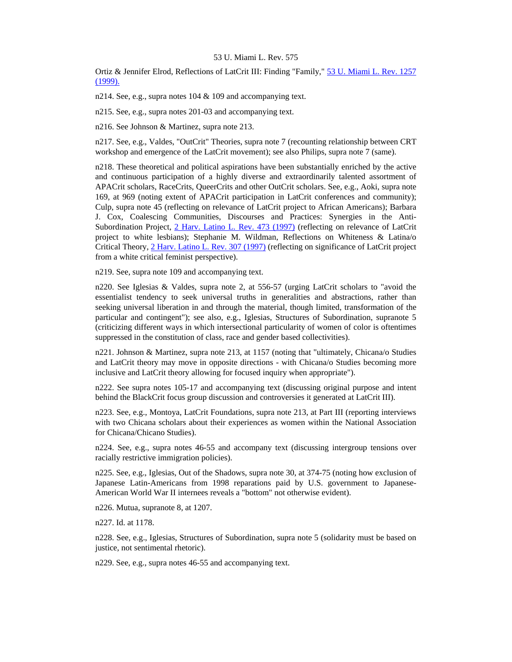Ortiz & Jennifer Elrod, Reflections of LatCrit III: Finding "Family," [53 U. Miami L. Rev. 1257](http://www.lexis.com/research/xlink?searchtype=get&search=53%20U.%20Miami%20L.%20Rev.%201257)  [\(1999\).](http://www.lexis.com/research/xlink?searchtype=get&search=53%20U.%20Miami%20L.%20Rev.%201257)

n214. See, e.g., supra notes 104 & 109 and accompanying text.

n215. See, e.g., supra notes 201-03 and accompanying text.

n216. See Johnson & Martinez, supra note 213.

n217. See, e.g., Valdes, "OutCrit" Theories, supra note 7 (recounting relationship between CRT workshop and emergence of the LatCrit movement); see also Philips, supra note 7 (same).

n218. These theoretical and political aspirations have been substantially enriched by the active and continuous participation of a highly diverse and extraordinarily talented assortment of APACrit scholars, RaceCrits, QueerCrits and other OutCrit scholars. See, e.g., Aoki, supra note 169, at 969 (noting extent of APACrit participation in LatCrit conferences and community); Culp, supra note 45 (reflecting on relevance of LatCrit project to African Americans); Barbara J. Cox, Coalescing Communities, Discourses and Practices: Synergies in the Anti-Subordination Project, [2 Harv. Latino L. Rev. 473 \(1997\)](http://www.lexis.com/research/xlink?searchtype=get&search=2%20Harv.%20Latino%20L.%20Rev.%20473) (reflecting on relevance of LatCrit project to white lesbians); Stephanie M. Wildman, Reflections on Whiteness & Latina/o Critical Theory, [2 Harv. Latino L. Rev. 307 \(1997\)](http://www.lexis.com/research/xlink?searchtype=get&search=2%20Harv.%20Latino%20L.%20Rev.%20307) (reflecting on significance of LatCrit project from a white critical feminist perspective).

n219. See, supra note 109 and accompanying text.

n220. See Iglesias & Valdes, supra note 2, at 556-57 (urging LatCrit scholars to "avoid the essentialist tendency to seek universal truths in generalities and abstractions, rather than seeking universal liberation in and through the material, though limited, transformation of the particular and contingent"); see also, e.g., Iglesias, Structures of Subordination, supranote 5 (criticizing different ways in which intersectional particularity of women of color is oftentimes suppressed in the constitution of class, race and gender based collectivities).

n221. Johnson & Martinez, supra note 213, at 1157 (noting that "ultimately, Chicana/o Studies and LatCrit theory may move in opposite directions - with Chicana/o Studies becoming more inclusive and LatCrit theory allowing for focused inquiry when appropriate").

n222. See supra notes 105-17 and accompanying text (discussing original purpose and intent behind the BlackCrit focus group discussion and controversies it generated at LatCrit III).

n223. See, e.g., Montoya, LatCrit Foundations, supra note 213, at Part III (reporting interviews with two Chicana scholars about their experiences as women within the National Association for Chicana/Chicano Studies).

n224. See, e.g., supra notes 46-55 and accompany text (discussing intergroup tensions over racially restrictive immigration policies).

n225. See, e.g., Iglesias, Out of the Shadows, supra note 30, at 374-75 (noting how exclusion of Japanese Latin-Americans from 1998 reparations paid by U.S. government to Japanese-American World War II internees reveals a "bottom" not otherwise evident).

n226. Mutua, supranote 8, at 1207.

n227. Id. at 1178.

n228. See, e.g., Iglesias, Structures of Subordination, supra note 5 (solidarity must be based on justice, not sentimental rhetoric).

n229. See, e.g., supra notes 46-55 and accompanying text.